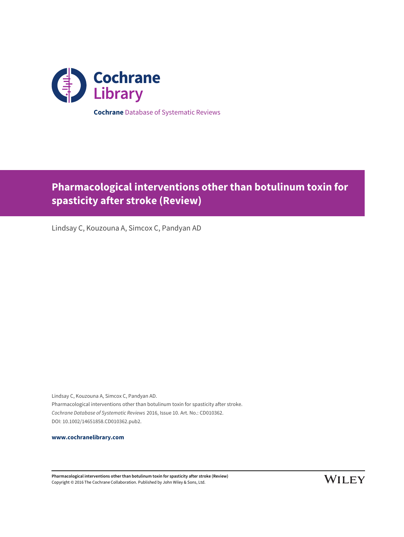

**Pharmacological interventions other than botulinum toxin for spasticity after stroke (Review)**

Lindsay C, Kouzouna A, Simcox C, Pandyan AD

Lindsay C, Kouzouna A, Simcox C, Pandyan AD. Pharmacological interventions other than botulinum toxin for spasticity after stroke. Cochrane Database of Systematic Reviews 2016, Issue 10. Art. No.: CD010362. DOI: 10.1002/14651858.CD010362.pub2.

**[www.cochranelibrary.com](http://www.cochranelibrary.com)**

**Pharmacological interventions other than botulinum toxin for spasticity after stroke (Review)** Copyright © 2016 The Cochrane Collaboration. Published by John Wiley & Sons, Ltd.

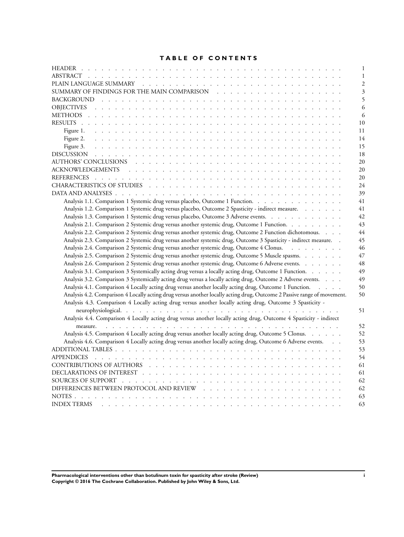## **TABLE OF CONTENTS**

| 1                                                                                                                             |
|-------------------------------------------------------------------------------------------------------------------------------|
| 1                                                                                                                             |
| $\overline{2}$                                                                                                                |
| 3                                                                                                                             |
| 5                                                                                                                             |
| 6                                                                                                                             |
| 6                                                                                                                             |
| 10                                                                                                                            |
| 11                                                                                                                            |
| 14                                                                                                                            |
| Figure 3.<br>15                                                                                                               |
| 18                                                                                                                            |
| 20                                                                                                                            |
| 20                                                                                                                            |
| 20                                                                                                                            |
| 24                                                                                                                            |
| 39                                                                                                                            |
| Analysis 1.1. Comparison 1 Systemic drug versus placebo, Outcome 1 Function.<br>41                                            |
| Analysis 1.2. Comparison 1 Systemic drug versus placebo, Outcome 2 Spasticity - indirect measure.<br>41                       |
| Analysis 1.3. Comparison 1 Systemic drug versus placebo, Outcome 3 Adverse events.<br>42                                      |
| Analysis 2.1. Comparison 2 Systemic drug versus another systemic drug, Outcome 1 Function.<br>43                              |
| Analysis 2.2. Comparison 2 Systemic drug versus another systemic drug, Outcome 2 Function dichotomous.<br>44                  |
| Analysis 2.3. Comparison 2 Systemic drug versus another systemic drug, Outcome 3 Spasticity - indirect measure. .<br>45       |
| Analysis 2.4. Comparison 2 Systemic drug versus another systemic drug, Outcome 4 Clonus.<br>46                                |
| Analysis 2.5. Comparison 2 Systemic drug versus another systemic drug, Outcome 5 Muscle spasms.<br>47                         |
| Analysis 2.6. Comparison 2 Systemic drug versus another systemic drug, Outcome 6 Adverse events.<br>48                        |
| Analysis 3.1. Comparison 3 Systemically acting drug versus a locally acting drug, Outcome 1 Function.<br>49                   |
| Analysis 3.2. Comparison 3 Systemically acting drug versus a locally acting drug, Outcome 2 Adverse events.<br>49             |
| Analysis 4.1. Comparison 4 Locally acting drug versus another locally acting drug, Outcome 1 Function.<br>50                  |
| Analysis 4.2. Comparison 4 Locally acting drug versus another locally acting drug, Outcome 2 Passive range of movement.<br>50 |
| Analysis 4.3. Comparison 4 Locally acting drug versus another locally acting drug, Outcome 3 Spasticity -                     |
| 51                                                                                                                            |
| Analysis 4.4. Comparison 4 Locally acting drug versus another locally acting drug, Outcome 4 Spasticity - indirect            |
| 52                                                                                                                            |
| Analysis 4.5. Comparison 4 Locally acting drug versus another locally acting drug, Outcome 5 Clonus.                          |
| 52                                                                                                                            |
| Analysis 4.6. Comparison 4 Locally acting drug versus another locally acting drug, Outcome 6 Adverse events.<br>53            |
| 53                                                                                                                            |
| 54                                                                                                                            |
| 61                                                                                                                            |
| 61                                                                                                                            |
| 62                                                                                                                            |
| 62                                                                                                                            |
|                                                                                                                               |
| 63<br>63<br><b>INDEX TERMS</b>                                                                                                |

**Pharmacological interventions other than botulinum toxin for spasticity after stroke (Review) i Copyright © 2016 The Cochrane Collaboration. Published by John Wiley & Sons, Ltd.**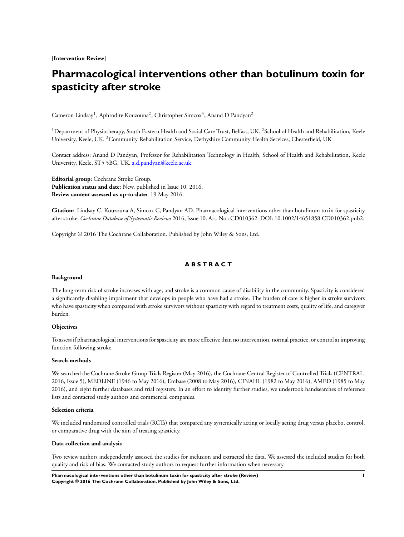**[Intervention Review]**

# **Pharmacological interventions other than botulinum toxin for spasticity after stroke**

Cameron Lindsay<sup>1</sup>, Aphrodite Kouzouna<sup>2</sup>, Christopher Simcox<sup>3</sup>, Anand D Pandyan<sup>2</sup>

<sup>1</sup>Department of Physiotherapy, South Eastern Health and Social Care Trust, Belfast, UK. <sup>2</sup>School of Health and Rehabilitation, Keele University, Keele, UK. <sup>3</sup>Community Rehabilitation Service, Derbyshire Community Health Services, Chesterfield, UK

Contact address: Anand D Pandyan, Professor for Rehabilitation Technology in Health, School of Health and Rehabilitation, Keele University, Keele, ST5 5BG, UK. [a.d.pandyan@keele.ac.uk](mailto:a.d.pandyan@keele.ac.uk).

**Editorial group:** Cochrane Stroke Group. **Publication status and date:** New, published in Issue 10, 2016. **Review content assessed as up-to-date:** 19 May 2016.

**Citation:** Lindsay C, Kouzouna A, Simcox C, Pandyan AD. Pharmacological interventions other than botulinum toxin for spasticity after stroke. *Cochrane Database of Systematic Reviews* 2016, Issue 10. Art. No.: CD010362. DOI: 10.1002/14651858.CD010362.pub2.

Copyright © 2016 The Cochrane Collaboration. Published by John Wiley & Sons, Ltd.

## **A B S T R A C T**

#### **Background**

The long-term risk of stroke increases with age, and stroke is a common cause of disability in the community. Spasticity is considered a significantly disabling impairment that develops in people who have had a stroke. The burden of care is higher in stroke survivors who have spasticity when compared with stroke survivors without spasticity with regard to treatment costs, quality of life, and caregiver burden.

#### **Objectives**

To assess if pharmacological interventions for spasticity are more effective than no intervention, normal practice, or control at improving function following stroke.

#### **Search methods**

We searched the Cochrane Stroke Group Trials Register (May 2016), the Cochrane Central Register of Controlled Trials (CENTRAL, 2016, Issue 5), MEDLINE (1946 to May 2016), Embase (2008 to May 2016), CINAHL (1982 to May 2016), AMED (1985 to May 2016), and eight further databases and trial registers. In an effort to identify further studies, we undertook handsearches of reference lists and contacted study authors and commercial companies.

#### **Selection criteria**

We included randomised controlled trials (RCTs) that compared any systemically acting or locally acting drug versus placebo, control, or comparative drug with the aim of treating spasticity.

### **Data collection and analysis**

Two review authors independently assessed the studies for inclusion and extracted the data. We assessed the included studies for both quality and risk of bias. We contacted study authors to request further information when necessary.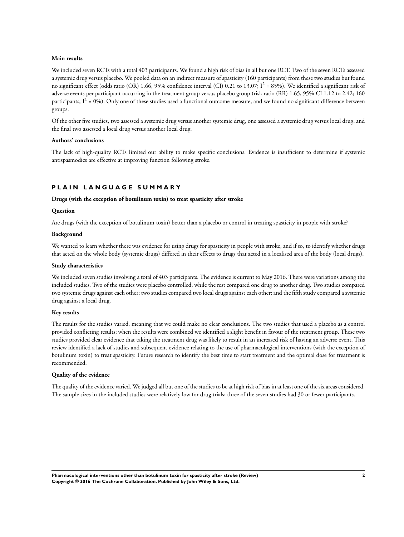#### **Main results**

We included seven RCTs with a total 403 participants. We found a high risk of bias in all but one RCT. Two of the seven RCTs assessed a systemic drug versus placebo. We pooled data on an indirect measure of spasticity (160 participants) from these two studies but found no significant effect (odds ratio (OR) 1.66, 95% confidence interval (CI) 0.21 to 13.07;  $I^2 = 85%$ ). We identified a significant risk of adverse events per participant occurring in the treatment group versus placebo group (risk ratio (RR) 1.65, 95% CI 1.12 to 2.42; 160 participants;  $I^2 = 0\%$ ). Only one of these studies used a functional outcome measure, and we found no significant difference between groups.

Of the other five studies, two assessed a systemic drug versus another systemic drug, one assessed a systemic drug versus local drug, and the final two assessed a local drug versus another local drug.

#### **Authors' conclusions**

The lack of high-quality RCTs limited our ability to make specific conclusions. Evidence is insufficient to determine if systemic antispasmodics are effective at improving function following stroke.

## **P L A I N L A N G U A G E S U M M A R Y**

#### **Drugs (with the exception of botulinum toxin) to treat spasticity after stroke**

#### **Question**

Are drugs (with the exception of botulinum toxin) better than a placebo or control in treating spasticity in people with stroke?

#### **Background**

We wanted to learn whether there was evidence for using drugs for spasticity in people with stroke, and if so, to identify whether drugs that acted on the whole body (systemic drugs) differed in their effects to drugs that acted in a localised area of the body (local drugs).

#### **Study characteristics**

We included seven studies involving a total of 403 participants. The evidence is current to May 2016. There were variations among the included studies. Two of the studies were placebo controlled, while the rest compared one drug to another drug. Two studies compared two systemic drugs against each other; two studies compared two local drugs against each other; and the fifth study compared a systemic drug against a local drug.

#### **Key results**

The results for the studies varied, meaning that we could make no clear conclusions. The two studies that used a placebo as a control provided conflicting results; when the results were combined we identified a slight benefit in favour of the treatment group. These two studies provided clear evidence that taking the treatment drug was likely to result in an increased risk of having an adverse event. This review identified a lack of studies and subsequent evidence relating to the use of pharmacological interventions (with the exception of botulinum toxin) to treat spasticity. Future research to identify the best time to start treatment and the optimal dose for treatment is recommended.

#### **Quality of the evidence**

The quality of the evidence varied. We judged all but one of thestudies to be at high risk of bias in at least one of the six areas considered. The sample sizes in the included studies were relatively low for drug trials; three of the seven studies had 30 or fewer participants.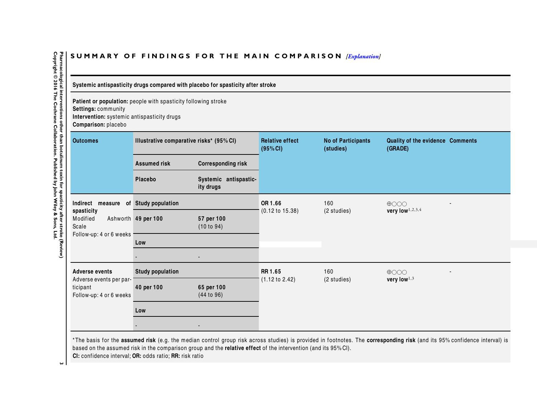# SUMMARY OF FINDINGS FOR THE MAIN COMPARISON *[\[Explanation\]](http://www.thecochranelibrary.com/view/0/SummaryFindings.html)*

**Systemic antispasticity drugs compared with placebo for spasticity after stroke**

**Patient or population:** people with spasticity following stroke**Settings:** community**Intervention:** systemic antispasticity drugs

**Comparison:** placebo

| <b>Outcomes</b>                                                | Illustrative comparative risks* (95% CI) |                                                       | <b>Relative effect</b><br>(95% CI)        | <b>No of Participants</b><br>(studies) | Quality of the evidence Comments<br>(GRADE) |  |
|----------------------------------------------------------------|------------------------------------------|-------------------------------------------------------|-------------------------------------------|----------------------------------------|---------------------------------------------|--|
|                                                                | <b>Assumed risk</b>                      | <b>Corresponding risk</b>                             |                                           |                                        |                                             |  |
|                                                                | Placebo                                  | Systemic antispastic-<br>ity drugs                    |                                           |                                        |                                             |  |
| Indirect                                                       | measure of Study population              |                                                       | OR 1.66                                   | 160                                    | $\bigoplus$ OOO                             |  |
| spasticity<br>Modified<br>Scale                                | Ashworth 49 per 100                      | 57 per 100<br>(10 to 94)                              | $(0.12 \text{ to } 15.38)$<br>(2 studies) | very low $1,2,3,4$                     |                                             |  |
| Follow-up: 4 or 6 weeks                                        | Low                                      |                                                       |                                           |                                        |                                             |  |
|                                                                |                                          |                                                       |                                           |                                        |                                             |  |
| <b>Adverse events</b>                                          | <b>Study population</b>                  |                                                       | RR 1.65                                   | 160<br>$\bigoplus$ OOO                 |                                             |  |
| Adverse events per par-<br>ticipant<br>Follow-up: 4 or 6 weeks | 40 per 100                               | $(1.12 \text{ to } 2.42)$<br>65 per 100<br>(44 to 96) | (2 studies)                               | very low $1,3$                         |                                             |  |
|                                                                | Low                                      |                                                       |                                           |                                        |                                             |  |
|                                                                |                                          |                                                       |                                           |                                        |                                             |  |

\* The basis for the **assumed risk** (e.g. the median control group risk across studies) is provided in footnotes. The **corresponding risk** (and its 95% confidence interval) is based on the assumed risk in the comparison group and the **relative effect** of the intervention (and its 95% CI). **CI:** confidence interval; **OR:** odds ratio; **RR:** risk ratio

<span id="page-4-0"></span>Pharmacological interventions other than botulinum toxin for spasticity after stroke (Review)<br>Copyright © 2016 The Cochrane Collaboration. Published by John Wiley & Sons, Ltd. **Copyright © 2016 The Cochrane Collaboration. Published by John Wiley & Sons, Ltd.2 Pharmacological interventions other than botulinum toxin for spasticity stroke (Review). We read that the stroke (Review)**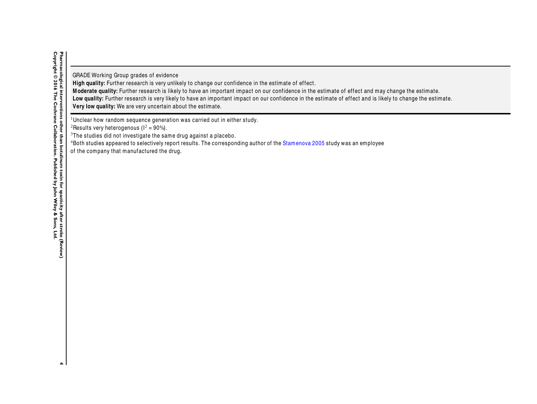GRADE Working Group grades of evidence

**High quality:** Further research is very unlikely to change our confidence in the estimate of effect.

**M oderate quality:** Further research is likely to have an important impact on our confidence in the estimate of effect and may change the estimate.

**Low quality:** Further research is very likely to have an important impact on our confidence in the estimate of effect and is likely to change the estimate.

**Very low quality:** We are very uncertain about the estimate.

<sup>1</sup>Unclear how random sequence generation was carried out in either study.

<sup>2</sup>Results very heterogenous ( $1^2$  = 90%).

<sup>3</sup>The studies did not investigate the same drug against a placebo.

 $^4$ Both studies appeared to selectively report results. The corresponding author of the  ${\rm Stam}$ enova [2005](#page-21-0) study was an employee

of the company that manufactured the drug.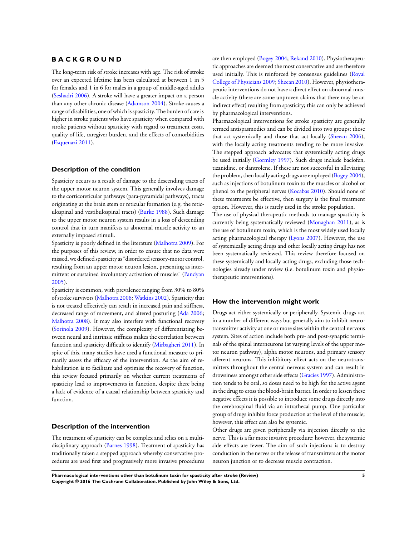## <span id="page-6-0"></span>**B A C K G R O U N D**

The long-term risk of stroke increases with age. The risk of stroke over an expected lifetime has been calculated at between 1 in 5 for females and 1 in 6 for males in a group of middle-aged adults [\(Seshadri 2006\)](#page-21-0). A stroke will have a greater impact on a person than any other chronic disease ([Adamson 2004](#page-21-0)). Stroke causes a range of disabilities, one of which is spasticity. The burden of care is higher in stroke patients who have spasticity when compared with stroke patients without spasticity with regard to treatment costs, quality of life, caregiver burden, and the effects of comorbidities [\(Esquenazi 2011](#page-21-0)).

#### **Description of the condition**

Spasticity occurs as a result of damage to the descending tracts of the upper motor neuron system. This generally involves damage to the corticoreticular pathways (para-pyramidal pathways), tracts originating at the brain stem or reticular formation (e.g. the reticulospinal and vestibulospinal tracts) [\(Burke 1988\)](#page-21-0). Such damage to the upper motor neuron system results in a loss of descending control that in turn manifests as abnormal muscle activity to an externally imposed stimuli.

Spasticity is poorly defined in the literature ([Malhotra 2009](#page-21-0)). For the purposes of this review, in order to ensure that no data were missed, we defined spasticity as "disordered sensory-motor control, resulting from an upper motor neuron lesion, presenting as intermittent or sustained involuntary activation of muscles" [\(Pandyan](#page-21-0) [2005](#page-21-0)).

Spasticity is common, with prevalence ranging from 30% to 80% of stroke survivors ([Malhotra 2008](#page-21-0); [Watkins 2002](#page-21-0)). Spasticity that is not treated effectively can result in increased pain and stiffness, decreased range of movement, and altered posturing ([Ada 2006;](#page-21-0) [Malhotra 2008\)](#page-21-0). It may also interfere with functional recovery [\(Sorinola 2009](#page-21-0)). However, the complexity of differentiating between neural and intrinsic stiffness makes the correlation between function and spasticity difficult to identify [\(Mirbagheri 2011](#page-21-0)). In spite of this, many studies have used a functional measure to primarily assess the efficacy of the intervention. As the aim of rehabilitation is to facilitate and optimise the recovery of function, this review focused primarily on whether current treatments of spasticity lead to improvements in function, despite there being a lack of evidence of a causal relationship between spasticity and function.

### **Description of the intervention**

The treatment of spasticity can be complex and relies on a multidisciplinary approach [\(Barnes 1998](#page-21-0)). Treatment of spasticity has traditionally taken a stepped approach whereby conservative procedures are used first and progressively more invasive procedures

are then employed [\(Bogey 2004;](#page-21-0) [Rekand 2010\)](#page-21-0). Physiotherapeutic approaches are deemed the most conservative and are therefore used initially. This is reinforced by consensus guidelines [\(Royal](#page-21-0) [College of Physicians 2009](#page-21-0); [Sheean 2010](#page-21-0)). However, physiotherapeutic interventions do not have a direct effect on abnormal muscle activity (there are some unproven claims that there may be an indirect effect) resulting from spasticity; this can only be achieved by pharmacological interventions.

Pharmacological interventions for stroke spasticity are generally termed antispasmodics and can be divided into two groups: those that act systemically and those that act locally [\(Sheean 2006](#page-21-0)), with the locally acting treatments tending to be more invasive. The stepped approach advocates that systemically acting drugs be used initially [\(Gormley 1997](#page-21-0)). Such drugs include baclofen, tizanidine, or dantrolene. If these are not successful in alleviating the problem, then locally acting drugs are employed [\(Bogey 2004](#page-21-0)), such as injections of botulinum toxin to the muscles or alcohol or phenol to the peripheral nerves [\(Kocabas 2010\)](#page-21-0). Should none of these treatments be effective, then surgery is the final treatment option. However, this is rarely used in the stroke population.

The use of physical therapeutic methods to manage spasticity is currently being systematically reviewed [\(Monaghan 2011](#page-21-0)), as is the use of botulinum toxin, which is the most widely used locally acting pharmacological therapy ([Lyons 2007\)](#page-21-0). However, the use of systemically acting drugs and other locally acting drugs has not been systematically reviewed. This review therefore focused on these systemically and locally acting drugs, excluding those technologies already under review (i.e. botulinum toxin and physiotherapeutic interventions).

#### **How the intervention might work**

Drugs act either systemically or peripherally. Systemic drugs act in a number of different ways but generally aim to inhibit neurotransmitter activity at one or more sites within the central nervous system. Sites of action include both pre- and post-synaptic terminals of the spinal interneurons (at varying levels of the upper motor neuron pathway), alpha motor neurons, and primary sensory afferent neurons. This inhibitory effect acts on the neurotransmitters throughout the central nervous system and can result in drowsiness amongst other side effects [\(Gracies 1997\)](#page-21-0). Administration tends to be oral, so doses need to be high for the active agent in the drug to cross the blood-brain barrier. In order to lessen these negative effects it is possible to introduce some drugs directly into the cerebrospinal fluid via an intrathecal pump. One particular group of drugs inhibits force production at the level of the muscle; however, this effect can also be systemic.

Other drugs are given peripherally via injection directly to the nerve. This is a far more invasive procedure; however, the systemic side effects are fewer. The aim of such injections is to destroy conduction in the nerves or the release of transmitters at the motor neuron junction or to decrease muscle contraction.

**Pharmacological interventions other than botulinum toxin for spasticity after stroke (Review) 5 Copyright © 2016 The Cochrane Collaboration. Published by John Wiley & Sons, Ltd.**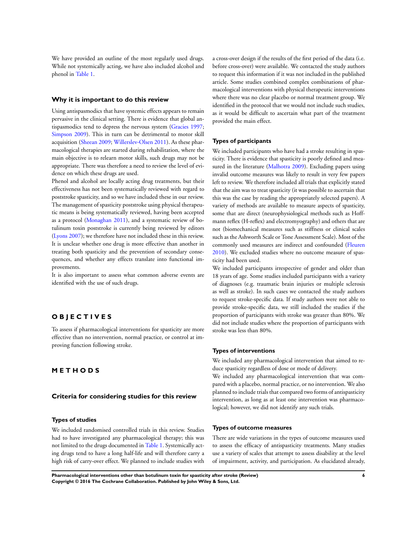We have provided an outline of the most regularly used drugs. While not systemically acting, we have also included alcohol and phenol in [Table 1](#page-54-0).

#### **Why it is important to do this review**

Using antispasmodics that have systemic effects appears to remain pervasive in the clinical setting. There is evidence that global antispasmodics tend to depress the nervous system [\(Gracies 1997;](#page-21-0) [Simpson 2009\)](#page-21-0). This in turn can be detrimental to motor skill acquisition [\(Sheean 2009](#page-21-0); [Willerslev-Olsen 2011\)](#page-21-0). As these pharmacological therapies are started during rehabilitation, where the main objective is to relearn motor skills, such drugs may not be appropriate. There was therefore a need to review the level of evidence on which these drugs are used.

Phenol and alcohol are locally acting drug treatments, but their effectiveness has not been systematically reviewed with regard to poststroke spasticity, and so we have included these in our review. The management of spasticity poststroke using physical therapeutic means is being systematically reviewed, having been accepted as a protocol [\(Monaghan 2011\)](#page-21-0), and a systematic review of botulinum toxin poststroke is currently being reviewed by editors [\(Lyons 2007\)](#page-21-0); we therefore have not included these in this review. It is unclear whether one drug is more effective than another in treating both spasticity and the prevention of secondary consequences, and whether any effects translate into functional improvements.

It is also important to assess what common adverse events are identified with the use of such drugs.

## **O B J E C T I V E S**

To assess if pharmacological interventions for spasticity are more effective than no intervention, normal practice, or control at improving function following stroke.

## **M E T H O D S**

#### **Criteria for considering studies for this review**

#### **Types of studies**

We included randomised controlled trials in this review. Studies had to have investigated any pharmacological therapy; this was not limited to the drugs documented in [Table 1.](#page-54-0) Systemically acting drugs tend to have a long half-life and will therefore carry a high risk of carry-over effect. We planned to include studies with

a cross-over design if the results of the first period of the data (i.e. before cross-over) were available. We contacted the study authors to request this information if it was not included in the published article. Some studies combined complex combinations of pharmacological interventions with physical therapeutic interventions where there was no clear placebo or normal treatment group. We identified in the protocol that we would not include such studies, as it would be difficult to ascertain what part of the treatment provided the main effect.

#### **Types of participants**

We included participants who have had a stroke resulting in spasticity. There is evidence that spasticity is poorly defined and measured in the literature [\(Malhotra 2009\)](#page-21-0). Excluding papers using invalid outcome measures was likely to result in very few papers left to review. We therefore included all trials that explicitly stated that the aim was to treat spasticity (it was possible to ascertain that this was the case by reading the appropriately selected papers). A variety of methods are available to measure aspects of spasticity, some that are direct (neurophysiological methods such as Hoffmann reflex (H-reflex) and electromyography) and others that are not (biomechanical measures such as stiffness or clinical scales such as the Ashworth Scale or Tone Assessment Scale). Most of the commonly used measures are indirect and confounded ([Fleuren](#page-21-0) [2010](#page-21-0)). We excluded studies where no outcome measure of spasticity had been used.

We included participants irrespective of gender and older than 18 years of age. Some studies included participants with a variety of diagnoses (e.g. traumatic brain injuries or multiple sclerosis as well as stroke). In such cases we contacted the study authors to request stroke-specific data. If study authors were not able to provide stroke-specific data, we still included the studies if the proportion of participants with stroke was greater than 80%. We did not include studies where the proportion of participants with stroke was less than 80%.

#### **Types of interventions**

We included any pharmacological intervention that aimed to reduce spasticity regardless of dose or mode of delivery.

We included any pharmacological intervention that was compared with a placebo, normal practice, or no intervention. We also planned to include trials that compared two forms of antispasticity intervention, as long as at least one intervention was pharmacological; however, we did not identify any such trials.

#### **Types of outcome measures**

There are wide variations in the types of outcome measures used to assess the efficacy of antispasticity treatments. Many studies use a variety of scales that attempt to assess disability at the level of impairment, activity, and participation. As elucidated already,

**Pharmacological interventions other than botulinum toxin for spasticity after stroke (Review) 6 Copyright © 2016 The Cochrane Collaboration. Published by John Wiley & Sons, Ltd.**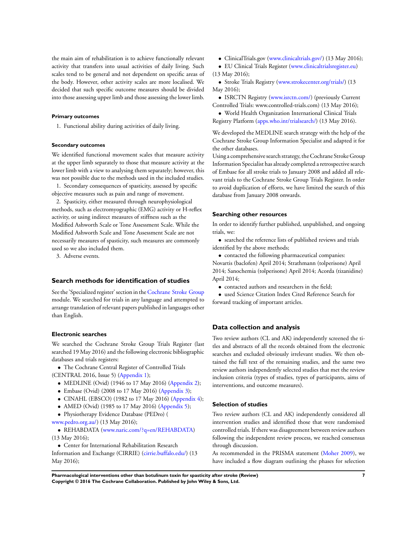the main aim of rehabilitation is to achieve functionally relevant activity that transfers into usual activities of daily living. Such scales tend to be general and not dependent on specific areas of the body. However, other activity scales are more localised. We decided that such specific outcome measures should be divided into those assessing upper limb and those assessing the lower limb.

#### **Primary outcomes**

1. Functional ability during activities of daily living.

#### **Secondary outcomes**

We identified functional movement scales that measure activity at the upper limb separately to those that measure activity at the lower limb with a view to analysing them separately; however, this was not possible due to the methods used in the included studies.

1. Secondary consequences of spasticity, assessed by specific objective measures such as pain and range of movement.

2. Spasticity, either measured through neurophysiological methods, such as electromyographic (EMG) activity or H-reflex activity, or using indirect measures of stiffness such as the Modified Ashworth Scale or Tone Assessment Scale. While the Modified Ashworth Scale and Tone Assessment Scale are not necessarily measures of spasticity, such measures are commonly used so we also included them.

3. Adverse events.

#### **Search methods for identification of studies**

See the 'Specialized register' section in the [Cochrane Stroke Group](http://onlinelibrary.wiley.com/o/cochrane/clabout/articles/STROKE/frame.html) module. We searched for trials in any language and attempted to arrange translation of relevant papers published in languages other than English.

#### **Electronic searches**

We searched the Cochrane Stroke Group Trials Register (last searched 19 May 2016) and the following electronic bibliographic databases and trials registers:

• The Cochrane Central Register of Controlled Trials

- (CENTRAL 2016, Issue 5) [\(Appendix 1\)](#page-56-0);
	- MEDLINE (Ovid) (1946 to 17 May 2016) ([Appendix 2](#page-56-0));
	- Embase (Ovid) (2008 to 17 May 2016) ([Appendix 3](#page-58-0));
	- CINAHL (EBSCO) (1982 to 17 May 2016) ([Appendix 4](#page-59-0));
	- AMED (Ovid) (1985 to 17 May 2016) [\(Appendix 5\)](#page-60-0);
	- Physiotherapy Evidence Database (PEDro) (
- [www.pedro.org.au/\)](http://www.pedro.org.au/) (13 May 2016);

• REHABDATA ([www.naric.com/?q=en/REHABDATA\)](http://www.naric.com/?q=en/REHABDATA) (13 May 2016);

• Center for International Rehabilitation Research Information and Exchange (CIRRIE) ([cirrie.buffalo.edu/](http://cirrie.buffalo.edu/)) (13 May 2016);

- ClinicalTrials.gov ([www.clinicaltrials.gov/](http://www.clinicaltrials.gov/)) (13 May 2016);
- EU Clinical Trials Register ([www.clinicaltrialsregister.eu\)](http://www.clinicaltrialsregister.eu) (13 May 2016);
- Stroke Trials Registry [\(www.strokecenter.org/trials/\)](http://www.strokecenter.org/trials/) (13 May 2016);

• ISRCTN Registry ([www.isrctn.com/](http://www.isrctn.com/)) (previously Current Controlled Trials: www.controlled-trials.com) (13 May 2016);

• World Health Organization International Clinical Trials Registry Platform ([apps.who.int/trialsearch/\)](http://apps.who.int/trialsearch/) (13 May 2016).

We developed the MEDLINE search strategy with the help of the Cochrane Stroke Group Information Specialist and adapted it for the other databases.

Using a comprehensive search strategy, the Cochrane Stroke Group Information Specialist has already completed a retrospective search of Embase for all stroke trials to January 2008 and added all relevant trials to the Cochrane Stroke Group Trials Register. In order to avoid duplication of efforts, we have limited the search of this database from January 2008 onwards.

#### **Searching other resources**

In order to identify further published, unpublished, and ongoing trials, we:

• searched the reference lists of published reviews and trials identified by the above methods;

• contacted the following pharmaceutical companies: Novartis (baclofen) April 2014; Strathmann (tolperisone) April 2014; Sanochemia (tolperisone) April 2014; Acorda (tizanidine) April 2014;

- contacted authors and researchers in the field;
- used Science Citation Index Cited Reference Search for forward tracking of important articles.

## **Data collection and analysis**

Two review authors (CL and AK) independently screened the titles and abstracts of all the records obtained from the electronic searches and excluded obviously irrelevant studies. We then obtained the full text of the remaining studies, and the same two review authors independently selected studies that met the review inclusion criteria (types of studies, types of participants, aims of interventions, and outcome measures).

#### **Selection of studies**

Two review authors (CL and AK) independently considered all intervention studies and identified those that were randomised controlled trials. If there was disagreement between review authors following the independent review process, we reached consensus through discussion.

As recommended in the PRISMA statement [\(Moher 2009\)](#page-21-0), we have included a flow diagram outlining the phases for selection

**Pharmacological interventions other than botulinum toxin for spasticity after stroke (Review) 7 Copyright © 2016 The Cochrane Collaboration. Published by John Wiley & Sons, Ltd.**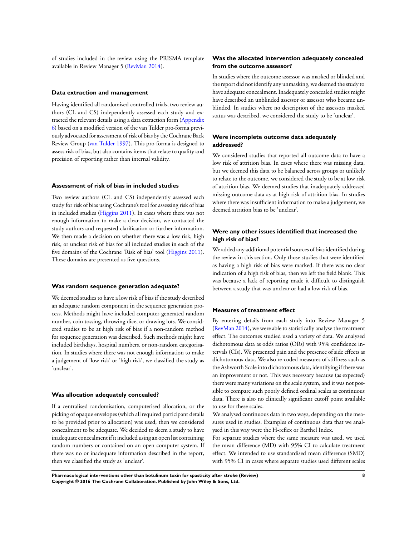of studies included in the review using the PRISMA template available in Review Manager 5 [\(RevMan 2014](#page-21-0)).

#### **Data extraction and management**

Having identified all randomised controlled trials, two review authors (CL and CS) independently assessed each study and extracted the relevant details using a data extraction form [\(Appendix](#page-61-0) [6\)](#page-61-0) based on a modified version of the van Tulder pro-forma previously advocated for assessment of risk of bias by the Cochrane Back Review Group ([van Tulder 1997\)](#page-21-0). This pro-forma is designed to assess risk of bias, but also contains items that relate to quality and precision of reporting rather than internal validity.

#### **Assessment of risk of bias in included studies**

Two review authors (CL and CS) independently assessed each study for risk of bias using Cochrane's tool for assessing risk of bias in included studies [\(Higgins 2011](#page-21-0)). In cases where there was not enough information to make a clear decision, we contacted the study authors and requested clarification or further information. We then made a decision on whether there was a low risk, high risk, or unclear risk of bias for all included studies in each of the five domains of the Cochrane 'Risk of bias' tool [\(Higgins 2011](#page-21-0)). These domains are presented as five questions.

#### **Was random sequence generation adequate?**

We deemed studies to have a low risk of bias if the study described an adequate random component in the sequence generation process. Methods might have included computer-generated random number, coin tossing, throwing dice, or drawing lots. We considered studies to be at high risk of bias if a non-random method for sequence generation was described. Such methods might have included birthdays, hospital numbers, or non-random categorisation. In studies where there was not enough information to make a judgement of 'low risk' or 'high risk', we classified the study as 'unclear'.

#### **Was allocation adequately concealed?**

If a centralised randomisation, computerised allocation, or the picking of opaque envelopes (which all required participant details to be provided prior to allocation) was used, then we considered concealment to be adequate. We decided to deem a study to have inadequate concealment if it included using an open list containing random numbers or contained on an open computer system. If there was no or inadequate information described in the report, then we classified the study as 'unclear'.

#### **Was the allocated intervention adequately concealed from the outcome assessor?**

In studies where the outcome assessor was masked or blinded and the report did not identify any unmasking, we deemed the study to have adequate concealment. Inadequately concealed studies might have described an unblinded assessor or assessor who became unblinded. In studies where no description of the assessors masked status was described, we considered the study to be 'unclear'.

## **Were incomplete outcome data adequately addressed?**

We considered studies that reported all outcome data to have a low risk of attrition bias. In cases where there was missing data, but we deemed this data to be balanced across groups or unlikely to relate to the outcome, we considered the study to be at low risk of attrition bias. We deemed studies that inadequately addressed missing outcome data as at high risk of attrition bias. In studies where there was insufficient information to make a judgement, we deemed attrition bias to be 'unclear'.

## **Were any other issues identified that increased the high risk of bias?**

We added any additional potential sources of bias identified during the review in this section. Only those studies that were identified as having a high risk of bias were marked. If there was no clear indication of a high risk of bias, then we left the field blank. This was because a lack of reporting made it difficult to distinguish between a study that was unclear or had a low risk of bias.

#### **Measures of treatment effect**

By entering details from each study into Review Manager 5 [\(RevMan 2014](#page-21-0)), we were able to statistically analyse the treatment effect. The outcomes studied used a variety of data. We analysed dichotomous data as odds ratios (ORs) with 95% confidence intervals (CIs). We presented pain and the presence of side effects as dichotomous data. We also re-coded measures of stiffness such as the Ashworth Scale into dichotomous data, identifying if there was an improvement or not. This was necessary because (as expected) there were many variations on the scale system, and it was not possible to compare such poorly defined ordinal scales as continuous data. There is also no clinically significant cutoff point available to use for these scales.

We analysed continuous data in two ways, depending on the measures used in studies. Examples of continuous data that we analysed in this way were the H-reflex or Barthel Index.

For separate studies where the same measure was used, we used the mean difference (MD) with 95% CI to calculate treatment effect. We intended to use standardised mean difference (SMD) with 95% CI in cases where separate studies used different scales

**Pharmacological interventions other than botulinum toxin for spasticity after stroke (Review) 8 Copyright © 2016 The Cochrane Collaboration. Published by John Wiley & Sons, Ltd.**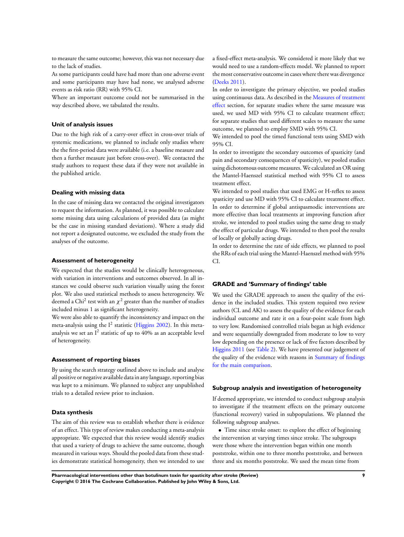to measure the same outcome; however, this was not necessary due to the lack of studies.

As some participants could have had more than one adverse event and some participants may have had none, we analysed adverse events as risk ratio (RR) with 95% CI.

Where an important outcome could not be summarised in the way described above, we tabulated the results.

#### **Unit of analysis issues**

Due to the high risk of a carry-over effect in cross-over trials of systemic medications, we planned to include only studies where the the first-period data were available (i.e. a baseline measure and then a further measure just before cross-over). We contacted the study authors to request these data if they were not available in the published article.

#### **Dealing with missing data**

In the case of missing data we contacted the original investigators to request the information. As planned, it was possible to calculate some missing data using calculations of provided data (as might be the case in missing standard deviations). Where a study did not report a designated outcome, we excluded the study from the analyses of the outcome.

#### **Assessment of heterogeneity**

We expected that the studies would be clinically heterogeneous, with variation in interventions and outcomes observed. In all instances we could observe such variation visually using the forest plot. We also used statistical methods to assess heterogeneity. We deemed a Chi $^2$  test with an  $\chi^2$  greater than the number of studies included minus 1 as significant heterogeneity.

We were also able to quantify the inconsistency and impact on the meta-analysis using the  $I^2$  statistic [\(Higgins 2002](#page-21-0)). In this metaanalysis we set an I $^2$  statistic of up to 40% as an acceptable level of heterogeneity.

#### **Assessment of reporting biases**

By using the search strategy outlined above to include and analyse all positive or negative available data in any language, reporting bias was kept to a minimum. We planned to subject any unpublished trials to a detailed review prior to inclusion.

## **Data synthesis**

The aim of this review was to establish whether there is evidence of an effect. This type of review makes conducting a meta-analysis appropriate. We expected that this review would identify studies that used a variety of drugs to achieve the same outcome, though measured in various ways. Should the pooled data from these studies demonstrate statistical homogeneity, then we intended to use a fixed-effect meta-analysis. We considered it more likely that we would need to use a random-effects model. We planned to report the most conservative outcome in cases where there was divergence [\(Deeks 2011\)](#page-21-0).

In order to investigate the primary objective, we pooled studies using continuous data. As described in the [Measures of treatment](#page-6-0) [effect](#page-6-0) section, for separate studies where the same measure was used, we used MD with 95% CI to calculate treatment effect; for separate studies that used different scales to measure the same outcome, we planned to employ SMD with 95% CI.

We intended to pool the timed functional tests using SMD with 95% CI.

In order to investigate the secondary outcomes of spasticity (and pain and secondary consequences of spasticity), we pooled studies using dichotomous outcome measures. We calculated an OR using the Mantel-Haenszel statistical method with 95% CI to assess treatment effect.

We intended to pool studies that used EMG or H-reflex to assess spasticity and use MD with 95% CI to calculate treatment effect. In order to determine if global antispasmodic interventions are more effective than local treatments at improving function after stroke, we intended to pool studies using the same drug to study the effect of particular drugs. We intended to then pool the results of locally or globally acting drugs.

In order to determine the rate of side effects, we planned to pool the RRs of each trial using the Mantel-Haenszel method with 95% CI.

#### **GRADE and 'Summary of findings' table**

We used the GRADE approach to assess the quality of the evidence in the included studies. This system required two review authors (CL and AK) to assess the quality of the evidence for each individual outcome and rate it on a four-point scale from high to very low. Randomised controlled trials began as high evidence and were sequentially downgraded from moderate to low to very low depending on the presence or lack of five factors described by [Higgins 2011](#page-21-0) (see [Table 2\)](#page-55-0). We have presented our judgement of the quality of the evidence with reasons in [Summary of findings](#page-4-0) [for the main comparison](#page-4-0).

#### **Subgroup analysis and investigation of heterogeneity**

If deemed appropriate, we intended to conduct subgroup analysis to investigate if the treatment effects on the primary outcome (functional recovery) varied in subpopulations. We planned the following subgroup analyses.

• Time since stroke onset: to explore the effect of beginning the intervention at varying times since stroke. The subgroups were those where the intervention began within one month poststroke, within one to three months poststroke, and between three and six months poststroke. We used the mean time from

**Pharmacological interventions other than botulinum toxin for spasticity after stroke (Review) 9 Copyright © 2016 The Cochrane Collaboration. Published by John Wiley & Sons, Ltd.**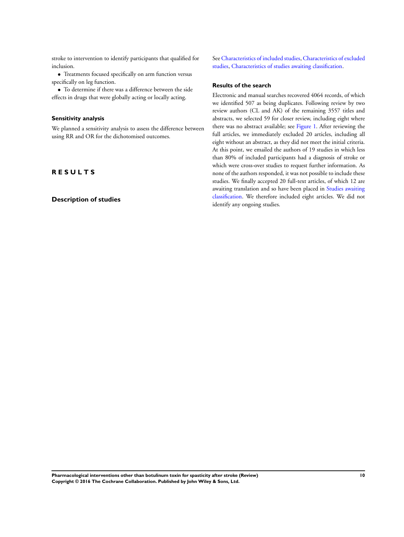stroke to intervention to identify participants that qualified for inclusion.

• Treatments focused specifically on arm function versus specifically on leg function.

• To determine if there was a difference between the side effects in drugs that were globally acting or locally acting.

### **Sensitivity analysis**

We planned a sensitivity analysis to assess the difference between using RR and OR for the dichotomised outcomes.

## **R E S U L T S**

## **Description of studies**

See [Characteristics of included studies,](#page-26-0) [Characteristics of excluded](#page-34-0) [studies,](#page-34-0) [Characteristics of studies awaiting classification.](#page-36-0)

#### **Results of the search**

Electronic and manual searches recovered 4064 records, of which we identified 507 as being duplicates. Following review by two review authors (CL and AK) of the remaining 3557 titles and abstracts, we selected 59 for closer review, including eight where there was no abstract available; see [Figure 1](#page-12-0). After reviewing the full articles, we immediately excluded 20 articles, including all eight without an abstract, as they did not meet the initial criteria. At this point, we emailed the authors of 19 studies in which less than 80% of included participants had a diagnosis of stroke or which were cross-over studies to request further information. As none of the authors responded, it was not possible to include these studies. We finally accepted 20 full-text articles, of which 12 are awaiting translation and so have been placed in [Studies awaiting](#page-21-0) [classification.](#page-21-0) We therefore included eight articles. We did not identify any ongoing studies.

**Pharmacological interventions other than botulinum toxin for spasticity after stroke (Review) 10 Copyright © 2016 The Cochrane Collaboration. Published by John Wiley & Sons, Ltd.**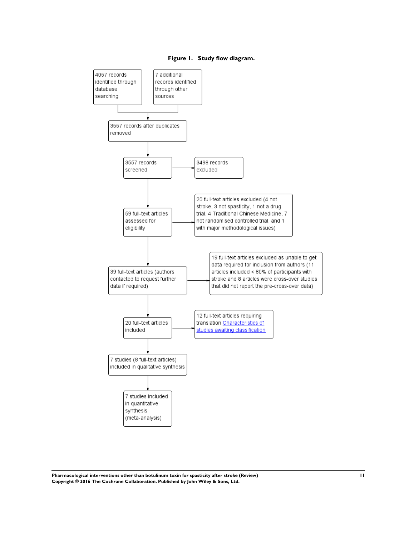<span id="page-12-0"></span>



**Pharmacological interventions other than botulinum toxin for spasticity after stroke (Review) 11 Copyright © 2016 The Cochrane Collaboration. Published by John Wiley & Sons, Ltd.**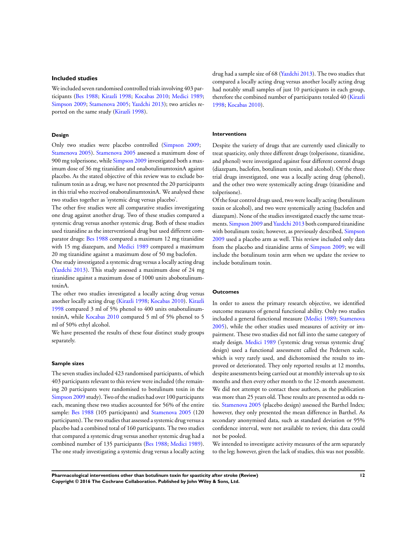#### **Included studies**

We included seven randomised controlled trials involving 403 participants ([Bes 1988](#page-21-0); [Kirazli 1998;](#page-21-0) [Kocabas 2010](#page-21-0); [Medici 1989;](#page-21-0) [Simpson 2009;](#page-21-0) [Stamenova 2005;](#page-21-0) [Yazdchi 2013\)](#page-21-0); two articles reported on the same study [\(Kirazli 1998\)](#page-21-0).

#### **Design**

Only two studies were placebo controlled ([Simpson 2009](#page-21-0); [Stamenova 2005](#page-21-0)). [Stamenova 2005](#page-21-0) assessed a maximum dose of 900 mg tolperisone, while [Simpson 2009](#page-21-0) investigated both a maximum dose of 36 mg tizanidine and onabotulinumtoxinA against placebo. As the stated objective of this review was to exclude botulinum toxin as a drug, we have not presented the 20 participants in this trial who received onabotulinumtoxinA. We analysed these two studies together as 'systemic drug versus placebo'.

The other five studies were all comparative studies investigating one drug against another drug. Two of these studies compared a systemic drug versus another systemic drug. Both of these studies used tizanidine as the interventional drug but used different comparator drugs: [Bes 1988](#page-21-0) compared a maximum 12 mg tizanidine with 15 mg diazepam, and [Medici 1989](#page-21-0) compared a maximum 20 mg tizanidine against a maximum dose of 50 mg baclofen.

One study investigated a systemic drug versus a locally acting drug [\(Yazdchi 2013\)](#page-21-0). This study assessed a maximum dose of 24 mg tizanidine against a maximum dose of 1000 units abobotulinumtoxinA.

The other two studies investigated a locally acting drug versus another locally acting drug [\(Kirazli 1998;](#page-21-0) [Kocabas 2010\)](#page-21-0). [Kirazli](#page-21-0) [1998](#page-21-0) compared 3 ml of 5% phenol to 400 units onabotulinumtoxinA, while [Kocabas 2010](#page-21-0) compared 5 ml of 5% phenol to 5 ml of 50% ethyl alcohol.

We have presented the results of these four distinct study groups separately.

#### **Sample sizes**

The seven studies included 423 randomised participants, of which 403 participants relevant to this review were included (the remaining 20 participants were randomised to botulinum toxin in the [Simpson 2009](#page-21-0) study). Two of the studies had over 100 participants each, meaning these two studies accounted for 56% of the entire sample: [Bes 1988](#page-21-0) (105 participants) and [Stamenova 2005](#page-21-0) (120 participants). The two studies that assessed a systemic drug versus a placebo had a combined total of 160 participants. The two studies that compared a systemic drug versus another systemic drug had a combined number of 135 participants [\(Bes 1988;](#page-21-0) [Medici 1989](#page-21-0)). The one study investigating a systemic drug versus a locally acting drug had a sample size of 68 [\(Yazdchi 2013\)](#page-21-0). The two studies that compared a locally acting drug versus another locally acting drug had notably small samples of just 10 participants in each group, therefore the combined number of participants totaled 40 [\(Kirazli](#page-21-0) [1998](#page-21-0); [Kocabas 2010](#page-21-0)).

#### **Interventions**

Despite the variety of drugs that are currently used clinically to treat spasticity, only three different drugs (tolperisone, tizanidine, and phenol) were investigated against four different control drugs (diazepam, baclofen, botulinum toxin, and alcohol). Of the three trial drugs investigated, one was a locally acting drug (phenol), and the other two were systemically acting drugs (tizanidine and tolperisone).

Of the four control drugs used, two were locally acting (botulinum toxin or alcohol), and two were systemically acting (baclofen and diazepam). None of the studies investigated exactly the same treatments. [Simpson 2009](#page-21-0) and [Yazdchi 2013](#page-21-0) both compared tizanidine with botulinum toxin; however, as previously described, [Simpson](#page-21-0) [2009](#page-21-0) used a placebo arm as well. This review included only data from the placebo and tizanidine arms of [Simpson 2009](#page-21-0); we will include the botulinum toxin arm when we update the review to include botulinum toxin.

#### **Outcomes**

In order to assess the primary research objective, we identified outcome measures of general functional ability. Only two studies included a general functional measure ([Medici 1989;](#page-21-0) [Stamenova](#page-21-0) [2005](#page-21-0)), while the other studies used measures of activity or impairment. These two studies did not fall into the same category of study design. [Medici 1989](#page-21-0) ('systemic drug versus systemic drug' design) used a functional assessment called the Pedersen scale, which is very rarely used, and dichotomised the results to improved or deteriorated. They only reported results at 12 months, despite assessments being carried out at monthly intervals up to six months and then every other month to the 12-month assessment. We did not attempt to contact these authors, as the publication was more than 25 years old. These results are presented as odds ratio. [Stamenova 2005](#page-21-0) (placebo design) assessed the Barthel Index; however, they only presented the mean difference in Barthel. As secondary anonymised data, such as standard deviation or 95% confidence interval, were not available to review, this data could not be pooled.

We intended to investigate activity measures of the arm separately to the leg; however, given the lack of studies, this was not possible.

**Pharmacological interventions other than botulinum toxin for spasticity after stroke (Review) 12 Copyright © 2016 The Cochrane Collaboration. Published by John Wiley & Sons, Ltd.**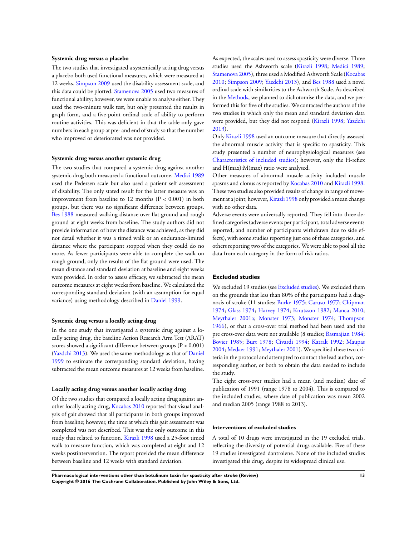#### **Systemic drug versus a placebo**

The two studies that investigated a systemically acting drug versus a placebo both used functional measures, which were measured at 12 weeks. [Simpson 2009](#page-21-0) used the disability assessment scale, and this data could be plotted. [Stamenova 2005](#page-21-0) used two measures of functional ability; however, we were unable to analyse either. They used the two-minute walk test, but only presented the results in graph form, and a five-point ordinal scale of ability to perform routine activities. This was deficient in that the table only gave numbers in each group at pre- and end of study so that the number who improved or deteriorated was not provided.

#### **Systemic drug versus another systemic drug**

The two studies that compared a systemic drug against another systemic drug both measured a functional outcome. [Medici 1989](#page-21-0) used the Pedersen scale but also used a patient self assessment of disability. The only stated result for the latter measure was an improvement from baseline to 12 months (P < 0.001) in both groups, but there was no significant difference between groups. [Bes 1988](#page-21-0) measured walking distance over flat ground and rough ground at eight weeks from baseline. The study authors did not provide information of how the distance was achieved, as they did not detail whether it was a timed walk or an endurance-limited distance where the participant stopped when they could do no more. As fewer participants were able to complete the walk on rough ground, only the results of the flat ground were used. The mean distance and standard deviation at baseline and eight weeks were provided. In order to assess efficacy, we subtracted the mean outcome measures at eight weeks from baseline. We calculated the corresponding standard deviation (with an assumption for equal variance) using methodology described in [Daniel 1999](#page-21-0).

#### **Systemic drug versus a locally acting drug**

In the one study that investigated a systemic drug against a locally acting drug, the baseline Action Research Arm Test (ARAT) scores showed a significant difference between groups  $(P < 0.001)$ [\(Yazdchi 2013\)](#page-21-0). We used the same methodology as that of [Daniel](#page-21-0) [1999](#page-21-0) to estimate the corresponding standard deviation, having subtracted the mean outcome measures at 12 weeks from baseline.

#### **Locally acting drug versus another locally acting drug**

Of the two studies that compared a locally acting drug against another locally acting drug, [Kocabas 2010](#page-21-0) reported that visual analysis of gait showed that all participants in both groups improved from baseline; however, the time at which this gait assessment was completed was not described. This was the only outcome in this study that related to function. [Kirazli 1998](#page-21-0) used a 25-foot timed walk to measure function, which was completed at eight and 12 weeks postintervention. The report provided the mean difference between baseline and 12 weeks with standard deviation.

As expected, the scales used to assess spasticity were diverse. Three studies used the Ashworth scale ([Kirazli 1998;](#page-21-0) [Medici 1989;](#page-21-0) [Stamenova 2005](#page-21-0)), three used a Modified Ashworth Scale ([Kocabas](#page-21-0) [2010](#page-21-0); [Simpson 2009;](#page-21-0) [Yazdchi 2013](#page-21-0)), and [Bes 1988](#page-21-0) used a novel ordinal scale with similarities to the Ashworth Scale. As described in the [Methods](#page-6-0), we planned to dichotomise the data, and we performed this for five of the studies. We contacted the authors of the two studies in which only the mean and standard deviation data were provided, but they did not respond ([Kirazli 1998](#page-21-0); [Yazdchi](#page-21-0) [2013](#page-21-0)).

Only [Kirazli 1998](#page-21-0) used an outcome measure that directly assessed the abnormal muscle activity that is specific to spasticity. This study presented a number of neurophysiological measures (see [Characteristics of included studies\)](#page-26-0); however, only the H-reflex and H(max):M(max) ratio were analysed.

Other measures of abnormal muscle activity included muscle spasms and clonus as reported by [Kocabas 2010](#page-21-0) and [Kirazli 1998.](#page-21-0) These two studies also provided results of change in range of move-ment at a joint; however, [Kirazli 1998](#page-21-0) only provided a mean change with no other data.

Adverse events were universally reported. They fell into three defined categories (adverse events per participant, total adverse events reported, and number of participants withdrawn due to side effects), with some studies reporting just one of these categories, and others reporting two of the categories. We were able to pool all the data from each category in the form of risk ratios.

#### **Excluded studies**

We excluded 19 studies (see [Excluded studies\)](#page-21-0). We excluded them on the grounds that less than 80% of the participants had a diagnosis of stroke (11 studies: [Burke 1975](#page-21-0); [Caruso 1977](#page-21-0); [Chipman](#page-21-0) [1974](#page-21-0); [Glass 1974;](#page-21-0) [Harvey 1974;](#page-21-0) [Knutsson 1982](#page-21-0); [Manca 2010;](#page-21-0) [Meythaler 2001a;](#page-21-0) [Monster 1973;](#page-21-0) [Monster 1974;](#page-21-0) [Thompson](#page-21-0) [1966](#page-21-0)), or that a cross-over trial method had been used and the pre cross-over data were not available (8 studies; [Basmajian 1984;](#page-21-0) [Bovier 1985](#page-21-0); [Burt 1978;](#page-21-0) [Civardi 1994;](#page-21-0) [Katrak 1992;](#page-21-0) [Maupas](#page-21-0) [2004](#page-21-0); [Medaer 1991](#page-21-0); [Meythaler 2001\)](#page-21-0). We specified these two criteria in the protocol and attempted to contact the lead author, corresponding author, or both to obtain the data needed to include the study.

The eight cross-over studies had a mean (and median) date of publication of 1991 (range 1978 to 2004). This is compared to the included studies, where date of publication was mean 2002 and median 2005 (range 1988 to 2013).

#### **Interventions of excluded studies**

A total of 10 drugs were investigated in the 19 excluded trials, reflecting the diversity of potential drugs available. Five of these 19 studies investigated dantrolene. None of the included studies investigated this drug, despite its widespread clinical use.

**Pharmacological interventions other than botulinum toxin for spasticity after stroke (Review) 13 Copyright © 2016 The Cochrane Collaboration. Published by John Wiley & Sons, Ltd.**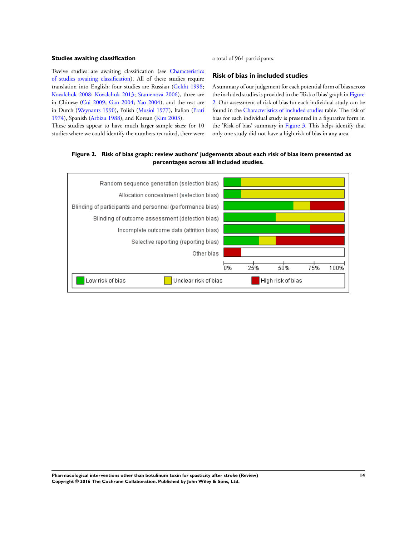### **Studies awaiting classification**

Twelve studies are awaiting classification (see [Characteristics](#page-36-0) [of studies awaiting classification](#page-36-0)). All of these studies require translation into English: four studies are Russian ([Gekht 1998;](#page-21-0) [Kovalchuk 2008](#page-21-0); [Kovalchuk 2013](#page-21-0); [Stamenova 2006](#page-21-0)), three are in Chinese ([Cui 2009](#page-21-0); [Gan 2004](#page-21-0); [Yao 2004\)](#page-21-0), and the rest are in Dutch [\(Weynants 1990](#page-21-0)), Polish ([Musiol 1977](#page-21-0)), Italian ([Prati](#page-21-0) [1974](#page-21-0)), Spanish ([Arbizu 1988](#page-21-0)), and Korean [\(Kim 2003\)](#page-21-0).

These studies appear to have much larger sample sizes; for 10 studies where we could identify the numbers recruited, there were a total of 964 participants.

## **Risk of bias in included studies**

A summary of our judgement for each potential form of bias across the included studies is provided in the 'Risk of bias' graph in Figure 2. Our assessment of risk of bias for each individual study can be found in the [Characteristics of included studies](#page-26-0) table. The risk of bias for each individual study is presented in a figurative form in the 'Risk of bias' summary in [Figure 3](#page-16-0). This helps identify that only one study did not have a high risk of bias in any area.

## **Figure 2. Risk of bias graph: review authors' judgements about each risk of bias item presented as percentages across all included studies.**

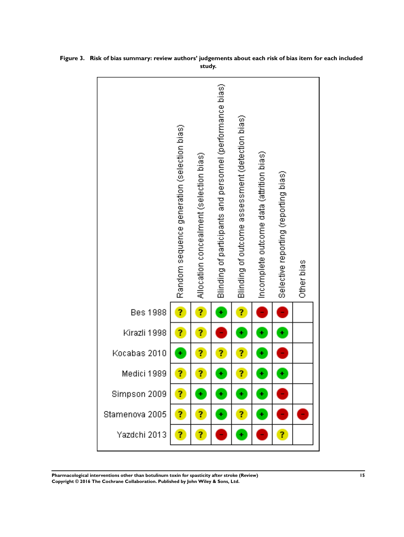

<span id="page-16-0"></span>**Figure 3. Risk of bias summary: review authors' judgements about each risk of bias item for each included study.**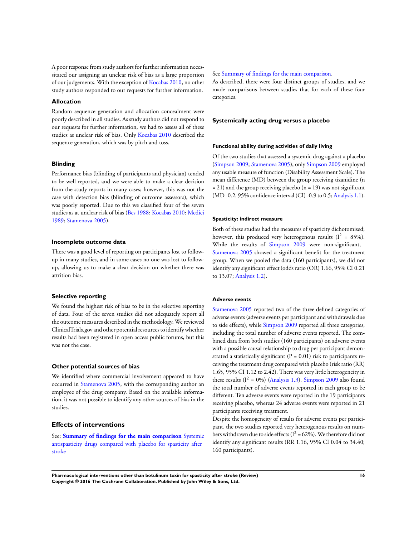A poor response from study authors for further information necessitated our assigning an unclear risk of bias as a large proportion of our judgements. With the exception of [Kocabas 2010,](#page-21-0) no other study authors responded to our requests for further information.

#### **Allocation**

Random sequence generation and allocation concealment were poorly described in all studies. As study authors did not respond to our requests for further information, we had to assess all of these studies as unclear risk of bias. Only [Kocabas 2010](#page-21-0) described the sequence generation, which was by pitch and toss.

#### **Blinding**

Performance bias (blinding of participants and physician) tended to be well reported, and we were able to make a clear decision from the study reports in many cases; however, this was not the case with detection bias (blinding of outcome assessors), which was poorly reported. Due to this we classified four of the seven studies as at unclear risk of bias ([Bes 1988;](#page-21-0) [Kocabas 2010;](#page-21-0) [Medici](#page-21-0) [1989](#page-21-0); [Stamenova 2005\)](#page-21-0).

#### **Incomplete outcome data**

There was a good level of reporting on participants lost to followup in many studies, and in some cases no one was lost to followup, allowing us to make a clear decision on whether there was attrition bias.

#### **Selective reporting**

We found the highest risk of bias to be in the selective reporting of data. Four of the seven studies did not adequately report all the outcome measures described in the methodology. We reviewed ClinicalTrials.gov and other potential resources to identify whether results had been registered in open access public forums, but this was not the case.

#### **Other potential sources of bias**

We identified where commercial involvement appeared to have occurred in [Stamenova 2005](#page-21-0), with the corresponding author an employee of the drug company. Based on the available information, it was not possible to identify any other sources of bias in the studies.

#### **Effects of interventions**

See: **[Summary of findings for the main comparison](#page-4-0)** [Systemic](#page-4-0) [antispasticity drugs compared with placebo for spasticity after](#page-4-0) [stroke](#page-4-0)

#### See [Summary of findings for the main comparison](#page-4-0).

As described, there were four distinct groups of studies, and we made comparisons between studies that for each of these four categories.

#### **Systemically acting drug versus a placebo**

#### **Functional ability during activities of daily living**

Of the two studies that assessed a systemic drug against a placebo [\(Simpson 2009](#page-21-0); [Stamenova 2005](#page-21-0)), only [Simpson 2009](#page-21-0) employed any usable measure of function (Disability Assessment Scale). The mean difference (MD) between the group receiving tizanidine (n  $= 21$ ) and the group receiving placebo (n = 19) was not significant (MD -0.2, 95% confidence interval (CI) -0.9 to 0.5; [Analysis 1.1](#page-42-0)).

#### **Spasticity: indirect measure**

Both of these studies had the measures of spasticity dichotomised; however, this produced very heterogenous results ( $I^2 = 85\%$ ). While the results of [Simpson 2009](#page-21-0) were non-significant, [Stamenova 2005](#page-21-0) showed a significant benefit for the treatment group. When we pooled the data (160 participants), we did not identify any significant effect (odds ratio (OR) 1.66, 95% CI 0.21 to 13.07; [Analysis 1.2](#page-42-0)).

## **Adverse events**

[Stamenova 2005](#page-21-0) reported two of the three defined categories of adverse events (adverse events per participant and withdrawals due to side effects), while [Simpson 2009](#page-21-0) reported all three categories, including the total number of adverse events reported. The combined data from both studies (160 participants) on adverse events with a possible causal relationship to drug per participant demonstrated a statistically significant ( $P = 0.01$ ) risk to participants receiving the treatment drug compared with placebo (risk ratio (RR) 1.65, 95% CI 1.12 to 2.42). There was very little heterogeneity in these results  $(I^2 = 0\%)$  ([Analysis 1.3](#page-42-0)). [Simpson 2009](#page-21-0) also found the total number of adverse events reported in each group to be different. Ten adverse events were reported in the 19 participants receiving placebo, whereas 24 adverse events were reported in 21 participants receiving treatment.

Despite the homogeneity of results for adverse events per participant, the two studies reported very heterogenous results on numbers withdrawn due to side effects ( $I^2 = 62\%$ ). We therefore did not identify any significant results (RR 1.16, 95% CI 0.04 to 34.40; 160 participants).

**Pharmacological interventions other than botulinum toxin for spasticity after stroke (Review) 16 Copyright © 2016 The Cochrane Collaboration. Published by John Wiley & Sons, Ltd.**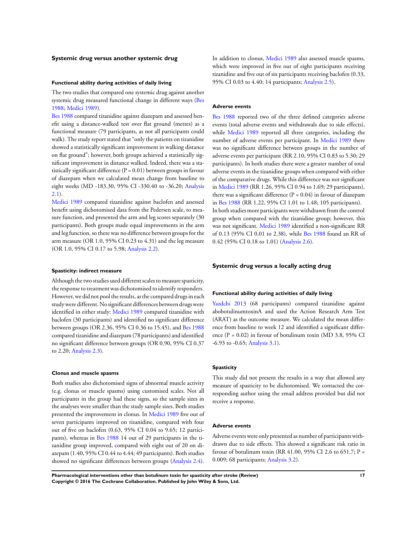#### **Systemic drug versus another systemic drug**

#### **Functional ability during activities of daily living**

The two studies that compared one systemic drug against another systemic drug measured functional change in different ways [\(Bes](#page-21-0) [1988](#page-21-0); [Medici 1989](#page-21-0)).

[Bes 1988](#page-21-0) compared tizanidine against diazepam and assessed benefit using a distance-walked test over flat ground (metres) as a functional measure (79 participants, as not all participants could walk). The study report stated that "only the patients on tizanidine showed a statistically significant improvement in walking distance on flat ground"; however, both groups achieved a statistically significant improvement in distance walked. Indeed, there was a statistically significant difference  $(P = 0.01)$  between groups in favour of diazepam when we calculated mean change from baseline to eight weeks (MD -183.30, 95% CI -330.40 to -36.20; [Analysis](#page-44-0) [2.1](#page-44-0)).

[Medici 1989](#page-21-0) compared tizanidine against baclofen and assessed benefit using dichotomised data from the Pedersen scale, to measure function, and presented the arm and leg scores separately (30 participants). Both groups made equal improvements in the arm and leg function, so there was no difference between groups for the arm measure (OR 1.0, 95% CI 0.23 to 4.31) and the leg measure (OR 1.0, 95% CI 0.17 to 5.98; [Analysis 2.2\)](#page-45-0).

#### **Spasticity: indirect measure**

Although the two studies used different scales to measure spasticity, the response to treatment was dichotomised to identify responders. However, we did not pool the results, as the compared drugs in each study were different. No significant differences between drugs were identified in either study: [Medici 1989](#page-21-0) compared tizanidine with baclofen (30 participants) and identified no significant difference between groups (OR 2.36, 95% CI 0.36 to 15.45), and [Bes 1988](#page-21-0) compared tizanidine and diazepam (78 participants) and identified no significant difference between groups (OR 0.90, 95% CI 0.37 to 2.20; [Analysis 2.3\)](#page-46-0).

#### **Clonus and muscle spasms**

Both studies also dichotomised signs of abnormal muscle activity (e.g. clonus or muscle spasms) using customised scales. Not all participants in the group had these signs, so the sample sizes in the analyses were smaller than the study sample sizes. Both studies presented the improvement in clonus. In [Medici 1989](#page-21-0) five out of seven participants improved on tizanidine, compared with four out of five on baclofen (0.63, 95% CI 0.04 to 9.65; 12 participants), whereas in [Bes 1988](#page-21-0) 14 out of 29 participants in the tizanidine group improved, compared with eight out of 20 on diazepam (1.40, 95% CI 0.44 to 4.44; 49 participants). Both studies showed no significant differences between groups [\(Analysis 2.4](#page-47-0)).

In addition to clonus, [Medici 1989](#page-21-0) also assessed muscle spasms, which were improved in five out of eight participants receiving tizanidine and five out of six participants receiving baclofen (0.33, 95% CI 0.03 to 4.40; 14 participants; [Analysis 2.5\)](#page-48-0).

#### **Adverse events**

[Bes 1988](#page-21-0) reported two of the three defined categories adverse events (total adverse events and withdrawals due to side effects), while [Medici 1989](#page-21-0) reported all three categories, including the number of adverse events per participant. In [Medici 1989](#page-21-0) there was no significant difference between groups in the number of adverse events per participant (RR 2.10, 95% CI 0.83 to 5.30; 29 participants). In both studies there were a greater number of total adverse events in the tizanidine groups when compared with either of the comparative drugs. While this difference was not significant in [Medici 1989](#page-21-0) (RR 1.26, 95% CI 0.94 to 1.69; 29 participants), there was a significant difference  $(P = 0.04)$  in favour of diazepam in [Bes 1988](#page-21-0) (RR 1.22, 95% CI 1.01 to 1.48; 105 participants). In both studies more participants were withdrawn from the control group when compared with the tizanidine group; however, this was not significant. [Medici 1989](#page-21-0) identified a non-significant RR of 0.13 (95% CI 0.01 to 2.38), while [Bes 1988](#page-21-0) found an RR of 0.42 (95% CI 0.18 to 1.01) ([Analysis 2.6](#page-49-0)).

#### **Systemic drug versus a locally acting drug**

#### **Functional ability during activities of daily living**

[Yazdchi 2013](#page-21-0) (68 participants) compared tizanidine against abobotulinumtoxinA and used the Action Research Arm Test (ARAT) as the outcome measure. We calculated the mean difference from baseline to week 12 and identified a significant difference  $(P = 0.02)$  in favour of botulinum toxin (MD 3.8, 95% CI -6.93 to -0.65; [Analysis 3.1](#page-50-0)).

## **Spasticity**

This study did not present the results in a way that allowed any measure of spasticity to be dichotomised. We contacted the corresponding author using the email address provided but did not receive a response.

#### **Adverse events**

Adverse events were only presented as number of participants withdrawn due to side effects. This showed a significant risk ratio in favour of botulinum toxin (RR 41.00, 95% CI 2.6 to 651.7; P = 0.009; 68 participants; [Analysis 3.2](#page-50-0)).

**Pharmacological interventions other than botulinum toxin for spasticity after stroke (Review) 17 Copyright © 2016 The Cochrane Collaboration. Published by John Wiley & Sons, Ltd.**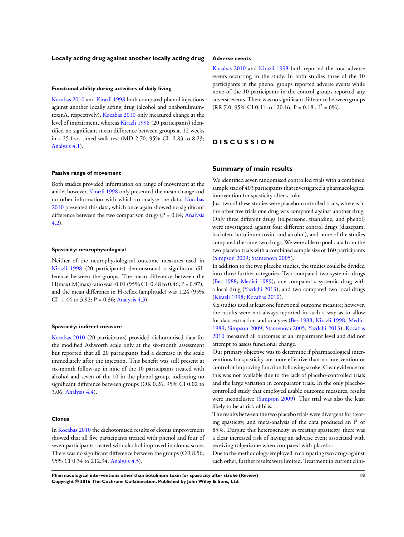#### **Locally acting drug against another locally acting drug**

#### **Functional ability during activities of daily living**

[Kocabas 2010](#page-21-0) and [Kirazli 1998](#page-21-0) both compared phenol injections against another locally acting drug (alcohol and onabotulinumtoxinA, respectively). [Kocabas 2010](#page-21-0) only measured change at the level of impairment, whereas [Kirazli 1998](#page-21-0) (20 participants) identified no significant mean difference between groups at 12 weeks in a 25-foot timed walk test (MD 2.70, 95% CI -2.83 to 8.23; [Analysis 4.1\)](#page-50-0).

#### **Passive range of movement**

Both studies provided information on range of movement at the ankle; however, [Kirazli 1998](#page-21-0) only presented the mean change and no other information with which to analyse the data. [Kocabas](#page-21-0) [2010](#page-21-0) presented this data, which once again showed no significant difference between the two comparison drugs ( $P = 0.84$ ; [Analysis](#page-51-0) [4.2](#page-51-0)).

#### **Spasticity: neurophysiological**

Neither of the neurophysiological outcome measures used in [Kirazli 1998](#page-21-0) (20 participants) demonstrated a significant difference between the groups. The mean difference between the  $H(max):M(max)$  ratio was -0.01 (95% CI -0.48 to 0.46; P = 0.97), and the mean difference in H-reflex (amplitude) was 1.24 (95% CI -1.44 to 3.92;  $P = 0.36$ ; [Analysis 4.3](#page-51-0)).

#### **Spasticity: indirect measure**

[Kocabas 2010](#page-21-0) (20 participants) provided dichotomised data for the modified Ashworth scale only at the six-month assessment but reported that all 20 participants had a decrease in the scale immediately after the injection. This benefit was still present at six-month follow-up in nine of the 10 participants treated with alcohol and seven of the 10 in the phenol group, indicating no significant difference between groups (OR 0.26, 95% CI 0.02 to 3.06; [Analysis 4.4](#page-53-0)).

#### **Clonus**

In [Kocabas 2010](#page-21-0) the dichotomised results of clonus improvement showed that all five participants treated with phenol and four of seven participants treated with alcohol improved in clonus score. There was no significant difference between the groups (OR 8.56, 95% CI 0.34 to 212.94; [Analysis 4.5\)](#page-53-0).

#### **Adverse events**

[Kocabas 2010](#page-21-0) and [Kirazli 1998](#page-21-0) both reported the total adverse events occurring in the study. In both studies three of the 10 participants in the phenol groups reported adverse events while none of the 10 participants in the control groups reported any adverse events. There was no significant difference between groups (RR 7.0, 95% CI 0.41 to 120.16; P = 0.18;  $I^2 = 0\%$ ).

## **D I S C U S S I O N**

#### **Summary of main results**

We identified seven randomised controlled trials with a combined sample size of 403 participants that investigated a pharmacological intervention for spasticity after stroke.

Just two of these studies were placebo-controlled trials, whereas in the other five trials one drug was compared against another drug. Only three different drugs (tolperisone, tizanidine, and phenol) were investigated against four different control drugs (diazepam, baclofen, botulinum toxin, and alcohol), and none of the studies compared the same two drugs. We were able to pool data from the two placebo trials with a combined sample size of 160 participants [\(Simpson 2009;](#page-21-0) [Stamenova 2005](#page-21-0)).

In addition to the two placebo studies, the studies could be divided into three further categories. Two compared two systemic drugs [\(Bes 1988](#page-21-0); [Medici 1989\)](#page-21-0); one compared a systemic drug with a local drug [\(Yazdchi 2013\)](#page-21-0); and two compared two local drugs [\(Kirazli 1998](#page-21-0); [Kocabas 2010\)](#page-21-0).

Six studies used at least one functional outcome measure; however, the results were not always reported in such a way as to allow for data extraction and analyses [\(Bes 1988;](#page-21-0) [Kirazli 1998](#page-21-0); [Medici](#page-21-0) [1989](#page-21-0); [Simpson 2009;](#page-21-0) [Stamenova 2005;](#page-21-0) [Yazdchi 2013\)](#page-21-0). [Kocabas](#page-21-0) [2010](#page-21-0) measured all outcomes at an impairment level and did not attempt to assess functional change.

Our primary objective was to determine if pharmacological interventions for spasticity are more effective than no intervention or control at improving function following stroke. Clear evidence for this was not available due to the lack of placebo-controlled trials and the large variation in comparator trials. In the only placebocontrolled study that employed usable outcome measures, results were inconclusive [\(Simpson 2009\)](#page-21-0). This trial was also the least likely to be at risk of bias.

The results between the two placebo trials were divergent for treating spasticity, and meta-analysis of the data produced an  $I^2$  of 85%. Despite this heterogeneity in treating spasticity, there was a clear increased risk of having an adverse event associated with receiving tolperisone when compared with placebo.

Due to the methodology employed in comparing two drugs against each other, further results were limited. Treatment in current clini-

**Pharmacological interventions other than botulinum toxin for spasticity after stroke (Review) 18 Copyright © 2016 The Cochrane Collaboration. Published by John Wiley & Sons, Ltd.**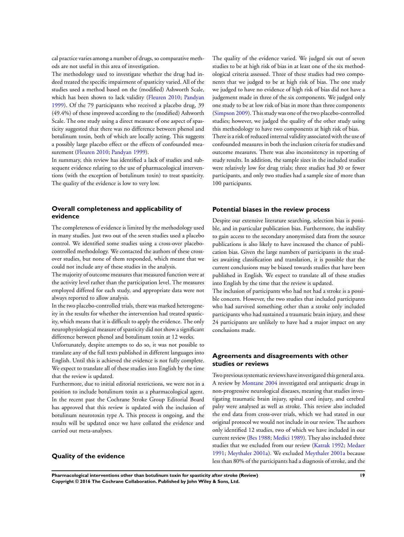cal practice varies among a number of drugs, so comparative methods are not useful in this area of investigation.

The methodology used to investigate whether the drug had indeed treated the specific impairment of spasticity varied. All of the studies used a method based on the (modified) Ashworth Scale, which has been shown to lack validity ([Fleuren 2010](#page-21-0); [Pandyan](#page-21-0) [1999](#page-21-0)). Of the 79 participants who received a placebo drug, 39 (49.4%) of these improved according to the (modified) Ashworth Scale. The one study using a direct measure of one aspect of spasticity suggested that there was no difference between phenol and botulinum toxin, both of which are locally acting. This suggests a possibly large placebo effect or the effects of confounded measurement [\(Fleuren 2010;](#page-21-0) [Pandyan 1999\)](#page-21-0).

In summary, this review has identified a lack of studies and subsequent evidence relating to the use of pharmacological interventions (with the exception of botulinum toxin) to treat spasticity. The quality of the evidence is low to very low.

## **Overall completeness and applicability of evidence**

The completeness of evidence is limited by the methodology used in many studies. Just two out of the seven studies used a placebo control. We identified some studies using a cross-over placebocontrolled methodology. We contacted the authors of these crossover studies, but none of them responded, which meant that we could not include any of these studies in the analysis.

The majority of outcome measures that measured function were at the activity level rather than the participation level. The measures employed differed for each study, and appropriate data were not always reported to allow analysis.

In the two placebo-controlled trials, there was marked heterogeneity in the results for whether the intervention had treated spasticity, which means that it is difficult to apply the evidence. The only neurophysiological measure of spasticity did not show a significant difference between phenol and botulinum toxin at 12 weeks.

Unfortunately, despite attempts to do so, it was not possible to translate any of the full texts published in different languages into English. Until this is achieved the evidence is not fully complete. We expect to translate all of these studies into English by the time that the review is updated.

Furthermore, due to initial editorial restrictions, we were not in a position to include botulinum toxin as a pharmacological agent. In the recent past the Cochrane Stroke Group Editorial Board has approved that this review is updated with the inclusion of botulinum neurotoxin type A. This process is ongoing, and the results will be updated once we have collated the evidence and carried out meta-analyses.

## **Quality of the evidence**

The quality of the evidence varied. We judged six out of seven studies to be at high risk of bias in at least one of the six methodological criteria assessed. Three of these studies had two components that we judged to be at high risk of bias. The one study we judged to have no evidence of high risk of bias did not have a judgement made in three of the six components. We judged only one study to be at low risk of bias in more than three components [\(Simpson 2009\)](#page-21-0). This study was one of the two placebo-controlled studies; however, we judged the quality of the other study using this methodology to have two components at high risk of bias. There is a risk of reduced internal validity associated with the use of confounded measures in both the inclusion criteria for studies and outcome measures. There was also inconsistency in reporting of study results. In addition, the sample sizes in the included studies were relatively low for drug trials; three studies had 30 or fewer participants, and only two studies had a sample size of more than

#### **Potential biases in the review process**

100 participants.

Despite our extensive literature searching, selection bias is possible, and in particular publication bias. Furthermore, the inability to gain access to the secondary anonymised data from the source publications is also likely to have increased the chance of publication bias. Given the large numbers of participants in the studies awaiting classification and translation, it is possible that the current conclusions may be biased towards studies that have been published in English. We expect to translate all of these studies into English by the time that the review is updated.

The inclusion of participants who had not had a stroke is a possible concern. However, the two studies that included participants who had survived something other than a stroke only included participants who had sustained a traumatic brain injury, and these 24 participants are unlikely to have had a major impact on any conclusions made.

## **Agreements and disagreements with other studies or reviews**

Two previous systematic reviews have investigated this general area. A review by [Montane 2004](#page-21-0) investigated oral antispastic drugs in non-progressive neurological diseases, meaning that studies investigating traumatic brain injury, spinal cord injury, and cerebral palsy were analysed as well as stroke. This review also included the end data from cross-over trials, which we had stated in our original protocol we would not include in our review. The authors only identified 12 studies, two of which we have included in our current review [\(Bes 1988;](#page-21-0) [Medici 1989](#page-21-0)). They also included three studies that we excluded from our review ([Katrak 1992](#page-21-0); [Medaer](#page-21-0) [1991](#page-21-0); [Meythaler 2001a](#page-21-0)). We excluded [Meythaler 2001a](#page-21-0) because less than 80% of the participants had a diagnosis of stroke, and the

**Pharmacological interventions other than botulinum toxin for spasticity after stroke (Review) 19 Copyright © 2016 The Cochrane Collaboration. Published by John Wiley & Sons, Ltd.**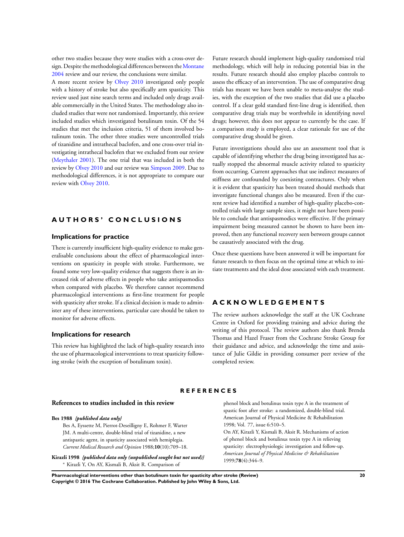<span id="page-21-0"></span>other two studies because they were studies with a cross-over design. Despite the methodological differences between the Montane 2004 review and our review, the conclusions were similar.

A more recent review by Olvey 2010 investigated only people with a history of stroke but also specifically arm spasticity. This review used just nine search terms and included only drugs available commercially in the United States. The methodology also included studies that were not randomised. Importantly, this review included studies which investigated botulinum toxin. Of the 54 studies that met the inclusion criteria, 51 of them involved botulinum toxin. The other three studies were uncontrolled trials of tizanidine and intrathecal baclofen, and one cross-over trial investigating intrathecal baclofen that we excluded from our review (Meythaler 2001). The one trial that was included in both the review by Olvey 2010 and our review was Simpson 2009. Due to methodological differences, it is not appropriate to compare our review with Olvey 2010.

## **A U T H O R S ' C O N C L U S I O N S**

## **Implications for practice**

There is currently insufficient high-quality evidence to make generalisable conclusions about the effect of pharmacological interventions on spasticity in people with stroke. Furthermore, we found some very low-quality evidence that suggests there is an increased risk of adverse effects in people who take antispasmodics when compared with placebo. We therefore cannot recommend pharmacological interventions as first-line treatment for people with spasticity after stroke. If a clinical decision is made to administer any of these interventions, particular care should be taken to monitor for adverse effects.

#### **Implications for research**

This review has highlighted the lack of high-quality research into the use of pharmacological interventions to treat spasticity following stroke (with the exception of botulinum toxin).

Future research should implement high-quality randomised trial methodology, which will help in reducing potential bias in the results. Future research should also employ placebo controls to assess the efficacy of an intervention. The use of comparative drug trials has meant we have been unable to meta-analyse the studies, with the exception of the two studies that did use a placebo control. If a clear gold standard first-line drug is identified, then comparative drug trials may be worthwhile in identifying novel drugs; however, this does not appear to currently be the case. If a comparison study is employed, a clear rationale for use of the comparative drug should be given.

Future investigations should also use an assessment tool that is capable of identifying whether the drug being investigated has actually stopped the abnormal muscle activity related to spasticity from occurring. Current approaches that use indirect measures of stiffness are confounded by coexisting contractures. Only when it is evident that spasticity has been treated should methods that investigate functional changes also be measured. Even if the current review had identified a number of high-quality placebo-controlled trials with large sample sizes, it might not have been possible to conclude that antispasmodics were effective. If the primary impairment being measured cannot be shown to have been improved, then any functional recovery seen between groups cannot be causatively associated with the drug.

Once these questions have been answered it will be important for future research to then focus on the optimal time at which to initiate treatments and the ideal dose associated with each treatment.

## **A C K N O W L E D G E M E N T S**

The review authors acknowledge the staff at the UK Cochrane Centre in Oxford for providing training and advice during the writing of this protocol. The review authors also thank Brenda Thomas and Hazel Fraser from the Cochrane Stroke Group for their guidance and advice, and acknowledge the time and assistance of Julie Gildie in providing consumer peer review of the completed review.

#### **R E F E R E N C E S**

## **References to studies included in this review**

#### **Bes 1988** *{published data only}*

Bes A, Eyssette M, Pierrot-Deseilligny E, Rohmer F, Warter JM. A multi-centre, double-blind trial of tizanidine, a new antispastic agent, in spasticity associated with hemiplegia. *Current Medical Research and Opinion* 1988;**10**(10):709–18.

**Kirazli 1998** *{published data only (unpublished sought but not used)}* <sup>∗</sup> Kirazli Y, On AY, Kismali B, Aksit R. Comparison of

phenol block and botulinus toxin type A in the treatment of spastic foot after stroke: a randomized, double-blind trial. American Journal of Physical Medicine & Rehabilitation 1998; Vol. 77, issue 6:510–5.

On AY, Kirazli Y, Kismali B, Aksit R. Mechanisms of action of phenol block and botulinus toxin type A in relieving spasticity: electrophysiologic investigation and follow-up. *American Journal of Physical Medicine & Rehabilitation* 1999;**78**(4):344–9.

**Pharmacological interventions other than botulinum toxin for spasticity after stroke (Review) 20 Copyright © 2016 The Cochrane Collaboration. Published by John Wiley & Sons, Ltd.**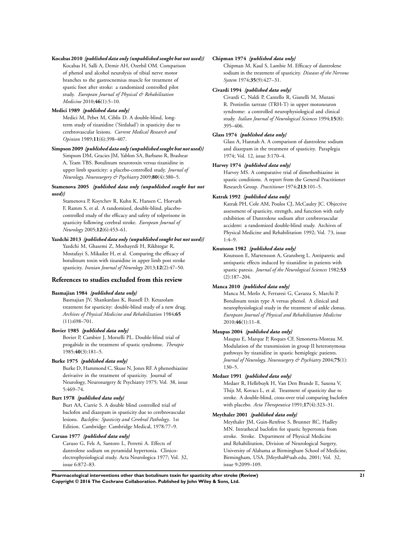#### **Kocabas 2010** *{published data only (unpublished sought but not used)}*

Kocabas H, Salli A, Demir AH, Ozerbil OM. Comparison of phenol and alcohol neurolysis of tibial nerve motor branches to the gastrocnemius muscle for treatment of spastic foot after stroke: a randomized controlled pilot study. *European Journal of Physical & Rehabilitation Medicine* 2010;**46**(1):5–10.

## **Medici 1989** *{published data only}*

Medici M, Pebet M, Ciblis D. A double-blind, longterm study of tizanidine ('Sirdalud') in spasticity due to cerebrovascular lesions. *Current Medical Research and Opinion* 1989;**11**(6):398–407.

## **Simpson 2009** *{published data only (unpublished sought but not used)}*

Simpson DM, Gracies JM, Yablon SA, Barbano R, Brashear A, Team TBS. Botulinum neurotoxin versus tizanidine in upper limb spasticity: a placebo-controlled study. *Journal of Neurology, Neurosurgery & Psychiatry* 2009;**80**(4):380–5.

#### **Stamenova 2005** *{published data only (unpublished sought but not used)}*

Stamenova P, Koytchev R, Kuhn K, Hansen C, Horvath F, Ramm S, et al. A randomized, double-blind, placebocontrolled study of the efficacy and safety of tolperisone in spasticity following cerebral stroke. *European Journal of Neurology* 2005;**12**(6):453–61.

#### **Yazdchi 2013** *{published data only (unpublished sought but not used)}*

Yazdchi M, Ghasemi Z, Moshayedi H, Rikhtegar R, Mostafayi S, Mikailee H, et al. Comparing the efficacy of botulinum toxin with tizanidine in upper limb post stroke spasticity. *Iranian Journal of Neurology* 2013;**12**(2):47–50.

#### **References to studies excluded from this review**

#### **Basmajian 1984** *{published data only}*

Basmajian JV, Shankardass K, Russell D. Ketazolam treatment for spasticity: double-blind study of a new drug. *Archives of Physical Medicine and Rehabilitation* 1984;**65** (11):698–701.

#### **Bovier 1985** *{published data only}*

Bovier P, Cambier J, Morselli PL. Double-blind trial of progabide in the treatment of spastic syndrome. *Therapie* 1985;**40**(3):181–5.

#### **Burke 1975** *{published data only}*

Burke D, Hammond C, Skuse N, Jones RF. A phenothiazine derivative in the treatment of spasticity. Journal of Neurology, Neurosurgery & Psychiatry 1975; Vol. 38, issue 5:469–74.

#### **Burt 1978** *{published data only}*

Burt AA, Currie S. A double blind controlled trial of baclofen and diazepam in spasticity due to cerebrovascular lesions. *Baclofen: Spasticity and Cerebral Pathology*. 1st Edition. Cambridge: Cambridge Medical, 1978:77–9.

#### **Caruso 1977** *{published data only}*

Caruso G, Fels A, Santoro L, Perretti A. Effects of dantrolene sodium on pyramidal hypertonia. Clinicoelectrophysiological study. Acta Neurologica 1977; Vol. 32, issue 6:872–83.

#### **Chipman 1974** *{published data only}*

Chipman M, Kaul S, Lambie M. Efficacy of dantrolene sodium in the treatment of spasticity. *Diseases of the Nervous System* 1974;**35**(9):427–31.

#### **Civardi 1994** *{published data only}*

Civardi C, Naldi P, Cantello R, Gianelli M, Mutani R. Protirelin tartrate (TRH-T) in upper motoneuron syndrome: a controlled neurophysiological and clinical study. *Italian Journal of Neurological Sciences* 1994;**15**(8): 395–406.

#### **Glass 1974** *{published data only}*

Glass A, Hannah A. A comparison of dantrolene sodium and diazepam in the treatment of spasticity. Paraplegia 1974; Vol. 12, issue 3:170–4.

#### **Harvey 1974** *{published data only}*

Harvey MS. A comparative trial of dimethothiazine in spastic conditions. A report from the General Practitioner Research Group. *Practitioner* 1974;**213**:101–5.

#### **Katrak 1992** *{published data only}*

Katrak PH, Cole AM, Poulos CJ, McCauley JC. Objective assessment of spasticity, strength, and function with early exhibition of Dantrolene sodium after cerebrovascular accident: a randomized double-blind study. Archives of Physical Medicine and Rehabilitation 1992; Vol. 73, issue 1:4–9.

#### **Knutsson 1982** *{published data only}*

Knutsson E, Martensson A, Gransberg L. Antiparetic and antispastic effects induced by tizanidine in patients with spastic paresis. *Journal of the Neurological Sciences* 1982;**53** (2):187–204.

#### **Manca 2010** *{published data only}*

Manca M, Merlo A, Ferraresi G, Cavazza S, Marchi P. Botulinum toxin type A versus phenol. A clinical and neurophysiological study in the treatment of ankle clonus. *European Journal of Physical and Rehabilitation Medicine* 2010;**46**(1):11–8.

#### **Maupas 2004** *{published data only}*

Maupas E, Marque P, Roques CF, Simonetta-Moreau M. Modulation of the transmission in group II heteronymous pathways by tizanidine in spastic hemiplegic patients. *Journal of Neurology, Neurosurgery & Psychiatry* 2004;**75**(1): 130–5.

#### **Medaer 1991** *{published data only}*

Medaer R, Hellebuyk H, Van Den Brande E, Saxena V, Thijs M, Kovacs L, et al. Treatment of spasticity due to stroke. A double-blind, cross-over trial comparing baclofen with placebo. *Acta Therapeutica* 1991;**17**(4):323–31.

#### **Meythaler 2001** *{published data only}*

Meythaler JM, Guin-Renfroe S, Brunner RC, Hadley MN. Intrathecal baclofen for spastic hypertonia from stroke. Stroke. Department of Physical Medicine and Rehabilitation, Division of Neurological Surgery, University of Alabama at Birmingham School of Medicine, Birmingham, USA. JMeythal@uab.edu, 2001; Vol. 32, issue 9:2099–109.

**Pharmacological interventions other than botulinum toxin for spasticity after stroke (Review) 21 Copyright © 2016 The Cochrane Collaboration. Published by John Wiley & Sons, Ltd.**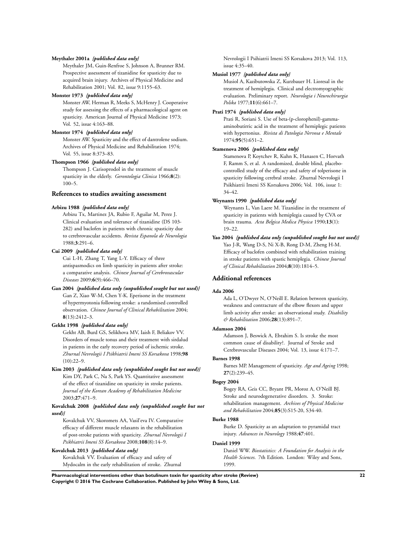#### **Meythaler 2001a** *{published data only}*

Meythaler JM, Guin-Renfroe S, Johnson A, Brunner RM. Prospective assessment of tizanidine for spasticity due to acquired brain injury. Archives of Physical Medicine and Rehabilitation 2001; Vol. 82, issue 9:1155–63.

## **Monster 1973** *{published data only}*

Monster AW, Herman R, Meeks S, McHenry J. Cooperative study for assessing the effects of a pharmacological agent on spasticity. American Journal of Physical Medicine 1973; Vol. 52, issue 4:163–88.

#### **Monster 1974** *{published data only}*

Monster AW. Spasticity and the effect of dantrolene sodium. Archives of Physical Medicine and Rehabilitation 1974; Vol. 55, issue 8:373–83.

#### **Thompson 1966** *{published data only}*

Thompson J. Carisoprodol in the treatment of muscle spasticity in the elderly. *Gerontologia Clinica* 1966;**8**(2): 100–5.

#### **References to studies awaiting assessment**

#### **Arbizu 1988** *{published data only}*

Arbizu Tx, Martinez JA, Rubio F, Aguilar M, Perez J. Clinical evaluation and tolerance of tizanidine (DS 103- 282) and baclofen in patients with chronic spasticity due to cerebrovascular accidents. *Revista Espanola de Neurologia* 1988;**3**:291–6.

#### **Cui 2009** *{published data only}*

Cui L-H, Zhang T, Yang L-Y. Efficacy of three antispasmodics on limb spasticity in patients after stroke: a comparative analysis. *Chinese Journal of Cerebrovascular Diseases* 2009;**6**(9):466–70.

### **Gan 2004** *{published data only (unpublished sought but not used)}*

Gan Z, Xiao W-M, Chen Y-K. Eperisone in the treatment of hypermyotonia following stroke: a randomised controlled observation. *Chinese Journal of Clinical Rehabilitation* 2004; **8**(13):2412–3.

#### **Gekht 1998** *{published data only}*

Gekht AB, Burd GS, Selikhova MV, Iaish F, Beliakov VV. Disorders of muscle tonus and their treatment with sirdalud in patients in the early recovery period of ischemic stroke. *Zhurnal Nevrologii I Psikhiatrii Imeni SS Korsakova* 1998;**98**  $(10):22-9.$ 

## **Kim 2003** *{published data only (unpublished sought but not used)}* Kim DY, Park C, Na S, Park YS. Quantitative assessment of the effect of tizanidine on spasticity in stroke patients. *Journal of the Korean Academy of Rehabilitation Medicine* 2003;**27**:471–9.

#### **Kovalchuk 2008** *{published data only (unpublished sought but not used)}*

Kovalchuk VV, Skoromets AA, Vasil'eva IV. Comparative efficacy of different muscle relaxants in the rehabilitation of post-stroke patients with spasticity. *Zhurnal Nevrologii I Psikhiatrii Imeni SS Korsakova* 2008;**108**(8):14–9.

#### **Kovalchuk 2013** *{published data only}*

Kovalchuk VV. Evaluation of efficacy and safety of Mydocalm in the early rehabilitation of stroke. Zhurnal Nevrologii I Psihiatrii Imeni SS Korsakova 2013; Vol. 113, issue 4:35–40.

#### **Musiol 1977** *{published data only}*

Musiol A, Kazibutowska Z, Kurzbauer H. Lioresal in the treatment of hemiplegia. Clinical and electromyographic evaluation. Preliminary report. *Neurologia i Neurochirurgia Polska* 1977;**11**(6):661–7.

#### **Prati 1974** *{published data only}*

Prati R, Soriani S. Use of beta-(p-clorophenil)-gammaaminobutirric acid in the treatment of hemiplegic patients with hypertonius. *Rivista di Patologia Nervosa e Mentale* 1974;**95**(5):651–2.

#### **Stamenova 2006** *{published data only}*

Stamenova P, Koytchev R, Kuhn K, Hanasen C, Horvath F, Ramm S, et al. A randomized, double blind, placebocontrolled study of the efficacy and safety of tolperisone in spasticity following cerebral stroke. Zhurnal Nevrologii I Psikhiatrii Imeni SS Korsakova 2006; Vol. 106, issue 1: 34–42.

#### **Weynants 1990** *{published data only}*

Weynants L, Van Laere M. Tizanidine in the treatment of spasticity in patients with hemiplegia caused by CVA or brain trauma. *Acta Belgica Medica Physica* 1990;**13**(1): 19–22.

#### **Yao 2004** *{published data only (unpublished sought but not used)}* Yao J-R, Wang D-S, Ni X-B, Rong D-M, Zheng H-M. Efficacy of baclofen combined with rehabilitation training in stroke patients with spastic hemiplegia. *Chinese Journal of Clinical Rehabilitation* 2004;**8**(10):1814–5.

#### **Additional references**

#### **Ada 2006**

Ada L, O'Dwyer N, O'Neill E. Relation between spasticity, weakness and contracture of the elbow flexors and upper limb activity after stroke: an observational study. *Disability & Rehabilitation* 2006;**28**(13):891–7.

#### **Adamson 2004**

Adamson J, Beswick A, Ebrahim S. Is stroke the most common cause of disability?. Journal of Stroke and Cerebrovascular Diseases 2004; Vol. 13, issue 4:171–7.

#### **Barnes 1998**

Barnes MP. Management of spasticity. *Age and Ageing* 1998; **27**(2):239–45.

## **Bogey 2004**

Bogey RA, Geis CC, Bryant PR, Moroz A, O'Neill BJ. Stroke and neurodegenerative disorders. 3. Stroke: rehabilitation management. *Archives of Physical Medicine and Rehabilitation* 2004;**85**(3):S15-20, S34-40.

## **Burke 1988**

Burke D. Spasticity as an adaptation to pyramidal tract injury. *Advances in Neurology* 1988;**47**:401.

## **Daniel 1999**

Daniel WW. *Biostatistics: A Foundation for Analysis in the Health Sciences*. 7th Edition. London: Wiley and Sons, 1999.

**Pharmacological interventions other than botulinum toxin for spasticity after stroke (Review) 22 Copyright © 2016 The Cochrane Collaboration. Published by John Wiley & Sons, Ltd.**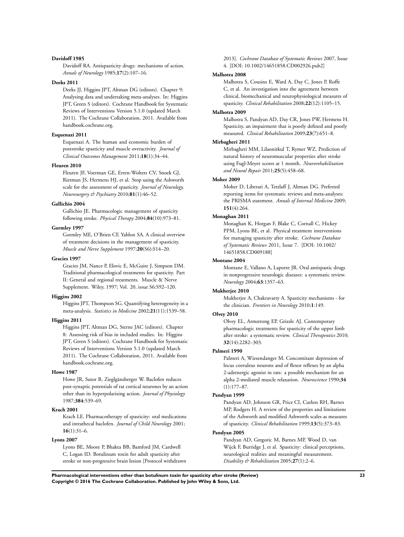#### **Davidoff 1985**

Davidoff RA. Antispasticity drugs: mechanisms of action. *Annals of Neurology* 1985;**17**(2):107–16.

#### **Deeks 2011**

Deeks JJ, Higgins JPT, Altman DG (editors). Chapter 9: Analysing data and undertaking meta-analyses. In: Higgins JPT, Green S (editors). Cochrane Handbook for Systematic Reviews of Interventions Version 5.1.0 (updated March 2011). The Cochrane Collaboration, 2011. Available from handbook.cochrane.org.

#### **Esquenazi 2011**

Esquenazi A. The human and economic burden of poststroke spasticity and muscle overactivity. *Journal of Clinical Outcomes Management* 2011;**18**(1):34–44.

## **Fleuren 2010**

Fleuren JF, Voerman GE, Erren-Wolters CV, Snoek GJ, Rietman JS, Hermens HJ, et al. Stop using the Ashworth scale for the assessment of spasticity. *Journal of Neurology, Neurosurgery & Psychiatry* 2010;**81**(1):46–52.

#### **Gallichio 2004**

Gallichio JE. Pharmacologic management of spasticity following stroke. *Physical Therapy* 2004;**84**(10):973–81.

### **Gormley 1997**

Gormley ME, O'Brien CF, Yablon SA. A clinical overview of treatment decisions in the management of spasticity. *Muscle and Nerve Supplement* 1997;**20**(S6):S14–20.

#### **Gracies 1997**

Gracies JM, Nance P, Elovic E, McGuire J, Simpson DM. Traditional pharmacological treatments for spasticity. Part II: General and regional treatments. Muscle & Nerve Supplement. Wiley, 1997; Vol. 20, issue S6:S92–120.

#### **Higgins 2002**

Higgins JPT, Thompson SG. Quantifying heterogeneity in a meta-analysis. *Statistics in Medicine* 2002;**21**(11):1539–58.

## **Higgins 2011**

Higgins JPT, Altman DG, Sterne JAC (editors). Chapter 8: Assessing risk of bias in included studies. In: Higgins JPT, Green S (editors). Cochrane Handbook for Systematic Reviews of Interventions Version 5.1.0 (updated March 2011). The Cochrane Collaboration, 2011. Available from handbook.cochrane.org.

#### **Howe 1987**

Howe JR, Sutor B, Zieglgänsberger W. Baclofen reduces post-synaptic potentials of rat cortical neurones by an action other than its hyperpolarizing action. *Journal of Physiology* 1987;**384**:539–69.

#### **Krach 2001**

Krach LE. Pharmacotherapy of spasticity: oral medications and intrathecal baclofen. *Journal of Child Neurology* 2001; **16**(1):31–6.

## **Lyons 2007**

Lyons BE, Moore P, Bhakta BB, Bamford JM, Cardwell C, Logan ID. Botulinum toxin for adult spasticity after stroke or non-progressive brain lesion [Protocol withdrawn 2013]. *Cochrane Database of Systematic Reviews* 2007, Issue 4. [DOI: 10.1002/14651858.CD002926.pub2]

#### **Malhotra 2008**

Malhotra S, Cousins E, Ward A, Day C, Jones P, Roffe C, et al. An investigation into the agreement between clinical, biomechanical and neurophysiological measures of spasticity. *Clinical Rehabilitation* 2008;**22**(12):1105–15.

#### **Malhotra 2009**

Malhotra S, Pandyan AD, Day CR, Jones PW, Hermens H. Spasticity, an impairment that is poorly defined and poorly measured. *Clinical Rehabilitation* 2009;**23**(7):651–8.

## **Mirbagheri 2011**

Mirbagheri MM, Lilaonitkul T, Rymer WZ. Prediction of natural history of neuromuscular properties after stroke using Fugl-Meyer scores at 1 month. *Neurorehabilitation and Neural Repair* 2011;**25**(5):458–68.

#### **Moher 2009**

Moher D, Liberati A, Tetzlaff J, Altman DG. Preferred reporting items for systematic reviews and meta-analyses: the PRISMA statement. *Annals of Internal Medicine* 2009; **151**(4):264.

#### **Monaghan 2011**

Monaghan K, Horgan F, Blake C, Cornall C, Hickey PPM, Lyons BE, et al. Physical treatment interventions for managing spasticity after stroke. *Cochrane Database of Systematic Reviews* 2011, Issue 7. [DOI: 10.1002/ 14651858.CD009188]

#### **Montane 2004**

Montane E, Vallano A, Laporte JR. Oral antispastic drugs in nonprogressive neurologic diseases: a systematic review. *Neurology* 2004;**63**:1357–63.

#### **Mukherjee 2010**

Mukherjee A, Chakravarty A. Spasticity mechanisms - for the clinician. *Frontiers in Neurology* 2010;**1**:149.

#### **Olvey 2010**

Olvey EL, Armstrong EP, Grizzle AJ. Contemporary pharmacologic treatments for spasticity of the upper limb after stroke: a systematic review. *Clinical Therapeutics* 2010; **32**(14):2282–303.

#### **Palmeri 1990**

Palmeri A, Wiesendanger M. Concomitant depression of locus coeruleus neurons and of flexor reflexes by an alpha 2-adrenergic agonist in rats: a possible mechanism for an alpha 2-mediated muscle relaxation. *Neuroscience* 1990;**34** (1):177–87.

#### **Pandyan 1999**

Pandyan AD, Johnson GR, Price CI, Curless RH, Barnes MP, Rodgers H. A review of the properties and limitations of the Ashworth and modified Ashworth scales as measures of spasticity. *Clinical Rehabilitation* 1999;**13**(5):373–83.

## **Pandyan 2005**

Pandyan AD, Gregoric M, Barnes MP, Wood D, van Wijck F, Burridge J, et al. Spasticity: clinical perceptions, neurological realities and meaningful measurement. *Disability & Rehabilitation* 2005;**27**(1):2–6.

**Pharmacological interventions other than botulinum toxin for spasticity after stroke (Review) 23 Copyright © 2016 The Cochrane Collaboration. Published by John Wiley & Sons, Ltd.**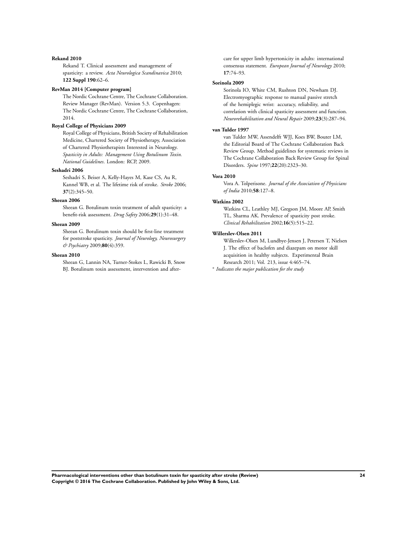#### **Rekand 2010**

Rekand T. Clinical assessment and management of spasticity: a review. *Acta Neurologica Scandinavica* 2010; **122 Suppl 190**:62–6.

#### **RevMan 2014 [Computer program]**

The Nordic Cochrane Centre, The Cochrane Collaboration. Review Manager (RevMan). Version 5.3. Copenhagen: The Nordic Cochrane Centre, The Cochrane Collaboration, 2014.

## **Royal College of Physicians 2009**

Royal College of Physicians, British Society of Rehabilitation Medicine, Chartered Society of Physiotherapy, Association of Chartered Physiotherapists Interested in Neurology. *Spasticity in Adults: Management Using Botulinum Toxin. National Guidelines*. London: RCP, 2009.

#### **Seshadri 2006**

Seshadri S, Beiser A, Kelly-Hayes M, Kase CS, Au R, Kannel WB, et al. The lifetime risk of stroke. *Stroke* 2006; **37**(2):345–50.

#### **Sheean 2006**

Sheean G. Botulinum toxin treatment of adult spasticity: a benefit-risk assessment. *Drug Safety* 2006;**29**(1):31–48.

#### **Sheean 2009**

Sheean G. Botulinum toxin should be first-line treatment for poststroke spasticity. *Journal of Neurology, Neurosurgery & Psychiatry* 2009;**80**(4):359.

## **Sheean 2010**

Sheean G, Lannin NA, Turner-Stokes L, Rawicki B, Snow BJ. Botulinum toxin assessment, intervention and aftercare for upper limb hypertonicity in adults: international consensus statement. *European Journal of Neurology* 2010; **17**:74–93.

#### **Sorinola 2009**

Sorinola IO, White CM, Rushton DN, Newham DJ. Electromyographic response to manual passive stretch of the hemiplegic wrist: accuracy, reliability, and correlation with clinical spasticity assessment and function. *Neurorehabilitation and Neural Repair* 2009;**23**(3):287–94.

#### **van Tulder 1997**

van Tulder MW, Assendelft WJJ, Koes BW, Bouter LM, the Editorial Board of The Cochrane Collaboration Back Review Group. Method guidelines for systematic reviews in The Cochrane Collaboration Back Review Group for Spinal Disorders. *Spine* 1997;**22**(20):2323–30.

#### **Vora 2010**

Vora A. Tolperisone. *Journal of the Association of Physicians of India* 2010;**58**:127–8.

#### **Watkins 2002**

Watkins CL, Leathley MJ, Gregson JM, Moore AP, Smith TL, Sharma AK. Prevalence of spasticity post stroke. *Clinical Rehabilitation* 2002;**16**(5):515–22.

## **Willerslev-Olsen 2011**

Willerslev-Olsen M, Lundbye-Jensen J, Petersen T, Nielsen J. The effect of baclofen and diazepam on motor skill acquisition in healthy subjects. Experimental Brain Research 2011; Vol. 213, issue 4:465–74.

∗ *Indicates the major publication for the study*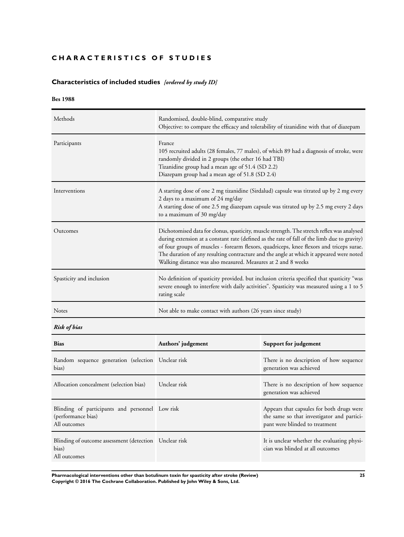## <span id="page-26-0"></span>**CHARACTERISTICS OF STUDIES**

## **Characteristics of included studies** *[ordered by study ID]*

## **Bes 1988**

| Methods                  | Randomised, double-blind, comparative study<br>Objective: to compare the efficacy and tolerability of tizanidine with that of diazepam                                                                                                                                                                                                                                                                                                             |
|--------------------------|----------------------------------------------------------------------------------------------------------------------------------------------------------------------------------------------------------------------------------------------------------------------------------------------------------------------------------------------------------------------------------------------------------------------------------------------------|
| Participants             | France<br>105 recruited adults (28 females, 77 males), of which 89 had a diagnosis of stroke, were<br>randomly divided in 2 groups (the other 16 had TBI)<br>Tizanidine group had a mean age of 51.4 (SD 2.2)<br>Diazepam group had a mean age of 51.8 (SD 2.4)                                                                                                                                                                                    |
| Interventions            | A starting dose of one 2 mg tizanidine (Sirdalud) capsule was titrated up by 2 mg every<br>2 days to a maximum of 24 mg/day<br>A starting dose of one 2.5 mg diazepam capsule was titrated up by 2.5 mg every 2 days<br>to a maximum of 30 mg/day                                                                                                                                                                                                  |
| Outcomes                 | Dichotomised data for clonus, spasticity, muscle strength. The stretch reflex was analysed<br>during extension at a constant rate (defined as the rate of fall of the limb due to gravity)<br>of four groups of muscles - forearm flexors, quadriceps, knee flexors and triceps surae.<br>The duration of any resulting contracture and the angle at which it appeared were noted<br>Walking distance was also measured. Measures at 2 and 8 weeks |
| Spasticity and inclusion | No definition of spasticity provided. but inclusion criteria specified that spasticity "was<br>severe enough to interfere with daily activities". Spasticity was measured using a 1 to 5<br>rating scale                                                                                                                                                                                                                                           |
| <b>Notes</b>             | Not able to make contact with authors (26 years since study)                                                                                                                                                                                                                                                                                                                                                                                       |

*Risk of bias*

| <b>Bias</b>                                                                           | Authors' judgement | Support for judgement                                                                                                     |
|---------------------------------------------------------------------------------------|--------------------|---------------------------------------------------------------------------------------------------------------------------|
| Random sequence generation (selection Unclear risk<br>bias)                           |                    | There is no description of how sequence<br>generation was achieved                                                        |
| Allocation concealment (selection bias)                                               | Unclear risk       | There is no description of how sequence<br>generation was achieved                                                        |
| Blinding of participants and personnel Low risk<br>(performance bias)<br>All outcomes |                    | Appears that capsules for both drugs were<br>the same so that investigator and partici-<br>pant were blinded to treatment |
| Blinding of outcome assessment (detection Unclear risk<br>bias)<br>All outcomes       |                    | It is unclear whether the evaluating physi-<br>cian was blinded at all outcomes                                           |

**Pharmacological interventions other than botulinum toxin for spasticity after stroke (Review) 25 Copyright © 2016 The Cochrane Collaboration. Published by John Wiley & Sons, Ltd.**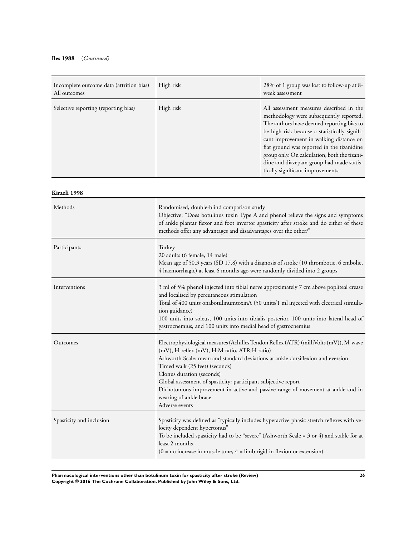## **Bes 1988** (*Continued)*

| Incomplete outcome data (attrition bias)<br>All outcomes | High risk | 28% of 1 group was lost to follow-up at 8-<br>week assessment                                                                                                                                                                                                                                                                                                                                              |
|----------------------------------------------------------|-----------|------------------------------------------------------------------------------------------------------------------------------------------------------------------------------------------------------------------------------------------------------------------------------------------------------------------------------------------------------------------------------------------------------------|
| Selective reporting (reporting bias)                     | High risk | All assessment measures described in the<br>methodology were subsequently reported.<br>The authors have deemed reporting bias to<br>be high risk because a statistically signifi-<br>cant improvement in walking distance on<br>flat ground was reported in the tizanidine<br>group only. On calculation, both the tizani-<br>dine and diazepam group had made statis-<br>tically significant improvements |

| Kirazli 1998             |                                                                                                                                                                                                                                                                                                                                                                                                                                                                                          |
|--------------------------|------------------------------------------------------------------------------------------------------------------------------------------------------------------------------------------------------------------------------------------------------------------------------------------------------------------------------------------------------------------------------------------------------------------------------------------------------------------------------------------|
| Methods                  | Randomised, double-blind comparison study<br>Objective: "Does botulinus toxin Type A and phenol relieve the signs and symptoms<br>of ankle plantar flexor and foot invertor spasticity after stroke and do either of these<br>methods offer any advantages and disadvantages over the other?"                                                                                                                                                                                            |
| Participants             | Turkey<br>20 adults (6 female, 14 male)<br>Mean age of 50.3 years (SD 17.8) with a diagnosis of stroke (10 thrombotic, 6 embolic,<br>4 haemorrhagic) at least 6 months ago were randomly divided into 2 groups                                                                                                                                                                                                                                                                           |
| Interventions            | 3 ml of 5% phenol injected into tibial nerve approximately 7 cm above popliteal crease<br>and localised by percutaneous stimulation<br>Total of 400 units onabotulinumtoxinA (50 units/1 ml injected with electrical stimula-<br>tion guidance)<br>100 units into soleus, 100 units into tibialis posterior, 100 units into lateral head of<br>gastrocnemius, and 100 units into medial head of gastrocnemius                                                                            |
| Outcomes                 | Electrophysiological measures (Achilles Tendon Reflex (ATR) (milliVolts (mV)), M-wave<br>(mV), H-reflex (mV), H:M ratio, ATR:H ratio)<br>Ashworth Scale: mean and standard deviations at ankle dorsiflexion and eversion<br>Timed walk (25 feet) (seconds)<br>Clonus duration (seconds)<br>Global assessment of spasticity: participant subjective report<br>Dichotomous improvement in active and passive range of movement at ankle and in<br>wearing of ankle brace<br>Adverse events |
| Spasticity and inclusion | Spasticity was defined as "typically includes hyperactive phasic stretch reflexes with ve-<br>locity dependent hypertonus"<br>To be included spasticity had to be "severe" (Ashworth Scale = $3$ or 4) and stable for at<br>least 2 months<br>$(0 = no increase in muscle tone, 4 = limb rigid in flexion or extension)$                                                                                                                                                                 |

**Pharmacological interventions other than botulinum toxin for spasticity after stroke (Review) 26 Copyright © 2016 The Cochrane Collaboration. Published by John Wiley & Sons, Ltd.**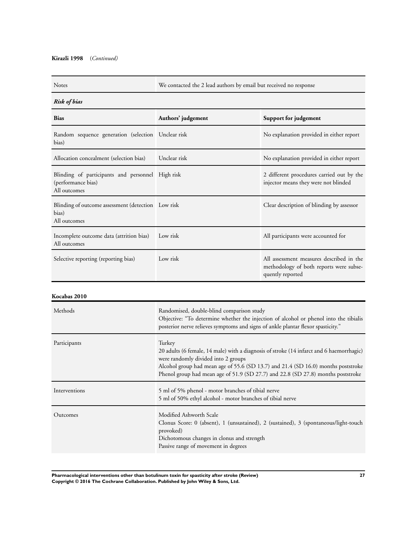## **Kirazli 1998** (*Continued)*

Notes We contacted the 2 lead authors by email but received no response

## *Risk of bias*

| <b>Bias</b>                                                                            | Authors' judgement | Support for judgement                                                                                   |
|----------------------------------------------------------------------------------------|--------------------|---------------------------------------------------------------------------------------------------------|
| Random sequence generation (selection Unclear risk<br>bias)                            |                    | No explanation provided in either report                                                                |
| Allocation concealment (selection bias)                                                | Unclear risk       | No explanation provided in either report                                                                |
| Blinding of participants and personnel High risk<br>(performance bias)<br>All outcomes |                    | 2 different procedures carried out by the<br>injector means they were not blinded                       |
| Blinding of outcome assessment (detection Low risk<br>bias)<br>All outcomes            |                    | Clear description of blinding by assessor                                                               |
| Incomplete outcome data (attrition bias)<br>All outcomes                               | Low risk           | All participants were accounted for                                                                     |
| Selective reporting (reporting bias)                                                   | Low risk           | All assessment measures described in the<br>methodology of both reports were subse-<br>quently reported |

## **Kocabas 2010**

| Methods       | Randomised, double-blind comparison study<br>Objective: "To determine whether the injection of alcohol or phenol into the tibialis<br>posterior nerve relieves symptoms and signs of ankle plantar flexor spasticity."                                                                                             |
|---------------|--------------------------------------------------------------------------------------------------------------------------------------------------------------------------------------------------------------------------------------------------------------------------------------------------------------------|
| Participants  | Turkey<br>20 adults (6 female, 14 male) with a diagnosis of stroke (14 infarct and 6 haemorrhagic)<br>were randomly divided into 2 groups<br>Alcohol group had mean age of 55.6 (SD 13.7) and 21.4 (SD 16.0) months poststroke<br>Phenol group had mean age of 51.9 (SD 27.7) and 22.8 (SD 27.8) months poststroke |
| Interventions | 5 ml of 5% phenol - motor branches of tibial nerve<br>5 ml of 50% ethyl alcohol - motor branches of tibial nerve                                                                                                                                                                                                   |
| Outcomes      | Modified Ashworth Scale<br>Clonus Score: 0 (absent), 1 (unsustained), 2 (sustained), 3 (spontaneous/light-touch<br>provoked)<br>Dichotomous changes in clonus and strength<br>Passive range of movement in degrees                                                                                                 |

**Pharmacological interventions other than botulinum toxin for spasticity after stroke (Review) 27 Copyright © 2016 The Cochrane Collaboration. Published by John Wiley & Sons, Ltd.**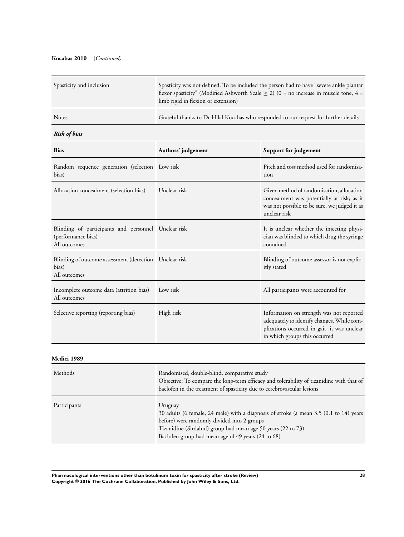## **Kocabas 2010** (*Continued)*

| Spasticity and inclusion | Spasticity was not defined. To be included the person had to have "severe ankle plantar"<br>flexor spasticity" (Modified Ashworth Scale $> 2$ ) (0 = no increase in muscle tone, 4 =<br>limb rigid in flexion or extension) |
|--------------------------|-----------------------------------------------------------------------------------------------------------------------------------------------------------------------------------------------------------------------------|
| <b>Notes</b>             | Grateful thanks to Dr Hilal Kocabas who responded to our request for further details                                                                                                                                        |

## *Risk of bias*

| <b>Bias</b>                                                                               | Authors' judgement | Support for judgement                                                                                                                                                  |
|-------------------------------------------------------------------------------------------|--------------------|------------------------------------------------------------------------------------------------------------------------------------------------------------------------|
| Random sequence generation (selection Low risk<br>bias)                                   |                    | Pitch and toss method used for randomisa-<br>tion                                                                                                                      |
| Allocation concealment (selection bias)                                                   | Unclear risk       | Given method of randomisation, allocation<br>concealment was potentially at risk; as it<br>was not possible to be sure, we judged it as<br>unclear risk                |
| Blinding of participants and personnel Unclear risk<br>(performance bias)<br>All outcomes |                    | It is unclear whether the injecting physi-<br>cian was blinded to which drug the syringe<br>contained                                                                  |
| Blinding of outcome assessment (detection Unclear risk<br>bias)<br>All outcomes           |                    | Blinding of outcome assessor is not explic-<br>itly stated                                                                                                             |
| Incomplete outcome data (attrition bias)<br>All outcomes                                  | Low risk           | All participants were accounted for                                                                                                                                    |
| Selective reporting (reporting bias)                                                      | High risk          | Information on strength was not reported<br>adequately to identify changes. While com-<br>plications occurred in gait, it was unclear<br>in which groups this occurred |

## **Medici 1989**

| Methods      | Randomised, double-blind, comparative study<br>Objective: To compare the long-term efficacy and tolerability of tizanidine with that of<br>baclofen in the treatment of spasticity due to cerebrovascular lesions                                                      |
|--------------|------------------------------------------------------------------------------------------------------------------------------------------------------------------------------------------------------------------------------------------------------------------------|
| Participants | Uruguay<br>30 adults (6 female, 24 male) with a diagnosis of stroke (a mean 3.5 (0.1 to 14) years<br>before) were randomly divided into 2 groups<br>Tizanidine (Sirdalud) group had mean age 50 years (22 to 73)<br>Baclofen group had mean age of 49 years (24 to 68) |

**Pharmacological interventions other than botulinum toxin for spasticity after stroke (Review) 28 Copyright © 2016 The Cochrane Collaboration. Published by John Wiley & Sons, Ltd.**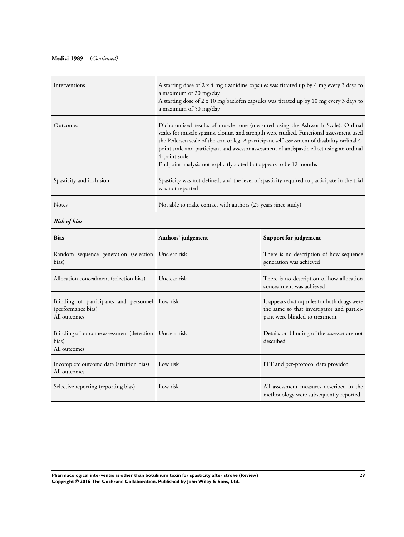## **Medici 1989** (*Continued)*

| Interventions            | A starting dose of 2 x 4 mg tizanidine capsules was titrated up by 4 mg every 3 days to<br>a maximum of 20 mg/day<br>A starting dose of 2 x 10 mg baclofen capsules was titrated up by 10 mg every 3 days to<br>a maximum of 50 mg/day                                                                                                                                                                                                                            |
|--------------------------|-------------------------------------------------------------------------------------------------------------------------------------------------------------------------------------------------------------------------------------------------------------------------------------------------------------------------------------------------------------------------------------------------------------------------------------------------------------------|
| Outcomes                 | Dichotomised results of muscle tone (measured using the Ashworth Scale). Ordinal<br>scales for muscle spasms, clonus, and strength were studied. Functional assessment used<br>the Pedersen scale of the arm or leg. A participant self assessment of disability ordinal 4-<br>point scale and participant and assessor assessment of antispastic effect using an ordinal<br>4-point scale<br>Endpoint analysis not explicitly stated but appears to be 12 months |
| Spasticity and inclusion | Spasticity was not defined, and the level of spasticity required to participate in the trial<br>was not reported                                                                                                                                                                                                                                                                                                                                                  |
| <b>Notes</b>             | Not able to make contact with authors (25 years since study)                                                                                                                                                                                                                                                                                                                                                                                                      |

## *Risk of bias*

| <b>Bias</b>                                                                           | Authors' judgement | Support for judgement                                                                                                        |
|---------------------------------------------------------------------------------------|--------------------|------------------------------------------------------------------------------------------------------------------------------|
| Random sequence generation (selection Unclear risk<br>bias)                           |                    | There is no description of how sequence<br>generation was achieved                                                           |
| Allocation concealment (selection bias)                                               | Unclear risk       | There is no description of how allocation<br>concealment was achieved                                                        |
| Blinding of participants and personnel Low risk<br>(performance bias)<br>All outcomes |                    | It appears that capsules for both drugs were<br>the same so that investigator and partici-<br>pant were blinded to treatment |
| Blinding of outcome assessment (detection Unclear risk<br>bias)<br>All outcomes       |                    | Details on blinding of the assessor are not<br>described                                                                     |
| Incomplete outcome data (attrition bias)<br>All outcomes                              | Low risk           | ITT and per-protocol data provided                                                                                           |
| Selective reporting (reporting bias)                                                  | Low risk           | All assessment measures described in the<br>methodology were subsequently reported                                           |

**Pharmacological interventions other than botulinum toxin for spasticity after stroke (Review) 29 Copyright © 2016 The Cochrane Collaboration. Published by John Wiley & Sons, Ltd.**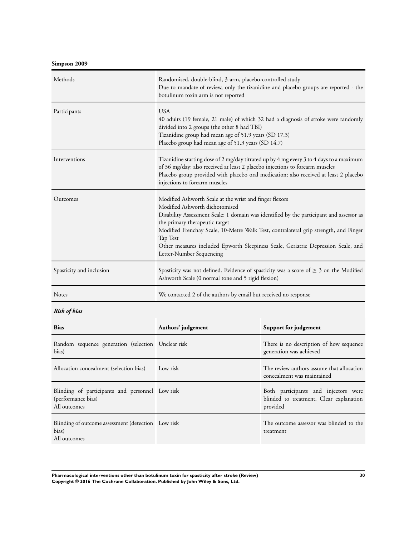**Simpson 2009**

| Methods                  | Randomised, double-blind, 3-arm, placebo-controlled study<br>Due to mandate of review, only the tizanidine and placebo groups are reported - the<br>botulinum toxin arm is not reported                                                                                                                                                                                                                                                     |
|--------------------------|---------------------------------------------------------------------------------------------------------------------------------------------------------------------------------------------------------------------------------------------------------------------------------------------------------------------------------------------------------------------------------------------------------------------------------------------|
| Participants             | <b>USA</b><br>40 adults (19 female, 21 male) of which 32 had a diagnosis of stroke were randomly<br>divided into 2 groups (the other 8 had TBI)<br>Tizanidine group had mean age of 51.9 years (SD 17.3)<br>Placebo group had mean age of 51.3 years (SD 14.7)                                                                                                                                                                              |
| Interventions            | Tizanidine starting dose of 2 mg/day titrated up by 4 mg every 3 to 4 days to a maximum<br>of 36 mg/day; also received at least 2 placebo injections to forearm muscles<br>Placebo group provided with placebo oral medication; also received at least 2 placebo<br>injections to forearm muscles                                                                                                                                           |
| Outcomes                 | Modified Ashworth Scale at the wrist and finger flexors<br>Modified Ashworth dichotomised<br>Disability Assessment Scale: 1 domain was identified by the participant and assessor as<br>the primary therapeutic target<br>Modified Frenchay Scale, 10-Metre Walk Test, contralateral grip strength, and Finger<br>Tap Test<br>Other measures included Epworth Sleepiness Scale, Geriatric Depression Scale, and<br>Letter-Number Sequencing |
| Spasticity and inclusion | Spasticity was not defined. Evidence of spasticity was a score of $\geq 3$ on the Modified<br>Ashworth Scale (0 normal tone and 5 rigid flexion)                                                                                                                                                                                                                                                                                            |
| Notes                    | We contacted 2 of the authors by email but received no response                                                                                                                                                                                                                                                                                                                                                                             |

## *Risk of bias*

| <b>Bias</b>                                                                           | Authors' judgement | Support for judgement                                                                       |
|---------------------------------------------------------------------------------------|--------------------|---------------------------------------------------------------------------------------------|
| Random sequence generation (selection Unclear risk<br>bias)                           |                    | There is no description of how sequence<br>generation was achieved                          |
| Allocation concealment (selection bias)                                               | Low risk           | The review authors assume that allocation<br>concealment was maintained                     |
| Blinding of participants and personnel Low risk<br>(performance bias)<br>All outcomes |                    | Both participants and injectors were<br>blinded to treatment. Clear explanation<br>provided |
| Blinding of outcome assessment (detection Low risk<br>bias)<br>All outcomes           |                    | The outcome assessor was blinded to the<br>treatment                                        |

**Pharmacological interventions other than botulinum toxin for spasticity after stroke (Review) 30 Copyright © 2016 The Cochrane Collaboration. Published by John Wiley & Sons, Ltd.**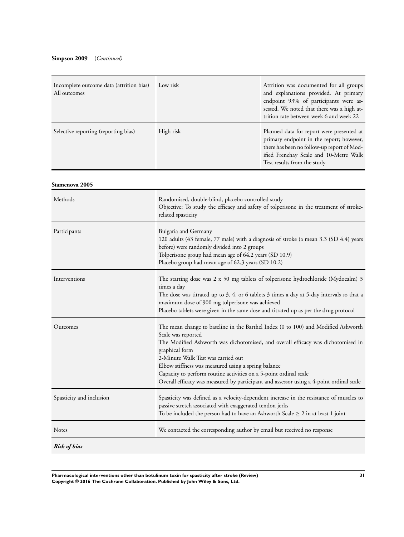| Incomplete outcome data (attrition bias)<br>All outcomes | Low risk  | Attrition was documented for all groups<br>and explanations provided. At primary<br>endpoint 93% of participants were as-<br>sessed. We noted that there was a high at-<br>trition rate between week 6 and week 22 |
|----------------------------------------------------------|-----------|--------------------------------------------------------------------------------------------------------------------------------------------------------------------------------------------------------------------|
| Selective reporting (reporting bias)                     | High risk | Planned data for report were presented at<br>primary endpoint in the report; however,<br>there has been no follow-up report of Mod-<br>ified Frenchay Scale and 10-Metre Walk<br>Test results from the study       |

**Stamenova 2005**

| Methods                  | Randomised, double-blind, placebo-controlled study<br>Objective: To study the efficacy and safety of tolperisone in the treatment of stroke-<br>related spasticity                                                                                                                                                                                                                                                                                                         |
|--------------------------|----------------------------------------------------------------------------------------------------------------------------------------------------------------------------------------------------------------------------------------------------------------------------------------------------------------------------------------------------------------------------------------------------------------------------------------------------------------------------|
| Participants             | Bulgaria and Germany<br>120 adults (43 female, 77 male) with a diagnosis of stroke (a mean 3.3 (SD 4.4) years<br>before) were randomly divided into 2 groups<br>Tolperisone group had mean age of 64.2 years (SD 10.9)<br>Placebo group had mean age of 62.3 years (SD 10.2)                                                                                                                                                                                               |
| Interventions            | The starting dose was 2 x 50 mg tablets of tolperisone hydrochloride (Mydocalm) 3<br>times a day<br>The dose was titrated up to 3, 4, or 6 tablets 3 times a day at 5-day intervals so that a<br>maximum dose of 900 mg tolperisone was achieved<br>Placebo tablets were given in the same dose and titrated up as per the drug protocol                                                                                                                                   |
| Outcomes                 | The mean change to baseline in the Barthel Index (0 to 100) and Modified Ashworth<br>Scale was reported<br>The Modified Ashworth was dichotomised, and overall efficacy was dichotomised in<br>graphical form<br>2-Minute Walk Test was carried out<br>Elbow stiffness was measured using a spring balance<br>Capacity to perform routine activities on a 5-point ordinal scale<br>Overall efficacy was measured by participant and assessor using a 4-point ordinal scale |
| Spasticity and inclusion | Spasticity was defined as a velocity-dependent increase in the resistance of muscles to<br>passive stretch associated with exaggerated tendon jerks<br>To be included the person had to have an Ashworth Scale $\geq 2$ in at least 1 joint                                                                                                                                                                                                                                |
| <b>Notes</b>             | We contacted the corresponding author by email but received no response                                                                                                                                                                                                                                                                                                                                                                                                    |
| <b>Risk of bias</b>      |                                                                                                                                                                                                                                                                                                                                                                                                                                                                            |

**Pharmacological interventions other than botulinum toxin for spasticity after stroke (Review) 31 Copyright © 2016 The Cochrane Collaboration. Published by John Wiley & Sons, Ltd.**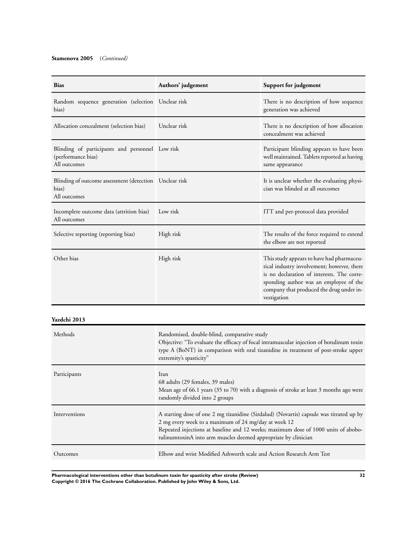## **Stamenova 2005** (*Continued)*

| <b>Bias</b>                                                                           | Authors' judgement | Support for judgement                                                                                                                                                                                                                      |
|---------------------------------------------------------------------------------------|--------------------|--------------------------------------------------------------------------------------------------------------------------------------------------------------------------------------------------------------------------------------------|
| Random sequence generation (selection Unclear risk<br>bias)                           |                    | There is no description of how sequence<br>generation was achieved                                                                                                                                                                         |
| Allocation concealment (selection bias)                                               | Unclear risk       | There is no description of how allocation<br>concealment was achieved                                                                                                                                                                      |
| Blinding of participants and personnel Low risk<br>(performance bias)<br>All outcomes |                    | Participant blinding appears to have been<br>well maintained. Tablets reported as having<br>same appearance                                                                                                                                |
| Blinding of outcome assessment (detection Unclear risk<br>bias)<br>All outcomes       |                    | It is unclear whether the evaluating physi-<br>cian was blinded at all outcomes                                                                                                                                                            |
| Incomplete outcome data (attrition bias)<br>All outcomes                              | Low risk           | ITT and per-protocol data provided                                                                                                                                                                                                         |
| Selective reporting (reporting bias)                                                  | High risk          | The results of the force required to extend<br>the elbow are not reported                                                                                                                                                                  |
| Other bias                                                                            | High risk          | This study appears to have had pharmaceu-<br>tical industry involvement; however, there<br>is no declaration of interests. The corre-<br>sponding author was an employee of the<br>company that produced the drug under in-<br>vestigation |

**Yazdchi 2013**

| Methods       | Randomised, double-blind, comparative study<br>Objective: "To evaluate the efficacy of focal intramuscular injection of botulinum toxin<br>type A (BoNT) in comparison with oral tizanidine in treatment of post-stroke upper<br>extremity's spasticity"                                                |
|---------------|---------------------------------------------------------------------------------------------------------------------------------------------------------------------------------------------------------------------------------------------------------------------------------------------------------|
| Participants  | Iran<br>68 adults (29 females, 39 males)<br>Mean age of 66.1 years (35 to 70) with a diagnosis of stroke at least 3 months ago were<br>randomly divided into 2 groups                                                                                                                                   |
| Interventions | A starting dose of one 2 mg tizanidine (Sirdalud) (Novartis) capsule was titrated up by<br>2 mg every week to a maximum of 24 mg/day at week 12<br>Repeated injections at baseline and 12 weeks; maximum dose of 1000 units of abobo-<br>tulinumtoxinA into arm muscles deemed appropriate by clinician |
| Outcomes      | Elbow and wrist Modified Ashworth scale and Action Research Arm Test                                                                                                                                                                                                                                    |

**Pharmacological interventions other than botulinum toxin for spasticity after stroke (Review) 32 Copyright © 2016 The Cochrane Collaboration. Published by John Wiley & Sons, Ltd.**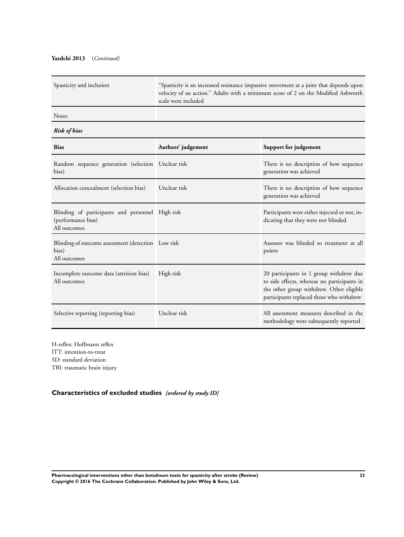## <span id="page-34-0"></span>**Yazdchi 2013** (*Continued)*

| Spasticity and inclusion                                                               | "Spasticity is an increased resistance impassive movement at a joint that depends upon<br>velocity of an action." Adults with a minimum score of 2 on the Modified Ashworth<br>scale were included |                                                                                                                                                                                |
|----------------------------------------------------------------------------------------|----------------------------------------------------------------------------------------------------------------------------------------------------------------------------------------------------|--------------------------------------------------------------------------------------------------------------------------------------------------------------------------------|
| Notes                                                                                  |                                                                                                                                                                                                    |                                                                                                                                                                                |
| Risk of bias                                                                           |                                                                                                                                                                                                    |                                                                                                                                                                                |
| <b>Bias</b>                                                                            | Authors' judgement                                                                                                                                                                                 | Support for judgement                                                                                                                                                          |
| Random sequence generation (selection Unclear risk<br>bias)                            |                                                                                                                                                                                                    | There is no description of how sequence<br>generation was achieved                                                                                                             |
| Allocation concealment (selection bias)                                                | Unclear risk                                                                                                                                                                                       | There is no description of how sequence<br>generation was achieved                                                                                                             |
| Blinding of participants and personnel High risk<br>(performance bias)<br>All outcomes |                                                                                                                                                                                                    | Participants were either injected or not, in-<br>dicating that they were not blinded                                                                                           |
| Blinding of outcome assessment (detection Low risk<br>bias)<br>All outcomes            |                                                                                                                                                                                                    | Assessor was blinded to treatment at all<br>points                                                                                                                             |
| Incomplete outcome data (attrition bias)<br>All outcomes                               | High risk                                                                                                                                                                                          | 20 participants in 1 group withdrew due<br>to side effects, whereas no participants in<br>the other group withdrew. Other eligible<br>participants replaced those who withdrew |
| Selective reporting (reporting bias)                                                   | Unclear risk                                                                                                                                                                                       | All assessment measures described in the<br>methodology were subsequently reported                                                                                             |

H-reflex: Hoffmann reflex ITT: intention-to-treat SD: standard deviation TBI: traumatic brain injury

**Characteristics of excluded studies** *[ordered by study ID]*

**Pharmacological interventions other than botulinum toxin for spasticity after stroke (Review) 33 Copyright © 2016 The Cochrane Collaboration. Published by John Wiley & Sons, Ltd.**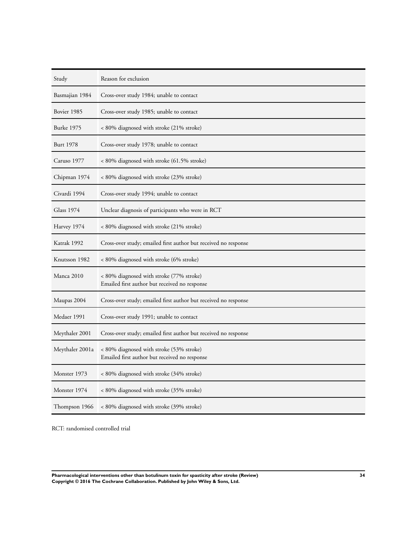| Study             | Reason for exclusion                                                                      |
|-------------------|-------------------------------------------------------------------------------------------|
| Basmajian 1984    | Cross-over study 1984; unable to contact                                                  |
| Bovier 1985       | Cross-over study 1985; unable to contact                                                  |
| <b>Burke 1975</b> | < 80% diagnosed with stroke (21% stroke)                                                  |
| Burt 1978         | Cross-over study 1978; unable to contact                                                  |
| Caruso 1977       | < 80% diagnosed with stroke (61.5% stroke)                                                |
| Chipman 1974      | < 80% diagnosed with stroke (23% stroke)                                                  |
| Civardi 1994      | Cross-over study 1994; unable to contact                                                  |
| <b>Glass 1974</b> | Unclear diagnosis of participants who were in RCT                                         |
| Harvey 1974       | < 80% diagnosed with stroke (21% stroke)                                                  |
| Katrak 1992       | Cross-over study; emailed first author but received no response                           |
| Knutsson 1982     | < 80% diagnosed with stroke (6% stroke)                                                   |
| Manca 2010        | < 80% diagnosed with stroke (77% stroke)<br>Emailed first author but received no response |
| Maupas 2004       | Cross-over study; emailed first author but received no response                           |
| Medaer 1991       | Cross-over study 1991; unable to contact                                                  |
| Meythaler 2001    | Cross-over study; emailed first author but received no response                           |
| Meythaler 2001a   | < 80% diagnosed with stroke (53% stroke)<br>Emailed first author but received no response |
| Monster 1973      | < 80% diagnosed with stroke (34% stroke)                                                  |
| Monster 1974      | < 80% diagnosed with stroke (35% stroke)                                                  |
| Thompson 1966     | < 80% diagnosed with stroke (39% stroke)                                                  |

RCT: randomised controlled trial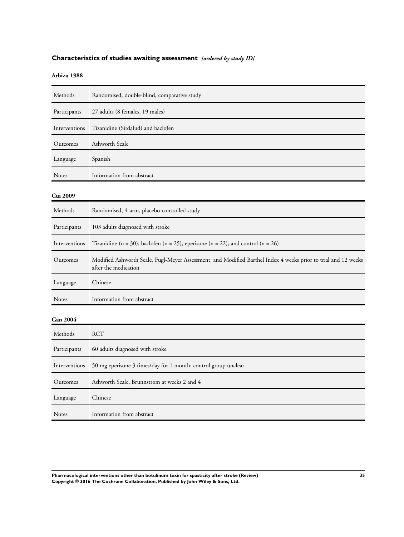## <span id="page-36-0"></span>**Characteristics of studies awaiting assessment** *[ordered by study ID]*

## **Arbizu 1988**

| Methods         | Randomised, double-blind, comparative study                                                                                            |
|-----------------|----------------------------------------------------------------------------------------------------------------------------------------|
| Participants    | 27 adults (8 females, 19 males)                                                                                                        |
| Interventions   | Tizanidine (Sirdalud) and baclofen                                                                                                     |
| Outcomes        | Ashworth Scale                                                                                                                         |
| Language        | Spanish                                                                                                                                |
| <b>Notes</b>    | Information from abstract                                                                                                              |
| Cui 2009        |                                                                                                                                        |
| Methods         | Randomised, 4-arm, placebo-controlled study                                                                                            |
| Participants    | 103 adults diagnosed with stroke                                                                                                       |
| Interventions   | Tizanidine (n = 30), baclofen (n = 25), eperisone (n = 22), and control (n = 26)                                                       |
| Outcomes        | Modified Ashworth Scale, Fugl-Meyer Assessment, and Modified Barthel Index 4 weeks prior to trial and 12 weeks<br>after the medication |
| Language        | Chinese                                                                                                                                |
| Notes           | Information from abstract                                                                                                              |
| <b>Gan 2004</b> |                                                                                                                                        |
| Methods         | <b>RCT</b>                                                                                                                             |
| Participants    | 60 adults diagnosed with stroke                                                                                                        |
| Interventions   | 50 mg eperisone 3 times/day for 1 month; control group unclear                                                                         |
| Outcomes        | Ashworth Scale, Brunnstrom at weeks 2 and 4                                                                                            |
| Language        | Chinese                                                                                                                                |
| Notes           | Information from abstract                                                                                                              |

**Pharmacological interventions other than botulinum toxin for spasticity after stroke (Review) 35 Copyright © 2016 The Cochrane Collaboration. Published by John Wiley & Sons, Ltd.**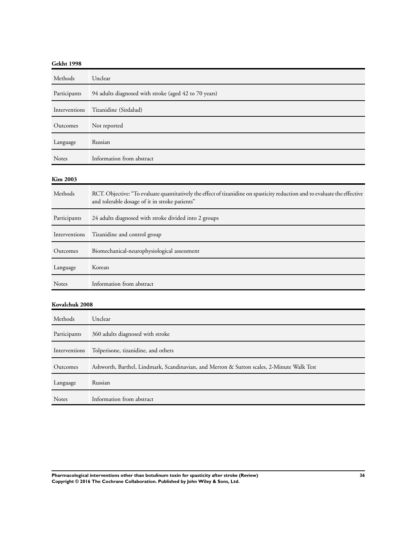## **Gekht 1998**

| Methods         | Unclear                                                                                                                                                                      |
|-----------------|------------------------------------------------------------------------------------------------------------------------------------------------------------------------------|
| Participants    | 94 adults diagnosed with stroke (aged 42 to 70 years)                                                                                                                        |
| Interventions   | Tizanidine (Sirdalud)                                                                                                                                                        |
| Outcomes        | Not reported                                                                                                                                                                 |
| Language        | Russian                                                                                                                                                                      |
| Notes           | Information from abstract                                                                                                                                                    |
| <b>Kim 2003</b> |                                                                                                                                                                              |
| Methods         | RCT. Objective: "To evaluate quantitatively the effect of tizanidine on spasticity reduction and to evaluate the effective<br>and tolerable dosage of it in stroke patients" |
| Participants    | 24 adults diagnosed with stroke divided into 2 groups                                                                                                                        |
| Interventions   | Tizanidine and control group                                                                                                                                                 |
| Outcomes        | Biomechanical-neurophysiological assessment                                                                                                                                  |
| Language        | Korean                                                                                                                                                                       |
| Notes           | Information from abstract                                                                                                                                                    |
| Kovalchuk 2008  |                                                                                                                                                                              |
| Methods         | Unclear                                                                                                                                                                      |
| Participants    | 360 adults diagnosed with stroke                                                                                                                                             |
| Interventions   | Tolperisone, tizanidine, and others                                                                                                                                          |
| Outcomes        | Ashworth, Barthel, Lindmark, Scandinavian, and Merton & Sutton scales, 2-Minute Walk Test                                                                                    |
| Language        | Russian                                                                                                                                                                      |
| Notes           | Information from abstract                                                                                                                                                    |

**Pharmacological interventions other than botulinum toxin for spasticity after stroke (Review) 36 Copyright © 2016 The Cochrane Collaboration. Published by John Wiley & Sons, Ltd.**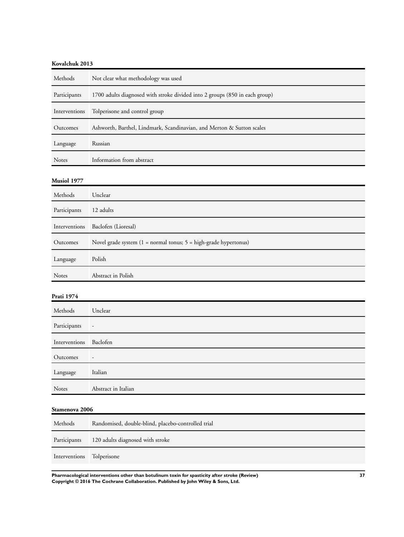## **Kovalchuk 2013**

| Methods       | Not clear what methodology was used                                         |
|---------------|-----------------------------------------------------------------------------|
| Participants  | 1700 adults diagnosed with stroke divided into 2 groups (850 in each group) |
| Interventions | Tolperisone and control group                                               |
| Outcomes      | Ashworth, Barthel, Lindmark, Scandinavian, and Merton & Sutton scales       |
| Language      | Russian                                                                     |
| <b>Notes</b>  | Information from abstract                                                   |

## **Musiol 1977**

| Methods       | Unclear                                                                            |
|---------------|------------------------------------------------------------------------------------|
| Participants  | 12 adults                                                                          |
| Interventions | Baclofen (Lioresal)                                                                |
| Outcomes      | Novel grade system $(1 = normal$ tonus; $5 = high\text{-}grade\text{-}hypertonus)$ |
| Language      | Polish                                                                             |
| <b>Notes</b>  | Abstract in Polish                                                                 |

## **Prati 1974**

| Methods                | Unclear                  |
|------------------------|--------------------------|
| Participants           | $\overline{a}$           |
| Interventions Baclofen |                          |
| Outcomes               | $\overline{\phantom{a}}$ |
| Language               | Italian                  |
| Notes                  | Abstract in Italian      |

## **Stamenova 2006**

| Methods       | Randomised, double-blind, placebo-controlled trial |
|---------------|----------------------------------------------------|
| Participants  | 120 adults diagnosed with stroke                   |
| Interventions | Tolperisone                                        |

**Pharmacological interventions other than botulinum toxin for spasticity after stroke (Review) 37 Copyright © 2016 The Cochrane Collaboration. Published by John Wiley & Sons, Ltd.**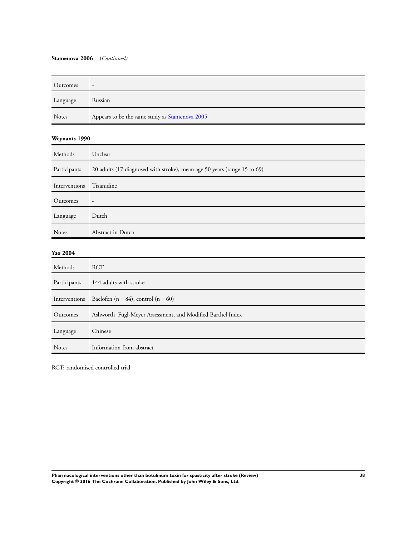## **Stamenova 2006** (*Continued)*

| Outcomes     | -                                              |
|--------------|------------------------------------------------|
| Language     | Russian                                        |
| <b>Notes</b> | Appears to be the same study as Stamenova 2005 |

## **Weynants 1990**

| Methods       | Unclear                                                                  |
|---------------|--------------------------------------------------------------------------|
| Participants  | 20 adults (17 diagnosed with stroke), mean age 50 years (range 15 to 69) |
| Interventions | Tizanidine                                                               |
| Outcomes      | $\overline{\phantom{a}}$                                                 |
| Language      | Dutch                                                                    |
| <b>Notes</b>  | Abstract in Dutch                                                        |
| Yao 2004      |                                                                          |
| Methods       | <b>RCT</b>                                                               |
| Participants  | 144 adults with stroke                                                   |
| Interventions | Baclofen (n = 84), control (n = 60)                                      |
| Outcomes      | Ashworth, Fugl-Meyer Assessment, and Modified Barthel Index              |
| Language      | Chinese                                                                  |

RCT: randomised controlled trial

Notes Information from abstract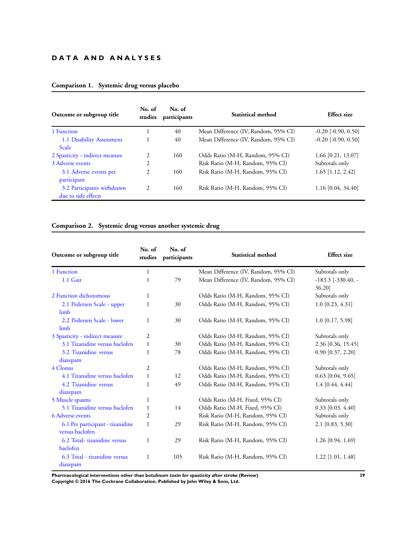## **D A T A A N D A N A L Y S E S**

| Outcome or subgroup title                         | No. of<br>studies | No. of<br>participants | Statistical method                   | <b>Effect</b> size      |  |
|---------------------------------------------------|-------------------|------------------------|--------------------------------------|-------------------------|--|
| 1 Function                                        |                   | 40                     | Mean Difference (IV, Random, 95% CI) | $-0.20$ $[-0.90, 0.50]$ |  |
| 1.1 Disability Assessment<br><b>Scale</b>         |                   | 40                     | Mean Difference (IV, Random, 95% CI) | $-0.20$ $[-0.90, 0.50]$ |  |
| 2 Spasticity - indirect measure                   | 2                 | 160                    | Odds Ratio (M-H, Random, 95% CI)     | 1.66 [0.21, 13.07]      |  |
| 3 Adverse events                                  | 2                 |                        | Risk Ratio (M-H, Random, 95% CI)     | Subtotals only          |  |
| 3.1 Adverse events per<br>participant             | 2                 | 160                    | Risk Ratio (M-H, Random, 95% CI)     | $1.65$ [1.12, 2.42]     |  |
| 3.2 Participants withdrawn<br>due to side effects | 2                 | 160                    | Risk Ratio (M-H, Random, 95% CI)     | $1.16$ [0.04, 34.40]    |  |

## **Comparison 1. Systemic drug versus placebo**

## **Comparison 2. Systemic drug versus another systemic drug**

| Outcome or subgroup title                           | No. of<br>No. of<br>studies<br>participants |     | Statistical method                   | <b>Effect</b> size                  |  |
|-----------------------------------------------------|---------------------------------------------|-----|--------------------------------------|-------------------------------------|--|
| 1 Function                                          | $\mathbf{1}$                                |     | Mean Difference (IV, Random, 95% CI) | Subtotals only                      |  |
| 1.1 Gait                                            | 1                                           | 79  | Mean Difference (IV, Random, 95% CI) | $-183.3$ $[-330.40, -$<br>$36.20$ ] |  |
| 2 Function dichotomous                              | 1                                           |     | Odds Ratio (M-H, Random, 95% CI)     | Subtotals only                      |  |
| 2.1 Pedersen Scale - upper<br>limb                  | 1                                           | 30  | Odds Ratio (M-H, Random, 95% CI)     | $1.0$ [0.23, 4.31]                  |  |
| 2.2 Pedersen Scale - lower<br>limb                  | 1                                           | 30  | Odds Ratio (M-H, Random, 95% CI)     | $1.0$ [0.17, 5.98]                  |  |
| 3 Spasticity - indirect measure                     | 2                                           |     | Odds Ratio (M-H, Random, 95% CI)     | Subtotals only                      |  |
| 3.1 Tizanidine versus baclofen                      | 1                                           | 30  | Odds Ratio (M-H, Random, 95% CI)     | 2.36 [0.36, 15.45]                  |  |
| 3.2 Tizanidine versus                               | 1                                           | 78  | Odds Ratio (M-H, Random, 95% CI)     | $0.90$ [0.37, 2.20]                 |  |
| diazepam                                            |                                             |     |                                      |                                     |  |
| 4 Clonus                                            | $\overline{2}$                              |     | Odds Ratio (M-H, Random, 95% CI)     | Subtotals only                      |  |
| 4.1 Tizanidine versus baclofen                      | $\mathbf{1}$                                | 12  | Odds Ratio (M-H, Random, 95% CI)     | $0.63$ [0.04, 9.65]                 |  |
| 4.2 Tizanidine versus                               | 1                                           | 49  | Odds Ratio (M-H, Random, 95% CI)     | $1.4$ [0.44, 4.44]                  |  |
| diazepam                                            |                                             |     |                                      |                                     |  |
| 5 Muscle spasms                                     | 1                                           |     | Odds Ratio (M-H, Fixed, 95% CI)      | Subtotals only                      |  |
| 5.1 Tizanidine versus baclofen                      | $\mathbf{1}$                                | 14  | Odds Ratio (M-H, Fixed, 95% CI)      | $0.33$ [0.03, 4.40]                 |  |
| 6 Adverse events                                    | 2                                           |     | Risk Ratio (M-H, Random, 95% CI)     | Subtotals only                      |  |
| 6.1 Per participant - tizanidine<br>versus baclofen | $\mathbf{1}$                                | 29  | Risk Ratio (M-H, Random, 95% CI)     | $2.1$ [0.83, 5.30]                  |  |
| 6.2 Total-tizanidine versus<br>baclofen             | 1                                           | 29  | Risk Ratio (M-H, Random, 95% CI)     | 1.26 [0.94, 1.69]                   |  |
| 6.3 Total - tizanidine versus<br>diazepam           | 1                                           | 105 | Risk Ratio (M-H, Random, 95% CI)     | $1.22$ [1.01, 1.48]                 |  |

**Pharmacological interventions other than botulinum toxin for spasticity after stroke (Review) 39 Copyright © 2016 The Cochrane Collaboration. Published by John Wiley & Sons, Ltd.**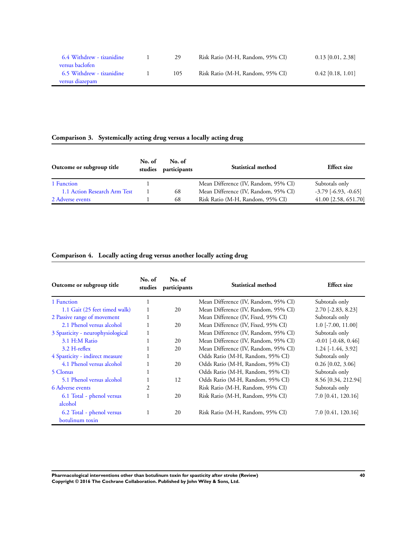| 6.4 Withdrew - tizanidine | 29  | Risk Ratio (M-H, Random, 95% CI) | $0.13$ [0.01, 2.38] |
|---------------------------|-----|----------------------------------|---------------------|
| versus baclofen           |     |                                  |                     |
| 6.5 Withdrew - tizanidine | 105 | Risk Ratio (M-H, Random, 95% CI) | $0.42$ [0.18, 1.01] |
| versus diazepam           |     |                                  |                     |

## **Comparison 3. Systemically acting drug versus a locally acting drug**

| Outcome or subgroup title    | No. of<br>studies | No. of<br>participants | <b>Statistical method</b>            | <b>Effect</b> size       |  |
|------------------------------|-------------------|------------------------|--------------------------------------|--------------------------|--|
| 1 Function                   |                   |                        | Mean Difference (IV, Random, 95% CI) | Subtotals only           |  |
| 1.1 Action Research Arm Test |                   | 68                     | Mean Difference (IV, Random, 95% CI) | $-3.79$ $[-6.93, -0.65]$ |  |
| 2 Adverse events             |                   | 68                     | Risk Ratio (M-H, Random, 95% CI)     | 41.00 [2.58, 651.70]     |  |

## **Comparison 4. Locally acting drug versus another locally acting drug**

| Outcome or subgroup title         | No. of<br>No. of<br>participants<br>studies |    | Statistical method                   | <b>Effect</b> size      |  |
|-----------------------------------|---------------------------------------------|----|--------------------------------------|-------------------------|--|
| 1 Function                        |                                             |    | Mean Difference (IV, Random, 95% CI) | Subtotals only          |  |
| 1.1 Gait (25 feet timed walk)     |                                             | 20 | Mean Difference (IV, Random, 95% CI) | $2.70$ [-2.83, 8.23]    |  |
| 2 Passive range of movement       |                                             |    | Mean Difference (IV, Fixed, 95% CI)  | Subtotals only          |  |
| 2.1 Phenol versus alcohol         |                                             | 20 | Mean Difference (IV, Fixed, 95% CI)  | $1.0$ [-7.00, 11.00]    |  |
| 3 Spasticity - neurophysiological |                                             |    | Mean Difference (IV, Random, 95% CI) | Subtotals only          |  |
| 3.1 H:M Ratio                     |                                             | 20 | Mean Difference (IV, Random, 95% CI) | $-0.01$ $[-0.48, 0.46]$ |  |
| $3.2$ H-reflex                    |                                             | 20 | Mean Difference (IV, Random, 95% CI) | $1.24$ [-1.44, 3.92]    |  |
| 4 Spasticity - indirect measure   |                                             |    | Odds Ratio (M-H, Random, 95% CI)     | Subtotals only          |  |
| 4.1 Phenol versus alcohol         |                                             | 20 | Odds Ratio (M-H, Random, 95% CI)     | $0.26$ [0.02, 3.06]     |  |
| 5 Clonus                          |                                             |    | Odds Ratio (M-H, Random, 95% CI)     | Subtotals only          |  |
| 5.1 Phenol versus alcohol         |                                             | 12 | Odds Ratio (M-H, Random, 95% CI)     | 8.56 [0.34, 212.94]     |  |
| 6 Adverse events                  | 2                                           |    | Risk Ratio (M-H, Random, 95% CI)     | Subtotals only          |  |
| 6.1 Total - phenol versus         |                                             | 20 | Risk Ratio (M-H, Random, 95% CI)     | 7.0 [0.41, 120.16]      |  |
| alcohol                           |                                             |    |                                      |                         |  |
| 6.2 Total - phenol versus         | 1                                           | 20 | Risk Ratio (M-H, Random, 95% CI)     | 7.0 [0.41, 120.16]      |  |
| botulinum toxin                   |                                             |    |                                      |                         |  |

**Pharmacological interventions other than botulinum toxin for spasticity after stroke (Review) 40 Copyright © 2016 The Cochrane Collaboration. Published by John Wiley & Sons, Ltd.**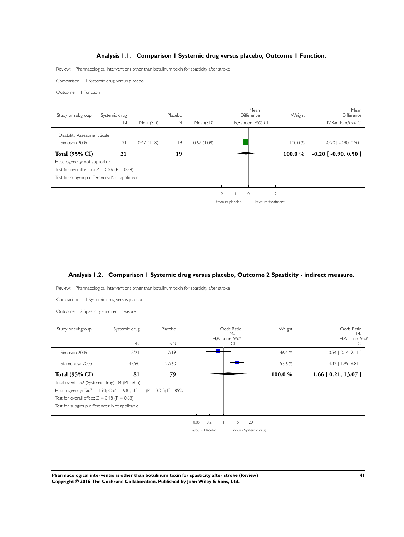## **Analysis 1.1. Comparison 1 Systemic drug versus placebo, Outcome 1 Function.**

<span id="page-42-0"></span>Review: Pharmacological interventions other than botulinum toxin for spasticity after stroke

Comparison: 1 Systemic drug versus placebo

Outcome: 1 Function

| Study or subgroup                              | Systemic drug |               | Placebo     |            | Mean<br><b>Difference</b> | Weight            | Mean<br>Difference                  |
|------------------------------------------------|---------------|---------------|-------------|------------|---------------------------|-------------------|-------------------------------------|
|                                                | N             | Mean(SD)      | $\mathbb N$ | Mean(SD)   | IV, Random, 95% CI        |                   | IV, Random, 95% CI                  |
| Disability Assessment Scale                    |               |               |             |            |                           |                   |                                     |
| Simpson 2009                                   | 21            | $0.47$ (1.18) | 9           | 0.67(1.08) |                           | 100.0%            | $-0.20$ $\lceil -0.90, 0.50 \rceil$ |
| <b>Total (95% CI)</b>                          | 21            |               | 19          |            |                           | 100.0%            | $-0.20$ [ $-0.90, 0.50$ ]           |
| Heterogeneity: not applicable                  |               |               |             |            |                           |                   |                                     |
| Test for overall effect: $Z = 0.56$ (P = 0.58) |               |               |             |            |                           |                   |                                     |
| Test for subgroup differences: Not applicable  |               |               |             |            |                           |                   |                                     |
|                                                |               |               |             |            |                           |                   |                                     |
|                                                |               |               |             |            | $-2$<br>$\Omega$<br>$-1$  | $\overline{2}$    |                                     |
|                                                |               |               |             |            | Favours placebo           | Favours treatment |                                     |

## **Analysis 1.2. Comparison 1 Systemic drug versus placebo, Outcome 2 Spasticity - indirect measure.**

Review: Pharmacological interventions other than botulinum toxin for spasticity after stroke

Comparison: 1 Systemic drug versus placebo

Outcome: 2 Spasticity - indirect measure

| Study or subgroup                              | Systemic drug                                                                                    | Placebo |                 |     | Odds Ratio<br>$M -$ |                       | Weight | Odds Ratio<br>$M -$    |
|------------------------------------------------|--------------------------------------------------------------------------------------------------|---------|-----------------|-----|---------------------|-----------------------|--------|------------------------|
|                                                | n/N                                                                                              | n/N     |                 |     | H,Random,95%        |                       |        | H,Random,95%           |
| Simpson 2009                                   | 5/21                                                                                             | 7/19    |                 |     |                     |                       | 46.4 % | $0.54$ $[0.14, 2.11]$  |
| Stamenova 2005                                 | 47/60                                                                                            | 27/60   |                 |     |                     |                       | 53.6 % | 4.42 [ 1.99, 9.81 ]    |
| <b>Total (95% CI)</b>                          | 81                                                                                               | 79      |                 |     |                     |                       | 100.0% | $1.66$ [ 0.21, 13.07 ] |
| Total events: 52 (Systemic drug), 34 (Placebo) |                                                                                                  |         |                 |     |                     |                       |        |                        |
|                                                | Heterogeneity: Tau <sup>2</sup> = 1.90; Chi <sup>2</sup> = 6.81, df = 1 (P = 0.01); $1^2 = 85\%$ |         |                 |     |                     |                       |        |                        |
| Test for overall effect: $Z = 0.48$ (P = 0.63) |                                                                                                  |         |                 |     |                     |                       |        |                        |
| Test for subgroup differences: Not applicable  |                                                                                                  |         |                 |     |                     |                       |        |                        |
|                                                |                                                                                                  |         |                 |     |                     |                       |        |                        |
|                                                |                                                                                                  |         | 0.05            | 0.2 | 5                   | 20                    |        |                        |
|                                                |                                                                                                  |         | Favours Placebo |     |                     | Favours Systemic drug |        |                        |

**Pharmacological interventions other than botulinum toxin for spasticity after stroke (Review) 41 Copyright © 2016 The Cochrane Collaboration. Published by John Wiley & Sons, Ltd.**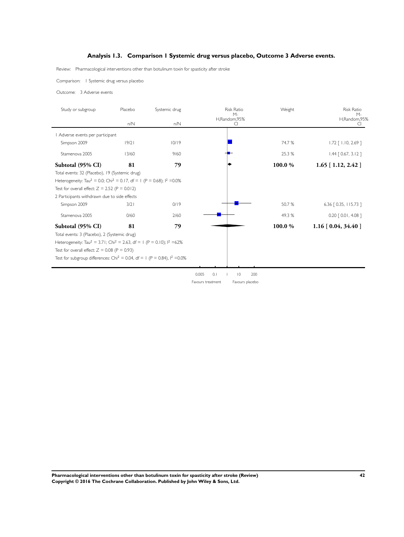## **Analysis 1.3. Comparison 1 Systemic drug versus placebo, Outcome 3 Adverse events.**

Review: Pharmacological interventions other than botulinum toxin for spasticity after stroke

Comparison: 1 Systemic drug versus placebo

Outcome: 3 Adverse events

| Study or subgroup                                                                                        | Placebo | Systemic drug | <b>Risk Ratio</b><br>$M -$            | Weight  | <b>Risk Ratio</b><br>$M -$ |
|----------------------------------------------------------------------------------------------------------|---------|---------------|---------------------------------------|---------|----------------------------|
|                                                                                                          | n/N     | n/N           | H,Random,95%<br>C.                    |         | H,Random,95%               |
| Adverse events per participant                                                                           |         |               |                                       |         |                            |
| Simpson 2009                                                                                             | 19/21   | 10/19         |                                       | 74.7 %  | $1.72$ [ $1.10$ , 2.69 ]   |
| Stamenova 2005                                                                                           | 13/60   | 9/60          |                                       | 25.3 %  | $1.44$ $[0.67, 3.12]$      |
| Subtotal (95% CI)                                                                                        | 81      | 79            |                                       | 100.0 % | $1.65$ [ 1.12, 2.42 ]      |
| Total events: 32 (Placebo), 19 (Systemic drug)                                                           |         |               |                                       |         |                            |
| Heterogeneity: Tau <sup>2</sup> = 0.0; Chi <sup>2</sup> = 0.17, df = 1 (P = 0.68); l <sup>2</sup> = 0.0% |         |               |                                       |         |                            |
| Test for overall effect: $Z = 2.52$ (P = 0.012)                                                          |         |               |                                       |         |                            |
| 2 Participants withdrawn due to side effects                                                             |         |               |                                       |         |                            |
| Simpson 2009                                                                                             | 3/21    | 0/19          |                                       | 50.7%   | 6.36 [ 0.35, 115.73 ]      |
| Stamenova 2005                                                                                           | 0/60    | 2/60          |                                       | 49.3 %  | $0.20$ $[0.01, 4.08]$      |
| Subtotal (95% CI)                                                                                        | 81      | 79            |                                       | 100.0 % | $1.16$ [ 0.04, 34.40 ]     |
| Total events: 3 (Placebo), 2 (Systemic drug)                                                             |         |               |                                       |         |                            |
| Heterogeneity: Tau <sup>2</sup> = 3.71; Chi <sup>2</sup> = 2.63, df = 1 (P = 0.10); $1^2$ =62%           |         |               |                                       |         |                            |
| Test for overall effect: $Z = 0.08$ (P = 0.93)                                                           |         |               |                                       |         |                            |
| Test for subgroup differences: Chi <sup>2</sup> = 0.04, df = 1 (P = 0.84), $1^2$ = 0.0%                  |         |               |                                       |         |                            |
|                                                                                                          |         |               |                                       |         |                            |
|                                                                                                          |         |               | 0.005<br>0.1<br>$\overline{0}$<br>200 |         |                            |

Favours treatment Favours placebo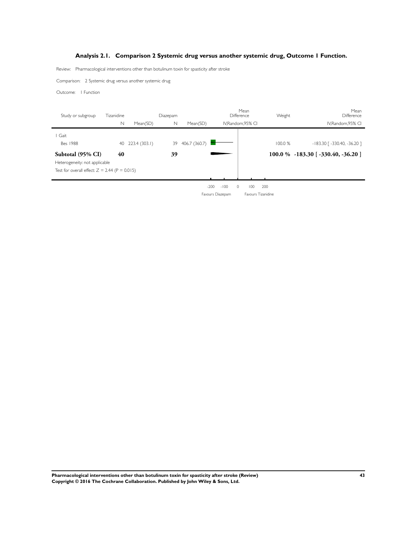## **Analysis 2.1. Comparison 2 Systemic drug versus another systemic drug, Outcome 1 Function.**

<span id="page-44-0"></span>Review: Pharmacological interventions other than botulinum toxin for spasticity after stroke

Comparison: 2 Systemic drug versus another systemic drug

Outcome: 1 Function

| Study or subgroup                               | Tizanidine |               | Diazepam |               |                  | Mean<br>Difference | Weight | Mean<br>Difference                  |
|-------------------------------------------------|------------|---------------|----------|---------------|------------------|--------------------|--------|-------------------------------------|
|                                                 | N          | Mean(SD)      | N        | Mean(SD)      |                  | IV.Random.95% CI   |        | IV.Random.95% CI                    |
| Gait                                            |            |               |          |               |                  |                    |        |                                     |
| Bes 1988                                        | 40         | 223.4 (303.1) | 39       | 406.7 (360.7) |                  |                    | 100.0% | -183.30 [-330.40, -36.20 ]          |
| Subtotal (95% CI)                               | 40         |               | 39       |               |                  |                    |        | $100.0\%$ -183.30 [-330.40, -36.20] |
| Heterogeneity: not applicable                   |            |               |          |               |                  |                    |        |                                     |
| Test for overall effect: $Z = 2.44$ (P = 0.015) |            |               |          |               |                  |                    |        |                                     |
|                                                 |            |               |          |               |                  |                    |        |                                     |
|                                                 |            |               |          |               | $-100$<br>$-200$ | $\circ$<br>100     | 200    |                                     |
|                                                 |            |               |          |               | Favours Diazepam | Favours Tizanidine |        |                                     |

**Pharmacological interventions other than botulinum toxin for spasticity after stroke (Review) 43 Copyright © 2016 The Cochrane Collaboration. Published by John Wiley & Sons, Ltd.**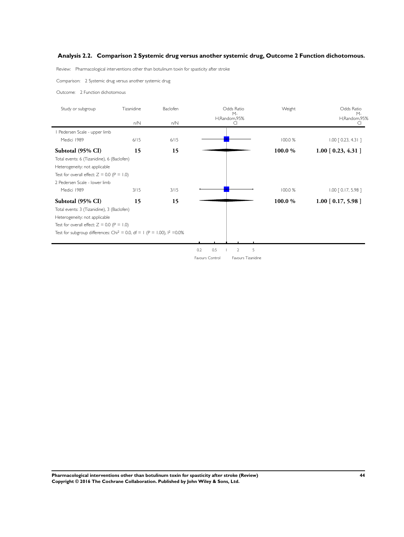## <span id="page-45-0"></span>**Analysis 2.2. Comparison 2 Systemic drug versus another systemic drug, Outcome 2 Function dichotomous.**

Review: Pharmacological interventions other than botulinum toxin for spasticity after stroke

Comparison: 2 Systemic drug versus another systemic drug

Outcome: 2 Function dichotomous

| Study or subgroup                                                                      | Tizanidine | Baclofen | Odds Ratio<br>$M -$               | Weight  | Odds Ratio<br>$M -$   |
|----------------------------------------------------------------------------------------|------------|----------|-----------------------------------|---------|-----------------------|
|                                                                                        | n/N        | n/N      | H,Random,95%<br>CI                |         | H,Random,95%          |
| Pedersen Scale - upper limb                                                            |            |          |                                   |         |                       |
| Medici 1989                                                                            | $6/15$     | $6/15$   |                                   | 100.0 % | $1.00$ $[0.23, 4.31]$ |
| Subtotal (95% CI)                                                                      | 15         | 15       |                                   | 100.0 % | $1.00$ [ 0.23, 4.31 ] |
| Total events: 6 (Tizanidine), 6 (Baclofen)                                             |            |          |                                   |         |                       |
| Heterogeneity: not applicable                                                          |            |          |                                   |         |                       |
| Test for overall effect: $Z = 0.0$ (P = 1.0)                                           |            |          |                                   |         |                       |
| 2 Pedersen Scale - lower limb                                                          |            |          |                                   |         |                       |
| Medici 1989                                                                            | 3/15       | 3/15     |                                   | 100.0 % | $1.00$ $[0.17, 5.98]$ |
| Subtotal (95% CI)                                                                      | 15         | 15       |                                   | 100.0 % | $1.00$ [ 0.17, 5.98 ] |
| Total events: 3 (Tizanidine), 3 (Baclofen)                                             |            |          |                                   |         |                       |
| Heterogeneity: not applicable                                                          |            |          |                                   |         |                       |
| Test for overall effect: $Z = 0.0$ (P = 1.0)                                           |            |          |                                   |         |                       |
| Test for subgroup differences: Chi <sup>2</sup> = 0.0, df = 1 (P = 1.00), $1^2$ = 0.0% |            |          |                                   |         |                       |
|                                                                                        |            |          |                                   |         |                       |
|                                                                                        |            |          | 0.5<br>5<br>0.2<br>$\overline{2}$ |         |                       |

Favours Control Favours Tizanidine

**Pharmacological interventions other than botulinum toxin for spasticity after stroke (Review) 44 Copyright © 2016 The Cochrane Collaboration. Published by John Wiley & Sons, Ltd.**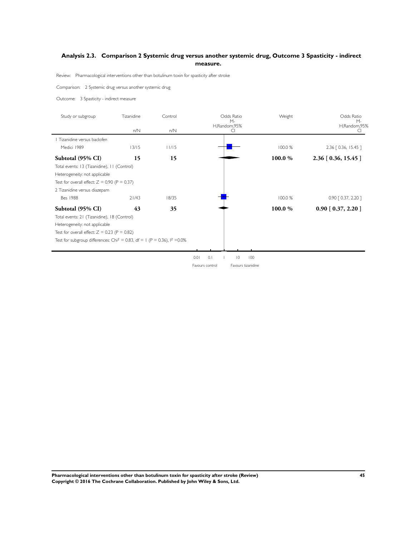## <span id="page-46-0"></span>**Analysis 2.3. Comparison 2 Systemic drug versus another systemic drug, Outcome 3 Spasticity - indirect measure.**

Review: Pharmacological interventions other than botulinum toxin for spasticity after stroke

Comparison: 2 Systemic drug versus another systemic drug

Outcome: 3 Spasticity - indirect measure

| Study or subgroup                                                                       | Tizanidine | Control |                            | Weight             | Odds Ratio<br>$M -$     |
|-----------------------------------------------------------------------------------------|------------|---------|----------------------------|--------------------|-------------------------|
|                                                                                         | n/N        | n/N     | $M -$<br>H,Random,95%<br>C |                    | H,Random,95%            |
| Tizanidine versus baclofen                                                              |            |         |                            |                    |                         |
| Medici 1989                                                                             | 13/15      | 11/15   |                            | 100.0 %            | 2.36 [ 0.36, 15.45 ]    |
| Subtotal (95% CI)                                                                       | 15         | 15      |                            | 100.0%             | $2.36$ [ 0.36, 15.45 ]  |
| Total events: 13 (Tizanidine), 11 (Control)                                             |            |         |                            |                    |                         |
| Heterogeneity: not applicable                                                           |            |         |                            |                    |                         |
| Test for overall effect: $Z = 0.90$ (P = 0.37)                                          |            |         |                            |                    |                         |
| 2 Tizanidine versus diazepam                                                            |            |         |                            |                    |                         |
| <b>Bes 1988</b>                                                                         | 21/43      | 18/35   |                            | 100.0 %            | 0.90 [ 0.37, 2.20 ]     |
| Subtotal (95% CI)                                                                       | 43         | 35      |                            | 100.0%             | $0.90$ [ $0.37, 2.20$ ] |
| Total events: 21 (Tizanidine), 18 (Control)                                             |            |         |                            |                    |                         |
| Heterogeneity: not applicable                                                           |            |         |                            |                    |                         |
| Test for overall effect: $Z = 0.23$ (P = 0.82)                                          |            |         |                            |                    |                         |
| Test for subgroup differences: Chi <sup>2</sup> = 0.83, df = 1 (P = 0.36), $1^2$ = 0.0% |            |         |                            |                    |                         |
|                                                                                         |            |         |                            |                    |                         |
|                                                                                         |            |         | 0.1<br>0.01<br>$ 0\rangle$ | 100                |                         |
|                                                                                         |            |         | Favours control            | Favours tizanidine |                         |

**Pharmacological interventions other than botulinum toxin for spasticity after stroke (Review) 45 Copyright © 2016 The Cochrane Collaboration. Published by John Wiley & Sons, Ltd.**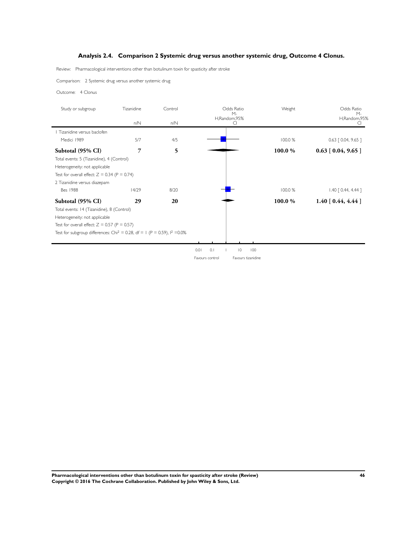## **Analysis 2.4. Comparison 2 Systemic drug versus another systemic drug, Outcome 4 Clonus.**

<span id="page-47-0"></span>Review: Pharmacological interventions other than botulinum toxin for spasticity after stroke

Comparison: 2 Systemic drug versus another systemic drug

Outcome: 4 Clonus

| Study or subgroup                                                                                | Tizanidine | Control | Odds Ratio<br>$M -$                  | Weight  | Odds Ratio<br>$M -$   |  |
|--------------------------------------------------------------------------------------------------|------------|---------|--------------------------------------|---------|-----------------------|--|
|                                                                                                  | n/N        | n/N     | H,Random,95%<br>CI                   |         | H,Random,95%          |  |
| Tizanidine versus baclofen                                                                       |            |         |                                      |         |                       |  |
| Medici 1989                                                                                      | 5/7        | 4/5     |                                      | 100.0 % | $0.63$ $[0.04, 9.65]$ |  |
| Subtotal (95% CI)                                                                                | 7          | 5       |                                      | 100.0 % | $0.63$ [ 0.04, 9.65 ] |  |
| Total events: 5 (Tizanidine), 4 (Control)                                                        |            |         |                                      |         |                       |  |
| Heterogeneity: not applicable                                                                    |            |         |                                      |         |                       |  |
| Test for overall effect: $Z = 0.34$ (P = 0.74)                                                   |            |         |                                      |         |                       |  |
| 2 Tizanidine versus diazepam                                                                     |            |         |                                      |         |                       |  |
| <b>Bes 1988</b>                                                                                  | 14/29      | 8/20    |                                      | 100.0 % | $1.40$ $[0.44, 4.44]$ |  |
| Subtotal (95% CI)                                                                                | 29         | 20      |                                      | 100.0 % | $1.40$ [ 0.44, 4.44 ] |  |
| Total events: 14 (Tizanidine), 8 (Control)                                                       |            |         |                                      |         |                       |  |
| Heterogeneity: not applicable                                                                    |            |         |                                      |         |                       |  |
| Test for overall effect: $Z = 0.57$ (P = 0.57)                                                   |            |         |                                      |         |                       |  |
| Test for subgroup differences: Chi <sup>2</sup> = 0.28, df = 1 (P = 0.59), l <sup>2</sup> = 0.0% |            |         |                                      |         |                       |  |
|                                                                                                  |            |         |                                      |         |                       |  |
|                                                                                                  |            |         | 100<br>0.01<br>0.1<br>$\overline{0}$ |         |                       |  |

Favours control Favours tizanidine

**Pharmacological interventions other than botulinum toxin for spasticity after stroke (Review) 46 Copyright © 2016 The Cochrane Collaboration. Published by John Wiley & Sons, Ltd.**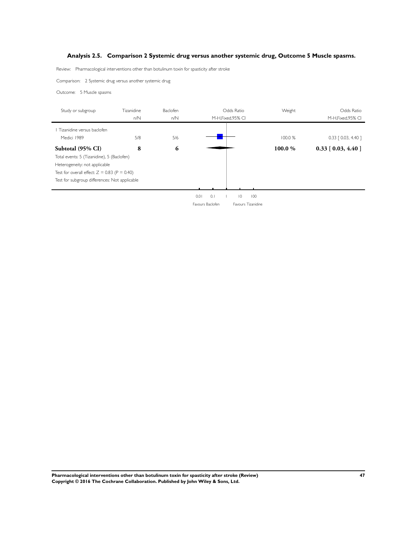## <span id="page-48-0"></span>**Analysis 2.5. Comparison 2 Systemic drug versus another systemic drug, Outcome 5 Muscle spasms.**

Review: Pharmacological interventions other than botulinum toxin for spasticity after stroke

Comparison: 2 Systemic drug versus another systemic drug

Outcome: 5 Muscle spasms

| Study or subgroup                              | <b>Tizanidine</b> | Baclofen |                  | Odds Ratio            |         | Odds Ratio            |
|------------------------------------------------|-------------------|----------|------------------|-----------------------|---------|-----------------------|
|                                                | n/N               | n/N      |                  | M-H, Fixed, 95% CI    |         | M-H, Fixed, 95% CI    |
| Tizanidine versus baclofen                     |                   |          |                  |                       |         |                       |
| Medici 1989                                    | 5/8               | 5/6      |                  |                       | 100.0%  | $0.33$ $[0.03, 4.40]$ |
| Subtotal (95% CI)                              | 8                 | 6        |                  |                       | 100.0 % | $0.33$ [ 0.03, 4.40 ] |
| Total events: 5 (Tizanidine), 5 (Baclofen)     |                   |          |                  |                       |         |                       |
| Heterogeneity: not applicable                  |                   |          |                  |                       |         |                       |
| Test for overall effect: $Z = 0.83$ (P = 0.40) |                   |          |                  |                       |         |                       |
| Test for subgroup differences: Not applicable  |                   |          |                  |                       |         |                       |
|                                                |                   |          |                  |                       |         |                       |
|                                                |                   |          | 0.1<br>0.01      | $\overline{0}$<br>100 |         |                       |
|                                                |                   |          | Favours Baclofen | Favours Tizanidine    |         |                       |

**Pharmacological interventions other than botulinum toxin for spasticity after stroke (Review) 47 Copyright © 2016 The Cochrane Collaboration. Published by John Wiley & Sons, Ltd.**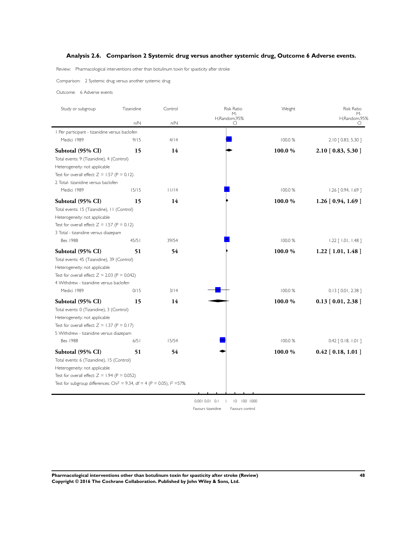## <span id="page-49-0"></span>**Analysis 2.6. Comparison 2 Systemic drug versus another systemic drug, Outcome 6 Adverse events.**

Review: Pharmacological interventions other than botulinum toxin for spasticity after stroke

Comparison: 2 Systemic drug versus another systemic drug

Outcome: 6 Adverse events

| Study or subgroup                                                                     | Tizanidine | Control | <b>Risk Ratio</b><br>$M -$            | Weight  | <b>Risk Ratio</b><br>М-    |
|---------------------------------------------------------------------------------------|------------|---------|---------------------------------------|---------|----------------------------|
|                                                                                       | n/N        | n/N     | H,Random,95%<br>C.                    |         | H,Random,95%<br>CI         |
| I Per participant - tizanidine versus baclofen                                        |            |         |                                       |         |                            |
| Medici 1989                                                                           | 9/15       | 4/14    |                                       | 100.0 % | 2.10 [ 0.83, 5.30 ]        |
| Subtotal (95% CI)                                                                     | 15         | 14      |                                       | 100.0%  | 2.10 [0.83, 5.30]          |
| Total events: 9 (Tizanidine), 4 (Control)                                             |            |         |                                       |         |                            |
| Heterogeneity: not applicable                                                         |            |         |                                       |         |                            |
| Test for overall effect: $Z = 1.57$ (P = 0.12)                                        |            |         |                                       |         |                            |
| 2 Total- tizanidine versus baclofen                                                   |            |         |                                       |         |                            |
| Medici 1989                                                                           | 15/15      | 11/14   |                                       | 100.0 % | $1.26$ [ 0.94, 1.69 ]      |
| Subtotal (95% CI)                                                                     | 15         | 14      |                                       | 100.0%  | $1.26$ [ 0.94, 1.69 ]      |
| Total events: 15 (Tizanidine), 11 (Control)                                           |            |         |                                       |         |                            |
| Heterogeneity: not applicable                                                         |            |         |                                       |         |                            |
| Test for overall effect: $Z = 1.57$ (P = 0.12)                                        |            |         |                                       |         |                            |
| 3 Total - tizanidine versus diazepam                                                  |            |         |                                       |         |                            |
| <b>Bes 1988</b>                                                                       | 45/51      | 39/54   |                                       | 100.0 % | $1.22$ [ $1.01$ , $1.48$ ] |
| Subtotal (95% CI)                                                                     | 51         | 54      |                                       | 100.0%  | $1.22$ [ 1.01, 1.48 ]      |
| Total events: 45 (Tizanidine), 39 (Control)                                           |            |         |                                       |         |                            |
| Heterogeneity: not applicable                                                         |            |         |                                       |         |                            |
| Test for overall effect: $Z = 2.03$ (P = 0.042)                                       |            |         |                                       |         |                            |
| 4 Withdrew - tizanidine versus baclofen                                               |            |         |                                       |         |                            |
| Medici 1989                                                                           | 0/15       | 3/14    |                                       | 100.0 % | $0.13$ $[0.01, 2.38]$      |
| Subtotal (95% CI)                                                                     | 15         | 14      |                                       | 100.0%  | $0.13$ [ $0.01, 2.38$ ]    |
| Total events: 0 (Tizanidine), 3 (Control)                                             |            |         |                                       |         |                            |
| Heterogeneity: not applicable                                                         |            |         |                                       |         |                            |
| Test for overall effect: $Z = 1.37$ (P = 0.17)                                        |            |         |                                       |         |                            |
| 5 Withdrew - tizanidine versus diazepam                                               |            |         |                                       |         |                            |
| <b>Bes 1988</b>                                                                       | 6/51       | 15/54   |                                       | 100.0 % | $0.42$ $[0.18, 1.01]$      |
| Subtotal (95% CI)                                                                     | 51         | 54      |                                       | 100.0%  | $0.42$ [ $0.18$ , $1.01$ ] |
| Total events: 6 (Tizanidine), 15 (Control)                                            |            |         |                                       |         |                            |
| Heterogeneity: not applicable                                                         |            |         |                                       |         |                            |
| Test for overall effect: $Z = 1.94$ (P = 0.052)                                       |            |         |                                       |         |                            |
| Test for subgroup differences: Chi <sup>2</sup> = 9.34, df = 4 (P = 0.05), $1^2$ =57% |            |         |                                       |         |                            |
|                                                                                       |            |         |                                       |         |                            |
|                                                                                       |            |         | 0.0010.010.1<br>10 100 1000           |         |                            |
|                                                                                       |            |         | Favours tizanidine<br>Favours control |         |                            |

**Pharmacological interventions other than botulinum toxin for spasticity after stroke (Review) 48 Copyright © 2016 The Cochrane Collaboration. Published by John Wiley & Sons, Ltd.**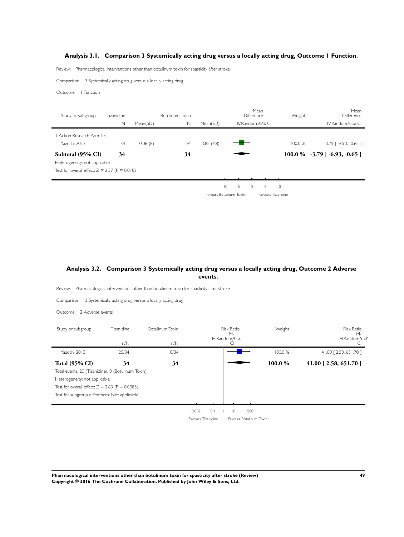## <span id="page-50-0"></span>**Analysis 3.1. Comparison 3 Systemically acting drug versus a locally acting drug, Outcome 1 Function.**

Review: Pharmacological interventions other than botulinum toxin for spasticity after stroke

Comparison: 3 Systemically acting drug versus a locally acting drug

Outcome: 1 Function

| Study or subgroup                                                                                     | Tizanidine |          | <b>Botulinum Toxin</b> |           |                           | Mean<br>Difference        | Weight         | Mean<br>Difference             |
|-------------------------------------------------------------------------------------------------------|------------|----------|------------------------|-----------|---------------------------|---------------------------|----------------|--------------------------------|
|                                                                                                       | N          | Mean(SD) | N                      | Mean(SD)  |                           | IV.Random.95% CI          |                | IV.Random.95% CI               |
| Action Research Arm Test<br>Yazdchi 2013                                                              | 34         | 0.06(8)  | 34                     | 3.85(4.8) |                           |                           | 100.0%         | $-3.79$ [ $-6.93$ , $-0.65$ ]  |
| Subtotal (95% CI)<br>Heterogeneity: not applicable<br>Test for overall effect: $Z = 2.37$ (P = 0.018) | 34         |          | 34                     |           |                           |                           |                | $100.0\%$ -3.79 [-6.93, -0.65] |
|                                                                                                       |            |          |                        |           | $-5$<br>$-10$<br>$\Omega$ | 5.                        | $\overline{0}$ |                                |
|                                                                                                       |            |          |                        |           | Favours Botulinum Toxin   | <b>Favours Tizanidine</b> |                |                                |

## **Analysis 3.2. Comparison 3 Systemically acting drug versus a locally acting drug, Outcome 2 Adverse events.**

Review: Pharmacological interventions other than botulinum toxin for spasticity after stroke

Comparison: 3 Systemically acting drug versus a locally acting drug

Outcome: 2 Adverse events

| Study or subgroup                                  | Tizanidine | Botulinum Toxin | <b>Risk Ratio</b><br>H,Random,95% |                         | Weight  | Risk Ratio<br>$M -$<br>H,Random,95% |
|----------------------------------------------------|------------|-----------------|-----------------------------------|-------------------------|---------|-------------------------------------|
|                                                    | n/N        | n/N             |                                   | C                       |         |                                     |
| Yazdchi 2013                                       | 20/34      | 0/34            |                                   |                         | 100.0 % | 41.00 [2.58, 651.70]                |
| <b>Total (95% CI)</b>                              | 34         | 34              |                                   |                         | 100.0%  | 41.00 [2.58, 651.70]                |
| Total events: 20 (Tizanidine), 0 (Botulinum Toxin) |            |                 |                                   |                         |         |                                     |
| Heterogeneity: not applicable                      |            |                 |                                   |                         |         |                                     |
| Test for overall effect: $Z = 2.63$ (P = 0.0085)   |            |                 |                                   |                         |         |                                     |
| Test for subgroup differences: Not applicable      |            |                 |                                   |                         |         |                                     |
|                                                    |            |                 |                                   |                         |         |                                     |
|                                                    |            |                 | 0.002<br>0.1                      | 500<br>$\overline{0}$   |         |                                     |
|                                                    |            |                 | Favours Tizanidine                | Favours Botulinum Toxin |         |                                     |

**Pharmacological interventions other than botulinum toxin for spasticity after stroke (Review) 49 Copyright © 2016 The Cochrane Collaboration. Published by John Wiley & Sons, Ltd.**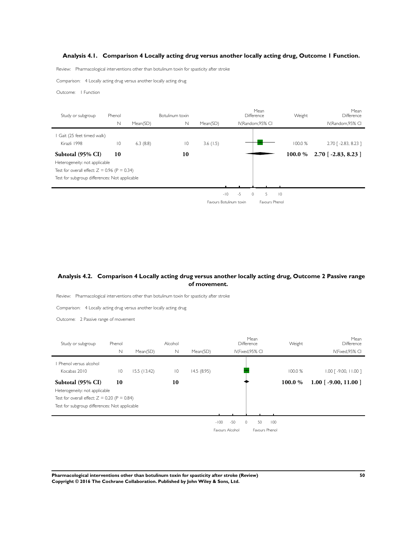## <span id="page-51-0"></span>**Analysis 4.1. Comparison 4 Locally acting drug versus another locally acting drug, Outcome 1 Function.**

Review: Pharmacological interventions other than botulinum toxin for spasticity after stroke

Comparison: 4 Locally acting drug versus another locally acting drug

Outcome: 1 Function

| Study or subgroup                              | Phenol          |          | Botulinum toxin |          |                         | Mean<br>Difference | Weight      | Mean<br>Difference     |
|------------------------------------------------|-----------------|----------|-----------------|----------|-------------------------|--------------------|-------------|------------------------|
|                                                | N               | Mean(SD) | $\mathbb N$     | Mean(SD) |                         | IV, Random, 95% CI |             | IV, Random, 95% CI     |
| Gait (25 feet timed walk)                      |                 |          |                 |          |                         |                    |             |                        |
| Kirazli 1998                                   | $\overline{10}$ | 6.3(8.8) | $\overline{0}$  | 3.6(1.5) |                         |                    | 100.0%      | 2.70 [ -2.83, 8.23 ]   |
| Subtotal (95% CI)                              | 10              |          | 10              |          |                         |                    | 100.0 %     | $2.70$ [ -2.83, 8.23 ] |
| Heterogeneity: not applicable                  |                 |          |                 |          |                         |                    |             |                        |
| Test for overall effect: $Z = 0.96$ (P = 0.34) |                 |          |                 |          |                         |                    |             |                        |
| Test for subgroup differences: Not applicable  |                 |          |                 |          |                         |                    |             |                        |
|                                                |                 |          |                 |          |                         |                    |             |                        |
|                                                |                 |          |                 |          | $-10$<br>$-5$           | 5.<br>$\Omega$     | $ 0\rangle$ |                        |
|                                                |                 |          |                 |          | Favours Botulinum toxin | Favours Phenol     |             |                        |

## **Analysis 4.2. Comparison 4 Locally acting drug versus another locally acting drug, Outcome 2 Passive range of movement.**

Review: Pharmacological interventions other than botulinum toxin for spasticity after stroke

Comparison: 4 Locally acting drug versus another locally acting drug

Outcome: 2 Passive range of movement

| Study or subgroup                              | Phenol         |             | Alcohol         |            |                 | Mean<br>Difference | Weight  | Mean<br>Difference                  |
|------------------------------------------------|----------------|-------------|-----------------|------------|-----------------|--------------------|---------|-------------------------------------|
|                                                | $\mathbb N$    | Mean(SD)    | $\mathbb N$     | Mean(SD)   |                 | IV, Fixed, 95% CI  |         | IV, Fixed, 95% CI                   |
| Phenol versus alcohol                          |                |             |                 |            |                 |                    |         |                                     |
| Kocabas 2010                                   | $\overline{0}$ | 15.5(13.42) | $\overline{10}$ | 14.5(8.95) |                 |                    | 100.0 % | $1.00$ $\lceil -9.00, 11.00 \rceil$ |
| Subtotal (95% CI)                              | 10             |             | 10              |            |                 |                    | 100.0 % | $1.00$ [ -9.00, 11.00 ]             |
| Heterogeneity: not applicable                  |                |             |                 |            |                 |                    |         |                                     |
| Test for overall effect: $Z = 0.20$ (P = 0.84) |                |             |                 |            |                 |                    |         |                                     |
| Test for subgroup differences: Not applicable  |                |             |                 |            |                 |                    |         |                                     |
|                                                |                |             |                 |            |                 |                    |         |                                     |
|                                                |                |             |                 |            | $-50$<br>$-100$ | 50<br>$\circ$      | 100     |                                     |
|                                                |                |             |                 |            | Favours Alcohol | Favours Phenol     |         |                                     |

**Pharmacological interventions other than botulinum toxin for spasticity after stroke (Review) 50 Copyright © 2016 The Cochrane Collaboration. Published by John Wiley & Sons, Ltd.**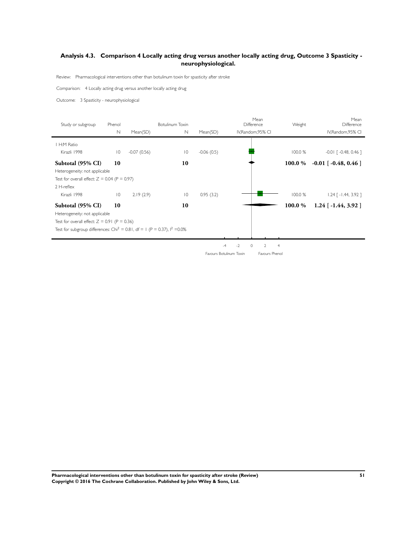## **Analysis 4.3. Comparison 4 Locally acting drug versus another locally acting drug, Outcome 3 Spasticity neurophysiological.**

Review: Pharmacological interventions other than botulinum toxin for spasticity after stroke

Comparison: 4 Locally acting drug versus another locally acting drug

Outcome: 3 Spasticity - neurophysiological

| Study or subgroup                                                                       | Phenol          |               | Botulinum Toxin |              | Mean<br>Difference                        | Weight         | Mean<br>Difference         |
|-----------------------------------------------------------------------------------------|-----------------|---------------|-----------------|--------------|-------------------------------------------|----------------|----------------------------|
|                                                                                         | N               | Mean(SD)      | N               | Mean(SD)     | IV, Random, 95% CI                        |                | IV, Random, 95% CI         |
| H:M Ratio                                                                               |                 |               |                 |              |                                           |                |                            |
| Kirazli 1998                                                                            | $\overline{10}$ | $-0.07(0.56)$ | $\overline{10}$ | $-0.06(0.5)$ |                                           | 100.0%         | $-0.01$ $[-0.48, 0.46]$    |
| Subtotal (95% CI)                                                                       | 10              |               | 10              |              |                                           | 100.0 %        | $-0.01$ [ $-0.48$ , 0.46 ] |
| Heterogeneity: not applicable                                                           |                 |               |                 |              |                                           |                |                            |
| Test for overall effect: $Z = 0.04$ (P = 0.97)                                          |                 |               |                 |              |                                           |                |                            |
| $2$ H-reflex                                                                            |                 |               |                 |              |                                           |                |                            |
| Kirazli 1998                                                                            | $\overline{10}$ | 2.19(2.9)     | $\overline{10}$ | 0.95(3.2)    |                                           | 100.0 %        | $1.24$ [ -1.44, 3.92 ]     |
| Subtotal (95% CI)                                                                       | 10              |               | 10              |              |                                           | 100.0 %        | $1.24$ [ -1.44, 3.92 ]     |
| Heterogeneity: not applicable                                                           |                 |               |                 |              |                                           |                |                            |
| Test for overall effect: $Z = 0.91$ (P = 0.36)                                          |                 |               |                 |              |                                           |                |                            |
| Test for subgroup differences: Chi <sup>2</sup> = 0.81, df = 1 (P = 0.37), $1^2$ = 0.0% |                 |               |                 |              |                                           |                |                            |
|                                                                                         |                 |               |                 |              |                                           |                |                            |
|                                                                                         |                 |               |                 |              | $-2$<br>$\Omega$<br>$\mathcal{D}$<br>$-4$ | $\overline{4}$ |                            |
|                                                                                         |                 |               |                 |              | Favours Botulinum Toxin<br>Favours Phenol |                |                            |

**Pharmacological interventions other than botulinum toxin for spasticity after stroke (Review) 51 Copyright © 2016 The Cochrane Collaboration. Published by John Wiley & Sons, Ltd.**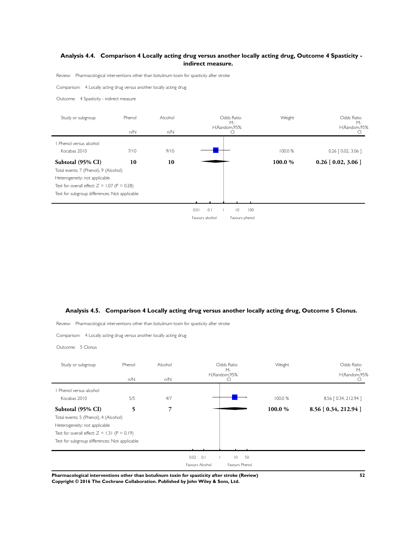## <span id="page-53-0"></span>**Analysis 4.4. Comparison 4 Locally acting drug versus another locally acting drug, Outcome 4 Spasticity indirect measure.**

Review: Pharmacological interventions other than botulinum toxin for spasticity after stroke

Comparison: 4 Locally acting drug versus another locally acting drug

Outcome: 4 Spasticity - indirect measure

| Study or subgroup                              | Phenol | Alcohol | Odds Ratio<br>$M -$                  | Weight | Odds Ratio                  |
|------------------------------------------------|--------|---------|--------------------------------------|--------|-----------------------------|
|                                                | n/N    | n/N     | H,Random,95%<br>CI                   |        | $M -$<br>H,Random,95%<br>Cı |
| Phenol versus alcohol                          |        |         |                                      |        |                             |
| Kocabas 2010                                   | 7/10   | 9/10    |                                      | 100.0% | $0.26$ $[0.02, 3.06]$       |
| Subtotal (95% CI)                              | 10     | 10      |                                      | 100.0% | $0.26$ [ 0.02, 3.06 ]       |
| Total events: 7 (Phenol), 9 (Alcohol)          |        |         |                                      |        |                             |
| Heterogeneity: not applicable                  |        |         |                                      |        |                             |
| Test for overall effect: $Z = 1.07$ (P = 0.28) |        |         |                                      |        |                             |
| Test for subgroup differences: Not applicable  |        |         |                                      |        |                             |
|                                                |        |         |                                      |        |                             |
|                                                |        |         | 0.1<br>0.01<br>$\overline{0}$<br>100 |        |                             |
|                                                |        |         | Favours alcohol<br>Favours phenol    |        |                             |

## **Analysis 4.5. Comparison 4 Locally acting drug versus another locally acting drug, Outcome 5 Clonus.**

Review: Pharmacological interventions other than botulinum toxin for spasticity after stroke

Comparison: 4 Locally acting drug versus another locally acting drug

Outcome: 5 Clonus

| Study or subgroup                              | Phenol | Alcohol |                 | Odds Ratio<br>$M -$    | Weight  | Odds Ratio<br>$M -$     |
|------------------------------------------------|--------|---------|-----------------|------------------------|---------|-------------------------|
|                                                | n/N    | n/N     |                 | H,Random,95%<br>CI     |         | H,Random,95%            |
| Phenol versus alcohol                          |        |         |                 |                        |         |                         |
| Kocabas 2010                                   | 5/5    | 4/7     |                 |                        | 100.0 % | 8.56 [ 0.34, 212.94 ]   |
| Subtotal (95% CI)                              | 5      | 7       |                 |                        | 100.0%  | $8.56$ [ 0.34, 212.94 ] |
| Total events: 5 (Phenol), 4 (Alcohol)          |        |         |                 |                        |         |                         |
| Heterogeneity: not applicable                  |        |         |                 |                        |         |                         |
| Test for overall effect: $Z = 1.31$ (P = 0.19) |        |         |                 |                        |         |                         |
| Test for subgroup differences: Not applicable  |        |         |                 |                        |         |                         |
|                                                |        |         |                 |                        |         |                         |
|                                                |        |         | $0.02$ 0.1      | $\overline{0}$<br>- 50 |         |                         |
|                                                |        |         | Favours Alcohol | Favours Phenol         |         |                         |

**Pharmacological interventions other than botulinum toxin for spasticity after stroke (Review) 52 Copyright © 2016 The Cochrane Collaboration. Published by John Wiley & Sons, Ltd.**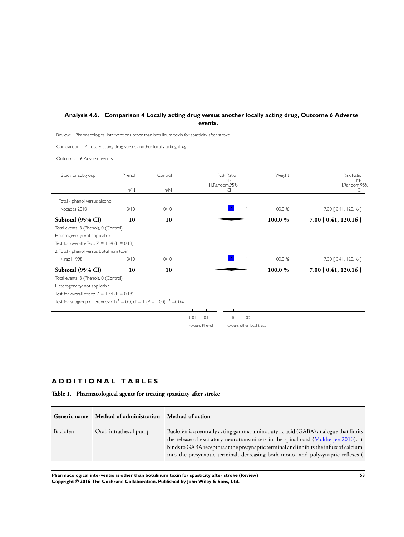## <span id="page-54-0"></span>**Analysis 4.6. Comparison 4 Locally acting drug versus another locally acting drug, Outcome 6 Adverse events.**

Review: Pharmacological interventions other than botulinum toxin for spasticity after stroke

Comparison: 4 Locally acting drug versus another locally acting drug

Outcome: 6 Adverse events

| Study or subgroup                                                                      | Phenol | Control | <b>Risk Ratio</b><br>$M -$                  | Weight  | <b>Risk Ratio</b>       |
|----------------------------------------------------------------------------------------|--------|---------|---------------------------------------------|---------|-------------------------|
|                                                                                        | n/N    | n/N     | H,Random,95%<br>C.                          |         | $M -$<br>H,Random,95%   |
| Total - phenol versus alcohol                                                          |        |         |                                             |         |                         |
| Kocabas 2010                                                                           | 3/10   | 0/10    |                                             | 100.0 % | 7.00 [ 0.41, 120.16 ]   |
| Subtotal (95% CI)                                                                      | 10     | 10      |                                             | 100.0%  | $7.00$ [ 0.41, 120.16 ] |
| Total events: 3 (Phenol), 0 (Control)                                                  |        |         |                                             |         |                         |
| Heterogeneity: not applicable                                                          |        |         |                                             |         |                         |
| Test for overall effect: $Z = 1.34$ (P = 0.18)                                         |        |         |                                             |         |                         |
| 2 Total - phenol versus botulinum toxin                                                |        |         |                                             |         |                         |
| Kirazli 1998                                                                           | 3/10   | 0/10    |                                             | 100.0 % | 7.00 [ 0.41, 120.16 ]   |
| Subtotal (95% CI)                                                                      | 10     | 10      |                                             | 100.0 % | $7.00$ [ 0.41, 120.16 ] |
| Total events: 3 (Phenol), 0 (Control)                                                  |        |         |                                             |         |                         |
| Heterogeneity: not applicable                                                          |        |         |                                             |         |                         |
| Test for overall effect: $Z = 1.34$ (P = 0.18)                                         |        |         |                                             |         |                         |
| Test for subgroup differences: Chi <sup>2</sup> = 0.0, df = 1 (P = 1.00), $1^2$ = 0.0% |        |         |                                             |         |                         |
|                                                                                        |        |         |                                             |         |                         |
|                                                                                        |        |         | 0.01<br>0.1<br>100<br>$\overline{0}$        |         |                         |
|                                                                                        |        |         | Favours Phenol<br>Favours other local treat |         |                         |

## **A D D I T I O N A L T A B L E S**

**Table 1. Pharmacological agents for treating spasticity after stroke**

| Generic name | Method of administration Method of action |                                                                                                                                                                                                                                                                                                                                                         |
|--------------|-------------------------------------------|---------------------------------------------------------------------------------------------------------------------------------------------------------------------------------------------------------------------------------------------------------------------------------------------------------------------------------------------------------|
| Baclofen     | Oral, intrathecal pump                    | Baclofen is a centrally acting gamma-aminobutyric acid (GABA) analogue that limits<br>the release of excitatory neurotransmitters in the spinal cord (Mukherjee 2010). It<br>binds to GABA receptors at the presynaptic terminal and inhibits the influx of calcium<br>into the presynaptic terminal, decreasing both mono- and polysynaptic reflexes ( |

**Pharmacological interventions other than botulinum toxin for spasticity after stroke (Review) 53 Copyright © 2016 The Cochrane Collaboration. Published by John Wiley & Sons, Ltd.**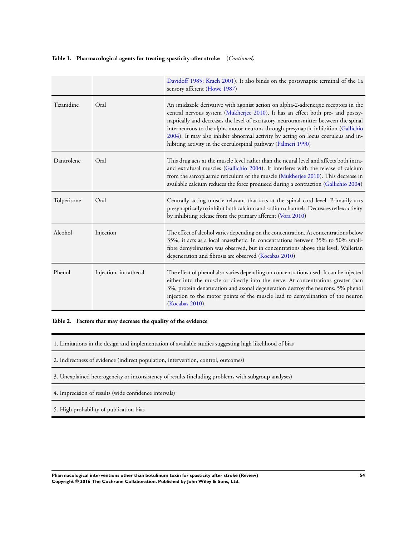## <span id="page-55-0"></span>**Table 1. Pharmacological agents for treating spasticity after stroke** (*Continued)*

|             |                        | Davidoff 1985; Krach 2001). It also binds on the postsynaptic terminal of the 1a<br>sensory afferent (Howe 1987)                                                                                                                                                                                                                                                                                                                                                                                         |
|-------------|------------------------|----------------------------------------------------------------------------------------------------------------------------------------------------------------------------------------------------------------------------------------------------------------------------------------------------------------------------------------------------------------------------------------------------------------------------------------------------------------------------------------------------------|
| Tizanidine  | Oral                   | An imidazole derivative with agonist action on alpha-2-adrenergic receptors in the<br>central nervous system (Mukherjee 2010). It has an effect both pre- and postsy-<br>naptically and decreases the level of excitatory neurotransmitter between the spinal<br>interneurons to the alpha motor neurons through presynaptic inhibition (Gallichio<br>2004). It may also inhibit abnormal activity by acting on locus coeruleus and in-<br>hibiting activity in the coerulospinal pathway (Palmeri 1990) |
| Dantrolene  | Oral                   | This drug acts at the muscle level rather than the neural level and affects both intra-<br>and extrafusal muscles (Gallichio 2004). It interferes with the release of calcium<br>from the sarcoplasmic reticulum of the muscle (Mukherjee 2010). This decrease in<br>available calcium reduces the force produced during a contraction (Gallichio 2004)                                                                                                                                                  |
| Tolperisone | Oral                   | Centrally acting muscle relaxant that acts at the spinal cord level. Primarily acts<br>presynaptically to inhibit both calcium and sodium channels. Decreases reflex activity<br>by inhibiting release from the primary afferent (Vora 2010)                                                                                                                                                                                                                                                             |
| Alcohol     | Injection              | The effect of alcohol varies depending on the concentration. At concentrations below<br>35%, it acts as a local anaesthetic. In concentrations between 35% to 50% small-<br>fibre demyelination was observed, but in concentrations above this level, Wallerian<br>degeneration and fibrosis are observed (Kocabas 2010)                                                                                                                                                                                 |
| Phenol      | Injection, intrathecal | The effect of phenol also varies depending on concentrations used. It can be injected<br>either into the muscle or directly into the nerve. At concentrations greater than<br>3%, protein denaturation and axonal degeneration destroy the neurons. 5% phenol<br>injection to the motor points of the muscle lead to demyelination of the neuron<br>(Kocabas 2010).                                                                                                                                      |

**Table 2. Factors that may decrease the quality of the evidence**

1. Limitations in the design and implementation of available studies suggesting high likelihood of bias

- 2. Indirectness of evidence (indirect population, intervention, control, outcomes)
- 3. Unexplained heterogeneity or inconsistency of results (including problems with subgroup analyses)
- 4. Imprecision of results (wide confidence intervals)
- 5. High probability of publication bias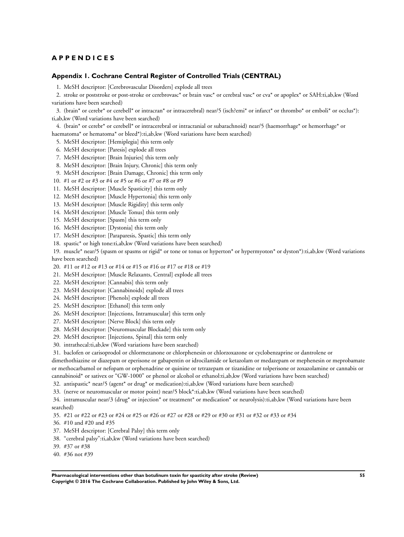## <span id="page-56-0"></span>**A P P E N D I C E S**

#### **Appendix 1. Cochrane Central Register of Controlled Trials (CENTRAL)**

1. MeSH descriptor: [Cerebrovascular Disorders] explode all trees

2. stroke or poststroke or post-stroke or cerebrovasc\* or brain vasc\* or cerebral vasc\* or cva\* or apoplex\* or SAH:ti,ab,kw (Word variations have been searched)

3. (brain\* or cerebr\* or cerebell\* or intracran\* or intracerebral) near/5 (isch?emi\* or infarct\* or thrombo\* or emboli\* or occlus\*): ti,ab,kw (Word variations have been searched)

4. (brain\* or cerebr\* or cerebell\* or intracerebral or intracranial or subarachnoid) near/5 (haemorrhage\* or hemorrhage\* or haematoma\* or hematoma\* or bleed\*):ti,ab,kw (Word variations have been searched)

5. MeSH descriptor: [Hemiplegia] this term only

- 6. MeSH descriptor: [Paresis] explode all trees
- 7. MeSH descriptor: [Brain Injuries] this term only
- 8. MeSH descriptor: [Brain Injury, Chronic] this term only
- 9. MeSH descriptor: [Brain Damage, Chronic] this term only
- 10. #1 or #2 or #3 or #4 or #5 or #6 or #7 or #8 or #9
- 11. MeSH descriptor: [Muscle Spasticity] this term only
- 12. MeSH descriptor: [Muscle Hypertonia] this term only
- 13. MeSH descriptor: [Muscle Rigidity] this term only
- 14. MeSH descriptor: [Muscle Tonus] this term only
- 15. MeSH descriptor: [Spasm] this term only
- 16. MeSH descriptor: [Dystonia] this term only
- 17. MeSH descriptor: [Paraparesis, Spastic] this term only
- 18. spastic\* or high tone:ti,ab,kw (Word variations have been searched)
- 19. muscle\* near/5 (spasm or spasms or rigid\* or tone or tonus or hyperton\* or hypermyoton\* or dyston\*):ti,ab,kw (Word variations have been searched)
- 20. #11 or #12 or #13 or #14 or #15 or #16 or #17 or #18 or #19
- 21. MeSH descriptor: [Muscle Relaxants, Central] explode all trees
- 22. MeSH descriptor: [Cannabis] this term only
- 23. MeSH descriptor: [Cannabinoids] explode all trees
- 24. MeSH descriptor: [Phenols] explode all trees
- 25. MeSH descriptor: [Ethanol] this term only
- 26. MeSH descriptor: [Injections, Intramuscular] this term only
- 27. MeSH descriptor: [Nerve Block] this term only
- 28. MeSH descriptor: [Neuromuscular Blockade] this term only
- 29. MeSH descriptor: [Injections, Spinal] this term only
- 30. intrathecal:ti,ab,kw (Word variations have been searched)
- 31. baclofen or carisoprodol or chlormezanone or chlorphenesin or chlorzoxazone or cyclobenzaprine or dantrolene or

dimethothiazine or diazepam or eperisone or gabapentin or idrocilamide or ketazolam or medazepam or mephenesin or meprobamate or methocarbamol or nefopam or orphenadrine or quinine or tetrazepam or tizanidine or tolperisone or zoxazolamine or cannabis or cannabinoid\* or sativex or "GW-1000" or phenol or alcohol or ethanol:ti,ab,kw (Word variations have been searched)

32. antispastic\* near/5 (agent\* or drug\* or medication):ti,ab,kw (Word variations have been searched)

33. (nerve or neuromuscular or motor point) near/5 block\*:ti,ab,kw (Word variations have been searched)

34. intramuscular near/3 (drug\* or injection\* or treatment\* or medication\* or neurolysis):ti,ab,kw (Word variations have been searched)

- 35. #21 or #22 or #23 or #24 or #25 or #26 or #27 or #28 or #29 or #30 or #31 or #32 or #33 or #34
- 36. #10 and #20 and #35
- 37. MeSH descriptor: [Cerebral Palsy] this term only
- 38. "cerebral palsy":ti,ab,kw (Word variations have been searched)
- 39. #37 or #38
- 40. #36 not #39

**Pharmacological interventions other than botulinum toxin for spasticity after stroke (Review) 55 Copyright © 2016 The Cochrane Collaboration. Published by John Wiley & Sons, Ltd.**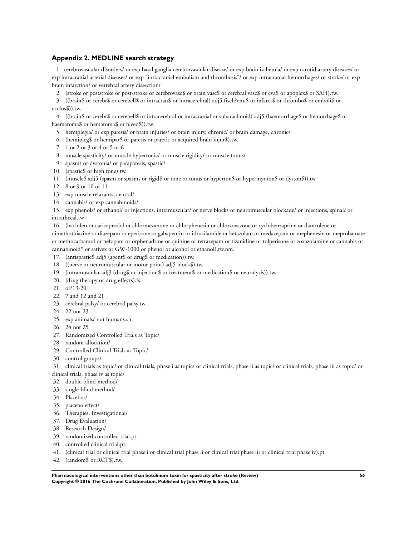## **Appendix 2. MEDLINE search strategy**

1. cerebrovascular disorders/ or exp basal ganglia cerebrovascular disease/ or exp brain ischemia/ or exp carotid artery diseases/ or exp intracranial arterial diseases/ or exp "intracranial embolism and thrombosis"/ or exp intracranial hemorrhages/ or stroke/ or exp brain infarction/ or vertebral artery dissection/

2. (stroke or poststroke or post-stroke or cerebrovasc\$ or brain vasc\$ or cerebral vasc\$ or cva\$ or apoplex\$ or SAH).tw.

3. ((brain\$ or cerebr\$ or cerebell\$ or intracran\$ or intracerebral) adj5 (isch?emi\$ or infarct\$ or thrombo\$ or emboli\$ or occlus\$)).tw.

4. ((brain\$ or cerebr\$ or cerebell\$ or intracerebral or intracranial or subarachnoid) adj5 (haemorrhage\$ or hemorrhage\$ or haematoma\$ or hematoma\$ or bleed\$)).tw.

- 5. hemiplegia/ or exp paresis/ or brain injuries/ or brain injury, chronic/ or brain damage, chronic/
- 6. (hemipleg\$ or hemipar\$ or paresis or paretic or acquired brain injur\$).tw.
- 7. 1 or 2 or 3 or 4 or 5 or 6
- 8. muscle spasticity/ or muscle hypertonia/ or muscle rigidity/ or muscle tonus/
- 9. spasm/ or dystonia/ or paraparesis, spastic/
- 10. (spastic\$ or high tone).tw.
- 11. (muscle\$ adj5 (spasm or spasms or rigid\$ or tone or tonus or hyperton\$ or hypermyoton\$ or dyston\$)).tw.
- 12. 8 or 9 or 10 or 11
- 13. exp muscle relaxants, central/
- 14. cannabis/ or exp cannabinoids/

15. exp phenols/ or ethanol/ or injections, intramuscular/ or nerve block/ or neuromuscular blockade/ or injections, spinal/ or intrathecal.tw

16. (baclofen or carisoprodol or chlormezanone or chlorphenesin or chlorzoxazone or cyclobenzaprine or dantrolene or

dimethothiazine or diazepam or eperisone or gabapentin or idrocilamide or ketazolam or medazepam or mephenesin or meprobamate or methocarbamol or nefopam or orphenadrine or quinine or tetrazepam or tizanidine or tolperisone or zoxazolamine or cannabis or cannabinoid\* or sativex or GW-1000 or phenol or alcohol or ethanol).tw,nm.

- 17. (antispastic\$ adj5 (agent\$ or drug\$ or medication)).tw.
- 18. ((nerve or neuromuscular or motor point) adj5 block\$).tw.
- 19. (intramuscular adj3 (drug\$ or injection\$ or treatment\$ or medication\$ or neurolysis)).tw.
- 20. (drug therapy or drug effects).fs.
- 21. or/13-20
- 22. 7 and 12 and 21
- 23. cerebral palsy/ or cerebral palsy.tw.
- 24. 22 not 23
- 25. exp animals/ not humans.sh.
- 26. 24 not 25
- 27. Randomized Controlled Trials as Topic/
- 28. random allocation/
- 29. Controlled Clinical Trials as Topic/
- 30. control groups/

31. clinical trials as topic/ or clinical trials, phase i as topic/ or clinical trials, phase ii as topic/ or clinical trials, phase iii as topic/ or clinical trials, phase iv as topic/

- 32. double-blind method/
- 33. single-blind method/
- 34. Placebos/
- 35. placebo effect/
- 36. Therapies, Investigational/
- 37. Drug Evaluation/
- 38. Research Design/
- 39. randomized controlled trial.pt.
- 40. controlled clinical trial.pt.
- 41. (clinical trial or clinical trial phase i or clinical trial phase ii or clinical trial phase iii or clinical trial phase iv).pt.
- 42. (random\$ or RCT\$).tw.

**Pharmacological interventions other than botulinum toxin for spasticity after stroke (Review) 56 Copyright © 2016 The Cochrane Collaboration. Published by John Wiley & Sons, Ltd.**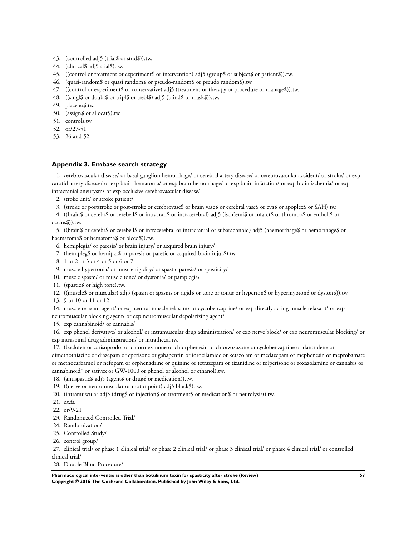- <span id="page-58-0"></span>43. (controlled adj5 (trial\$ or stud\$)).tw.
- 44. (clinical\$ adj5 trial\$).tw.
- 45. ((control or treatment or experiment\$ or intervention) adj5 (group\$ or subject\$ or patient\$)).tw.
- 46. (quasi-random\$ or quasi random\$ or pseudo-random\$ or pseudo random\$).tw.
- 47. ((control or experiment\$ or conservative) adj5 (treatment or therapy or procedure or manage\$)).tw.
- 48. ((singl\$ or doubl\$ or tripl\$ or trebl\$) adj5 (blind\$ or mask\$)).tw.
- 49. placebo\$.tw.
- 50. (assign\$ or allocat\$).tw.
- 51. controls.tw.
- 52. or/27-51
- 53. 26 and 52

#### **Appendix 3. Embase search strategy**

1. cerebrovascular disease/ or basal ganglion hemorrhage/ or cerebral artery disease/ or cerebrovascular accident/ or stroke/ or exp carotid artery disease/ or exp brain hematoma/ or exp brain hemorrhage/ or exp brain infarction/ or exp brain ischemia/ or exp intracranial aneurysm/ or exp occlusive cerebrovascular disease/

- 2. stroke unit/ or stroke patient/
- 3. (stroke or poststroke or post-stroke or cerebrovasc\$ or brain vasc\$ or cerebral vasc\$ or cva\$ or apoplex\$ or SAH).tw.

4. ((brain\$ or cerebr\$ or cerebell\$ or intracran\$ or intracerebral) adj5 (isch?emi\$ or infarct\$ or thrombo\$ or emboli\$ or occlus\$)).tw.

5. ((brain\$ or cerebr\$ or cerebell\$ or intracerebral or intracranial or subarachnoid) adj5 (haemorrhage\$ or hemorrhage\$ or haematoma\$ or hematoma\$ or bleed\$)).tw.

- 6. hemiplegia/ or paresis/ or brain injury/ or acquired brain injury/
- 7. (hemipleg\$ or hemipar\$ or paresis or paretic or acquired brain injur\$).tw.
- 8. 1 or 2 or 3 or 4 or 5 or 6 or 7
- 9. muscle hypertonia/ or muscle rigidity/ or spastic paresis/ or spasticity/
- 10. muscle spasm/ or muscle tone/ or dystonia/ or paraplegia/
- 11. (spastic\$ or high tone).tw.
- 12. ((muscle\$ or muscular) adj5 (spasm or spasms or rigid\$ or tone or tonus or hyperton\$ or hypermyoton\$ or dyston\$)).tw.
- 13. 9 or 10 or 11 or 12

14. muscle relaxant agent/ or exp central muscle relaxant/ or cyclobenzaprine/ or exp directly acting muscle relaxant/ or exp neuromuscular blocking agent/ or exp neuromuscular depolarizing agent/

15. exp cannabinoid/ or cannabis/

16. exp phenol derivative/ or alcohol/ or intramuscular drug administration/ or exp nerve block/ or exp neuromuscular blocking/ or exp intraspinal drug administration/ or intrathecal.tw.

17. (baclofen or carisoprodol or chlormezanone or chlorphenesin or chlorzoxazone or cyclobenzaprine or dantrolene or

dimethothiazine or diazepam or eperisone or gabapentin or idrocilamide or ketazolam or medazepam or mephenesin or meprobamate or methocarbamol or nefopam or orphenadrine or quinine or tetrazepam or tizanidine or tolperisone or zoxazolamine or cannabis or cannabinoid\* or sativex or GW-1000 or phenol or alcohol or ethanol).tw.

- 18. (antispastic\$ adj5 (agent\$ or drug\$ or medication)).tw.
- 19. ((nerve or neuromuscular or motor point) adj5 block\$).tw.
- 20. (intramuscular adj3 (drug\$ or injection\$ or treatment\$ or medication\$ or neurolysis)).tw.
- 21. dt.fs.
- 22. or/9-21
- 23. Randomized Controlled Trial/
- 24. Randomization/
- 25. Controlled Study/
- 26. control group/

27. clinical trial/ or phase 1 clinical trial/ or phase 2 clinical trial/ or phase 3 clinical trial/ or phase 4 clinical trial/ or controlled clinical trial/

28. Double Blind Procedure/

**Pharmacological interventions other than botulinum toxin for spasticity after stroke (Review) 57 Copyright © 2016 The Cochrane Collaboration. Published by John Wiley & Sons, Ltd.**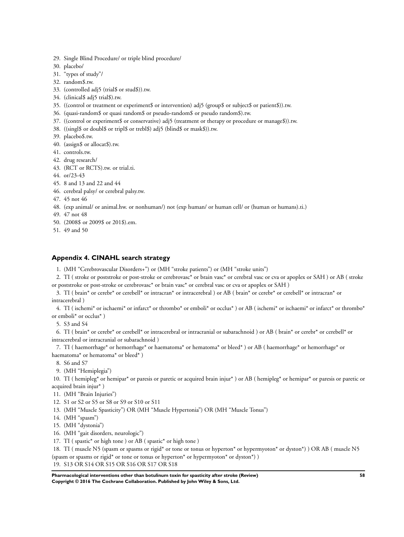- <span id="page-59-0"></span>29. Single Blind Procedure/ or triple blind procedure/
- 30. placebo/
- 31. "types of study"/
- 32. random\$.tw.
- 33. (controlled adj5 (trial\$ or stud\$)).tw.
- 34. (clinical\$ adj5 trial\$).tw.
- 35. ((control or treatment or experiment\$ or intervention) adj5 (group\$ or subject\$ or patient\$)).tw.
- 36. (quasi-random\$ or quasi random\$ or pseudo-random\$ or pseudo random\$).tw.
- 37. ((control or experiment\$ or conservative) adj5 (treatment or therapy or procedure or manage\$)).tw.
- 38. ((singl\$ or doubl\$ or tripl\$ or trebl\$) adj5 (blind\$ or mask\$)).tw.
- 39. placebo\$.tw.
- 40. (assign\$ or allocat\$).tw.
- 41. controls.tw.
- 42. drug research/
- 43. (RCT or RCTS).tw. or trial.ti.
- 44. or/23-43
- 45. 8 and 13 and 22 and 44
- 46. cerebral palsy/ or cerebral palsy.tw.
- 47. 45 not 46
- 48. (exp animal/ or animal.hw. or nonhuman/) not (exp human/ or human cell/ or (human or humans).ti.)
- 49. 47 not 48
- 50. (2008\$ or 2009\$ or 201\$).em.
- 51. 49 and 50

#### **Appendix 4. CINAHL search strategy**

- 1. (MH "Cerebrovascular Disorders+") or (MH "stroke patients") or (MH "stroke units")
- 2. TI ( stroke or poststroke or post-stroke or cerebrovasc\* or brain vasc\* or cerebral vasc or cva or apoplex or SAH ) or AB ( stroke or poststroke or post-stroke or cerebrovasc\* or brain vasc\* or cerebral vasc or cva or apoplex or SAH )
- 3. TI ( brain\* or cerebr\* or cerebell\* or intracran\* or intracerebral ) or AB ( brain\* or cerebr\* or cerebell\* or intracran\* or intracerebral )
- 4. TI ( ischemi\* or ischaemi\* or infarct\* or thrombo\* or emboli\* or occlus\* ) or AB ( ischemi\* or ischaemi\* or infarct\* or thrombo\* or emboli\* or occlus\* )

5. S3 and S4

6. TI ( brain\* or cerebr\* or cerebell\* or intracerebral or intracranial or subarachnoid ) or AB ( brain\* or cerebr\* or cerebell\* or intracerebral or intracranial or subarachnoid )

7. TI ( haemorrhage\* or hemorrhage\* or haematoma\* or hematoma\* or bleed\* ) or AB ( haemorrhage\* or hemorrhage\* or haematoma\* or hematoma\* or bleed\* )

- 8. S6 and S7
- 9. (MH "Hemiplegia")

10. TI ( hemipleg\* or hemipar\* or paresis or paretic or acquired brain injur\* ) or AB ( hemipleg\* or hemipar\* or paresis or paretic or acquired brain injur\* )

- 11. (MH "Brain Injuries")
- 12. S1 or S2 or S5 or S8 or S9 or S10 or S11
- 13. (MH "Muscle Spasticity") OR (MH "Muscle Hypertonia") OR (MH "Muscle Tonus")
- 14. (MH "spasm")
- 15. (MH "dystonia")
- 16. (MH "gait disorders, neurologic")
- 17. TI (spastic\* or high tone ) or AB (spastic\* or high tone )

18. TI ( muscle N5 (spasm or spasms or rigid\* or tone or tonus or hyperton\* or hypermyoton\* or dyston\*) ) OR AB ( muscle N5 (spasm or spasms or rigid\* or tone or tonus or hyperton\* or hypermyoton\* or dyston\*) )

19. S13 OR S14 OR S15 OR S16 OR S17 OR S18

**Pharmacological interventions other than botulinum toxin for spasticity after stroke (Review) 58 Copyright © 2016 The Cochrane Collaboration. Published by John Wiley & Sons, Ltd.**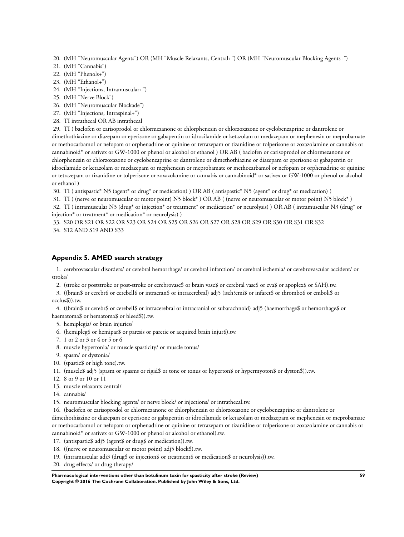<span id="page-60-0"></span>20. (MH "Neuromuscular Agents") OR (MH "Muscle Relaxants, Central+") OR (MH "Neuromuscular Blocking Agents+")

- 21. (MH "Cannabis")
- 22. (MH "Phenols+")
- 23. (MH "Ethanol+")
- 24. (MH "Injections, Intramuscular+")
- 25. (MH "Nerve Block")
- 26. (MH "Neuromuscular Blockade")
- 27. (MH "Injections, Intraspinal+")
- 28. TI intrathecal OR AB intrathecal

29. TI ( baclofen or carisoprodol or chlormezanone or chlorphenesin or chlorzoxazone or cyclobenzaprine or dantrolene or dimethothiazine or diazepam or eperisone or gabapentin or idrocilamide or ketazolam or medazepam or mephenesin or meprobamate or methocarbamol or nefopam or orphenadrine or quinine or tetrazepam or tizanidine or tolperisone or zoxazolamine or cannabis or cannabinoid\* or sativex or GW-1000 or phenol or alcohol or ethanol ) OR AB ( baclofen or carisoprodol or chlormezanone or chlorphenesin or chlorzoxazone or cyclobenzaprine or dantrolene or dimethothiazine or diazepam or eperisone or gabapentin or idrocilamide or ketazolam or medazepam or mephenesin or meprobamate or methocarbamol or nefopam or orphenadrine or quinine or tetrazepam or tizanidine or tolperisone or zoxazolamine or cannabis or cannabinoid\* or sativex or GW-1000 or phenol or alcohol or ethanol )

30. TI ( antispastic\* N5 (agent\* or drug\* or medication) ) OR AB ( antispastic\* N5 (agent\* or drug\* or medication) )

31. TI ( (nerve or neuromuscular or motor point) N5 block\* ) OR AB ( (nerve or neuromuscular or motor point) N5 block\* )

32. TI ( intramuscular N3 (drug\* or injection\* or treatment\* or medication\* or neurolysis) ) OR AB ( intramuscular N3 (drug\* or injection\* or treatment\* or medication\* or neurolysis) )

33. S20 OR S21 OR S22 OR S23 OR S24 OR S25 OR S26 OR S27 OR S28 OR S29 OR S30 OR S31 OR S32 34. S12 AND S19 AND S33

## **Appendix 5. AMED search strategy**

1. cerebrovascular disorders/ or cerebral hemorrhage/ or cerebral infarction/ or cerebral ischemia/ or cerebrovascular accident/ or stroke/

2. (stroke or poststroke or post-stroke or cerebrovasc\$ or brain vasc\$ or cerebral vasc\$ or cva\$ or apoplex\$ or SAH).tw.

3. ((brain\$ or cerebr\$ or cerebell\$ or intracran\$ or intracerebral) adj5 (isch?emi\$ or infarct\$ or thrombo\$ or emboli\$ or occlus\$)).tw.

4. ((brain\$ or cerebr\$ or cerebell\$ or intracerebral or intracranial or subarachnoid) adj5 (haemorrhage\$ or hemorrhage\$ or haematoma\$ or hematoma\$ or bleed\$)).tw.

- 5. hemiplegia/ or brain injuries/
- 6. (hemipleg\$ or hemipar\$ or paresis or paretic or acquired brain injur\$).tw.
- 7. 1 or 2 or 3 or 4 or 5 or 6
- 8. muscle hypertonia/ or muscle spasticity/ or muscle tonus/
- 9. spasm/ or dystonia/
- 10. (spastic\$ or high tone).tw.
- 11. (muscle\$ adj5 (spasm or spasms or rigid\$ or tone or tonus or hyperton\$ or hypermyoton\$ or dyston\$)).tw.
- 12. 8 or 9 or 10 or 11
- 13. muscle relaxants central/
- 14. cannabis/
- 15. neuromuscular blocking agents/ or nerve block/ or injections/ or intrathecal.tw.
- 16. (baclofen or carisoprodol or chlormezanone or chlorphenesin or chlorzoxazone or cyclobenzaprine or dantrolene or

dimethothiazine or diazepam or eperisone or gabapentin or idrocilamide or ketazolam or medazepam or mephenesin or meprobamate or methocarbamol or nefopam or orphenadrine or quinine or tetrazepam or tizanidine or tolperisone or zoxazolamine or cannabis or cannabinoid\* or sativex or GW-1000 or phenol or alcohol or ethanol).tw.

- 17. (antispastic\$ adj5 (agent\$ or drug\$ or medication)).tw.
- 18. ((nerve or neuromuscular or motor point) adj5 block\$).tw.
- 19. (intramuscular adj3 (drug\$ or injection\$ or treatment\$ or medication\$ or neurolysis)).tw.
- 20. drug effects/ or drug therapy/

**Pharmacological interventions other than botulinum toxin for spasticity after stroke (Review) 59 Copyright © 2016 The Cochrane Collaboration. Published by John Wiley & Sons, Ltd.**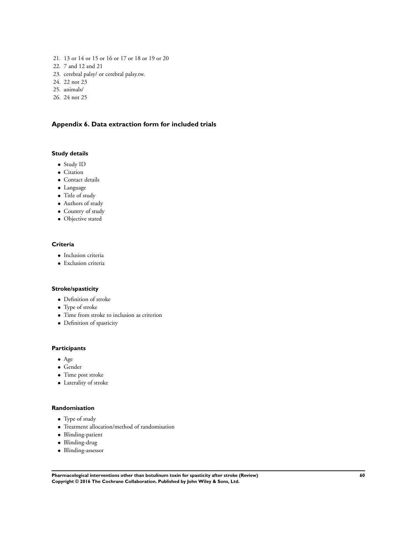- <span id="page-61-0"></span>21. 13 or 14 or 15 or 16 or 17 or 18 or 19 or 20
- 22. 7 and 12 and 21
- 23. cerebral palsy/ or cerebral palsy.tw.
- 24. 22 not 23
- 25. animals/
- 26. 24 not 25

## **Appendix 6. Data extraction form for included trials**

## **Study details**

- Study ID
- Citation
- Contact details
- Language
- Title of study
- Authors of study
- Country of study
- Objective stated

## **Criteria**

- Inclusion criteria
- Exclusion criteria

## **Stroke/spasticity**

- Definition of stroke
- Type of stroke
- Time from stroke to inclusion as criterion
- Definition of spasticity

## **Participants**

- Age
- Gender
- Time post stroke
- Laterality of stroke

## **Randomisation**

- Type of study
- Treatment allocation/method of randomisation
- Blinding-patient
- Blinding-drug
- Blinding-assessor

**Pharmacological interventions other than botulinum toxin for spasticity after stroke (Review) 60 Copyright © 2016 The Cochrane Collaboration. Published by John Wiley & Sons, Ltd.**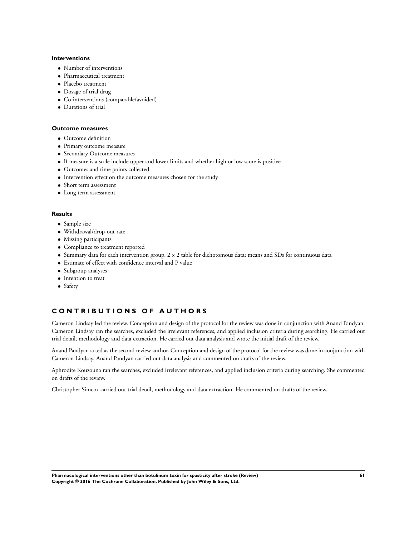#### **Interventions**

- Number of interventions
- Pharmaceutical treatment
- Placebo treatment
- Dosage of trial drug
- Co-interventions (comparable/avoided)
- Durations of trial

#### **Outcome measures**

- Outcome definition
- Primary outcome measure
- Secondary Outcome measures
- If measure is a scale include upper and lower limits and whether high or low score is positive
- Outcomes and time points collected
- Intervention effect on the outcome measures chosen for the study
- Short term assessment
- Long term assessment

#### **Results**

- Sample size
- Withdrawal/drop-out rate
- Missing participants
- Compliance to treatment reported
- Summary data for each intervention group. 2 × 2 table for dichotomous data; means and SDs for continuous data
- Estimate of effect with confidence interval and P value
- Subgroup analyses
- Intention to treat
- Safety

## **C O N T R I B U T I O N S O F A U T H O R S**

Cameron Lindsay led the review. Conception and design of the protocol for the review was done in conjunction with Anand Pandyan. Cameron Lindsay ran the searches, excluded the irrelevant references, and applied inclusion criteria during searching. He carried out trial detail, methodology and data extraction. He carried out data analysis and wrote the initial draft of the review.

Anand Pandyan acted as the second review author. Conception and design of the protocol for the review was done in conjunction with Cameron Lindsay. Anand Pandyan carried out data analysis and commented on drafts of the review.

Aphrodite Kouzouna ran the searches, excluded irrelevant references, and applied inclusion criteria during searching. She commented on drafts of the review.

Christopher Simcox carried out trial detail, methodology and data extraction. He commented on drafts of the review.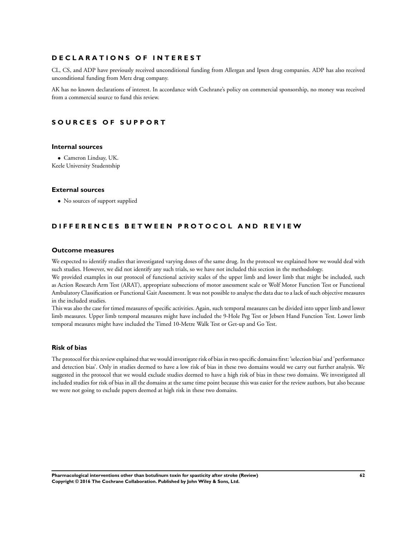## **D E C L A R A T I O N S O F I N T E R E S T**

CL, CS, and ADP have previously received unconditional funding from Allergan and Ipsen drug companies. ADP has also received unconditional funding from Merz drug company.

AK has no known declarations of interest. In accordance with Cochrane's policy on commercial sponsorship, no money was received from a commercial source to fund this review.

## **S O U R C E S O F S U P P O R T**

#### **Internal sources**

• Cameron Lindsay, UK. Keele University Studentship

#### **External sources**

• No sources of support supplied

## **DIFFERENCES BETWEEN PROTOCOL AND REVIEW**

#### **Outcome measures**

We expected to identify studies that investigated varying doses of the same drug. In the protocol we explained how we would deal with such studies. However, we did not identify any such trials, so we have not included this section in the methodology.

We provided examples in our protocol of functional activity scales of the upper limb and lower limb that might be included, such as Action Research Arm Test (ARAT), appropriate subsections of motor assessment scale or Wolf Motor Function Test or Functional Ambulatory Classification or Functional Gait Assessment. It was not possible to analyse the data due to a lack of such objective measures in the included studies.

This was also the case for timed measures of specific activities. Again, such temporal measures can be divided into upper limb and lower limb measures. Upper limb temporal measures might have included the 9-Hole Peg Test or Jebsen Hand Function Test. Lower limb temporal measures might have included the Timed 10-Metre Walk Test or Get-up and Go Test.

#### **Risk of bias**

The protocol for this review explained that we would investigate risk of bias in two specific domains first: 'selection bias' and 'performance and detection bias'. Only in studies deemed to have a low risk of bias in these two domains would we carry out further analysis. We suggested in the protocol that we would exclude studies deemed to have a high risk of bias in these two domains. We investigated all included studies for risk of bias in all the domains at the same time point because this was easier for the review authors, but also because we were not going to exclude papers deemed at high risk in these two domains.